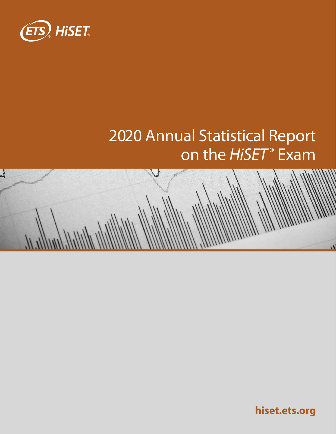

# 2020 Annual Statistical Report on the *HiSET*® Exam



**[hiset.ets.org](http://hiset.ets.org)**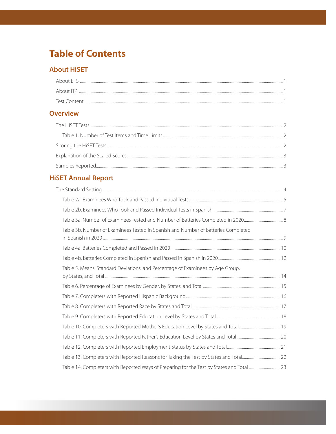## **Table of Contents**

#### **About HiSET**

| About ETS    |  |
|--------------|--|
| About ITP    |  |
| Test Content |  |

#### **Overview**

### **HiSET Annual Report**

| Table 3b. Number of Examinees Tested in Spanish and Number of Batteries Completed |  |
|-----------------------------------------------------------------------------------|--|
|                                                                                   |  |
|                                                                                   |  |
| Table 5. Means, Standard Deviations, and Percentage of Examinees by Age Group,    |  |
|                                                                                   |  |
|                                                                                   |  |
|                                                                                   |  |
|                                                                                   |  |
|                                                                                   |  |
|                                                                                   |  |
|                                                                                   |  |
|                                                                                   |  |
|                                                                                   |  |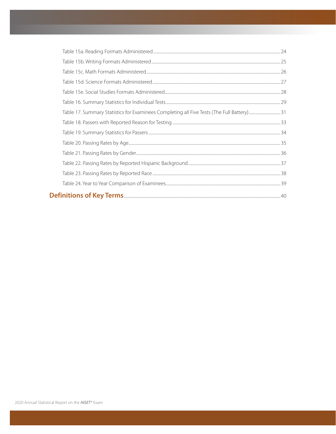| Table 17. Summary Statistics for Examinees Completing all Five Tests (The Full Battery)31 |  |
|-------------------------------------------------------------------------------------------|--|
|                                                                                           |  |
|                                                                                           |  |
|                                                                                           |  |
|                                                                                           |  |
|                                                                                           |  |
|                                                                                           |  |
|                                                                                           |  |
|                                                                                           |  |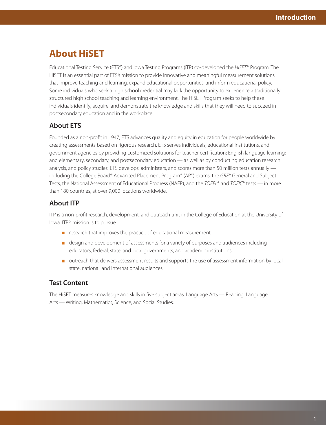## <span id="page-3-0"></span>**About HiSET**

Educational Testing Service (ETS®) and Iowa Testing Programs (ITP) co-developed the *HiSET*® Program. The HiSET is an essential part of ETS's mission to provide innovative and meaningful measurement solutions that improve teaching and learning, expand educational opportunities, and inform educational policy. Some individuals who seek a high school credential may lack the opportunity to experience a traditionally structured high school teaching and learning environment. The HiSET Program seeks to help these individuals identify, acquire, and demonstrate the knowledge and skills that they will need to succeed in postsecondary education and in the workplace.

#### **About ETS**

Founded as a non-profit in 1947, ETS advances quality and equity in education for people worldwide by creating assessments based on rigorous research. ETS serves individuals, educational institutions, and government agencies by providing customized solutions for teacher certification; English language learning; and elementary, secondary, and postsecondary education — as well as by conducting education research, analysis, and policy studies. ETS develops, administers, and scores more than 50 million tests annually including the College Board® Advanced Placement Program® (AP®) exams, the *GRE*® General and Subject Tests, the National Assessment of Educational Progress (NAEP), and the *TOEFL*® and *TOEIC*® tests — in more than 180 countries, at over 9,000 locations worldwide.

#### **About ITP**

ITP is a non-profit research, development, and outreach unit in the College of Education at the University of Iowa. ITP's mission is to pursue:

- research that improves the practice of educational measurement
- design and development of assessments for a variety of purposes and audiences including educators; federal, state, and local governments; and academic institutions
- outreach that delivers assessment results and supports the use of assessment information by local, state, national, and international audiences

#### **Test Content**

The HiSET measures knowledge and skills in five subject areas: Language Arts — Reading, Language Arts — Writing, Mathematics, Science, and Social Studies.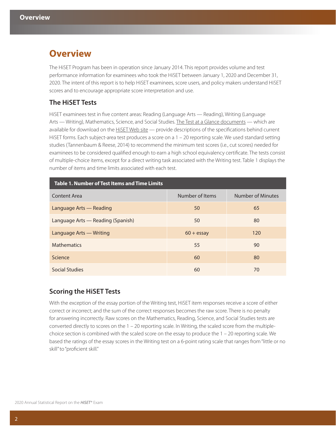## <span id="page-4-0"></span>**Overview**

The HiSET Program has been in operation since January 2014. This report provides volume and test performance information for examinees who took the HiSET between January 1, 2020 and December 31, 2020. The intent of this report is to help HiSET examinees, score users, and policy makers understand HiSET scores and to encourage appropriate score interpretation and use.

#### **The HiSET Tests**

HiSET examinees test in five content areas: Reading (Language Arts — Reading), Writing (Language Arts — Writing), Mathematics, Science, and Social Studies. The Test at a Glance documents — which are available for download on the HiSET Web site - provide descriptions of the specifications behind current HiSET forms. Each subject-area test produces a score on a 1 – 20 reporting scale. We used standard setting studies (Tannenbaum & Reese, 2014) to recommend the minimum test scores (i.e., cut scores) needed for examinees to be considered qualified enough to earn a high school equivalency certificate. The tests consist of multiple-choice items, except for a direct writing task associated with the Writing test. Table 1 displays the number of items and time limits associated with each test.

| Table 1. Number of Test Items and Time Limits |                 |                   |  |  |  |  |
|-----------------------------------------------|-----------------|-------------------|--|--|--|--|
| Content Area                                  | Number of Items | Number of Minutes |  |  |  |  |
| Language Arts — Reading                       | 50              | 65                |  |  |  |  |
| Language Arts — Reading (Spanish)             | 50              | 80                |  |  |  |  |
| Language Arts - Writing                       | $60 + e$ ssay   | 120               |  |  |  |  |
| <b>Mathematics</b>                            | 55              | 90                |  |  |  |  |
| Science                                       | 60              | 80                |  |  |  |  |
| Social Studies                                | 60              | 70                |  |  |  |  |

#### **Scoring the HiSET Tests**

With the exception of the essay portion of the Writing test, HiSET item responses receive a score of either correct or incorrect; and the sum of the correct responses becomes the raw score. There is no penalty for answering incorrectly. Raw scores on the Mathematics, Reading, Science, and Social Studies tests are converted directly to scores on the 1 – 20 reporting scale. In Writing, the scaled score from the multiplechoice section is combined with the scaled score on the essay to produce the 1 – 20 reporting scale. We based the ratings of the essay scores in the Writing test on a 6-point rating scale that ranges from "little or no skill" to "proficient skill."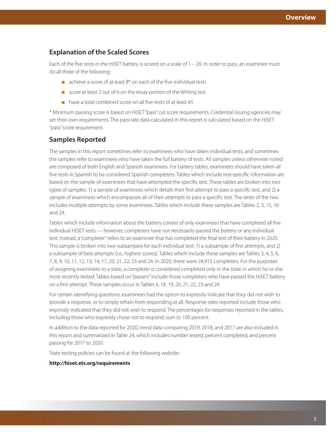#### <span id="page-5-0"></span>**Explanation of the Scaled Scores**

Each of the five tests in the HiSET battery is scored on a scale of 1 – 20. In order to pass, an examinee must do all three of the following:

- $\blacksquare$  achieve a score of at least  $8^*$  on each of the five individual tests
- score at least 2 out of 6 on the essay portion of the Writing test
- have a total combined score on all five tests of at least 45

\* Minimum passing score is based on HiSET "pass" cut score requirements. Credential issuing agencies may set their own requirements. The pass rate data calculated in this report is calculated based on the HiSET "pass" score requirement.

#### **Samples Reported**

The samples in this report sometimes refer to examinees who have taken individual tests; and sometimes the samples refer to examinees who have taken the full battery of tests. All samples unless otherwise noted are composed of both English and Spanish examinees. For battery tables, examinees should have taken all five tests in Spanish to be considered Spanish completers. Tables which include test-specific information are based on the sample of examinees that have attempted the specific test. These tables are broken into two types of samples: 1) a sample of examinees which details their first attempt to pass a specific test, and 2) a sample of examinees which encompasses all of their attempts to pass a specific test. The latter of the two includes multiple attempts by some examinees. Tables which include these samples are Tables 2, 3, 15, 16 and 24.

Tables which include information about the battery consist of only examinees that have completed all five individual HiSET tests — however, completers have not necessarily passed the battery or any individual test. Instead, a "completer" refers to an examinee that has completed the final test of their battery in 2020. This sample is broken into two subsamples for each individual test: 1) a subsample of first attempts, and 2) a subsample of best attempts (i.e., highest scores). Tables which include these samples are Tables 3, 4, 5, 6, 7, 8, 9, 10, 11, 12, 13, 14, 17, 20, 21, 22, 23 and 24. In 2020, there were 24,915 completers. For the purposes of assigning examinees to a state, a completer is considered completed only in the state in which he or she most recently tested. Tables based on "passers" include those completers who have passed the HiSET battery on a first attempt. These samples occur in Tables 4, 18, 19, 20, 21, 22, 23 and 24.

For certain identifying questions, examinees had the option to expressly indicate that they did not wish to provide a response, or to simply refrain from responding at all. Response rates reported include those who expressly indicated that they did not wish to respond. The percentages for responses reported in the tables, including those who expressly chose not to respond, sum to 100 percent.

In addition to the data reported for 2020, trend data comparing 2019, 2018, and 2017 are also included in this report and summarized in Table 24, which includes number tested, percent completed, and percent passing for 2017 to 2020.

State testing policies can be found at the following website:

#### **<http://hiset.ets.org/requirements>**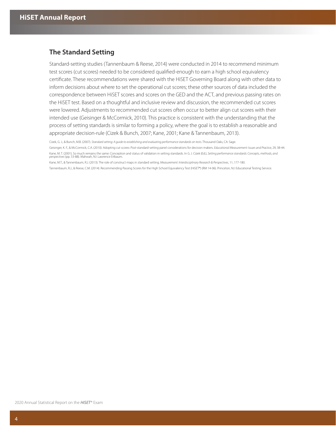#### <span id="page-6-0"></span>**The Standard Setting**

Standard-setting studies (Tannenbaum & Reese, 2014) were conducted in 2014 to recommend minimum test scores (cut scores) needed to be considered qualified-enough to earn a high school equivalency certificate. These recommendations were shared with the HiSET Governing Board along with other data to inform decisions about where to set the operational cut scores; these other sources of data included the correspondence between HiSET scores and scores on the GED and the ACT, and previous passing rates on the HiSET test. Based on a thoughtful and inclusive review and discussion, the recommended cut scores were lowered. Adjustments to recommended cut scores often occur to better align cut scores with their intended use (Geisinger & McCormick, 2010). This practice is consistent with the understanding that the process of setting standards is similar to forming a policy, where the goal is to establish a reasonable and appropriate decision-rule (Cizek & Bunch, 2007; Kane, 2001; Kane & Tannenbaum, 2013).

Kane, M.T., & Tannenbaum, R.J. (2013). The role of construct maps in standard setting. *Measurement: Interdisciplinary Research & Perspectives*, 11, 177-180.

Tannenbaum, R.J., & Reese, C.M. (2014). Recommending Passing Scores for the High School Equivalency Test (HiSET®) (RM 14-06). Princeton, NJ: Educational Testing Service.

Cizek, G. J., & Bunch, M.B. (2007). *Standard setting: A guide to establishing and evaluating performance standards on tests*. Thousand Oaks, CA: Sage.

Geisinger, K. F., & McCormick, C.A. (2010). Adopting cut scores: Post-standard-setting panel considerations for decision makers. *Educational Measurement: Issues and Practice,* 29, 38-44*.*  Kane, M. T. (2001). So much remains the same: Conception and status of validation in setting standards. In G. J. Cizek (Ed.), *Setting performance standards: Concepts, methods, and perspectives* (pp. 53-88). Mahwah, NJ: Lawrence Erlbaum.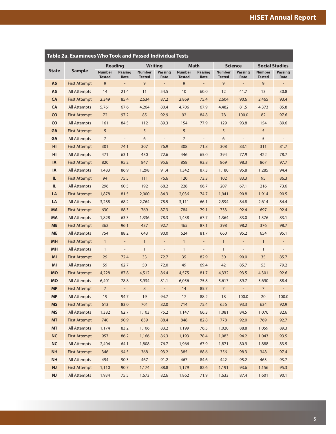<span id="page-7-0"></span>

| Table 2a. Examinees Who Took and Passed Individual Tests |                      |                                |                          |                                |                              |                                |                          |                                |                          |                                |                              |
|----------------------------------------------------------|----------------------|--------------------------------|--------------------------|--------------------------------|------------------------------|--------------------------------|--------------------------|--------------------------------|--------------------------|--------------------------------|------------------------------|
|                                                          |                      |                                | <b>Reading</b>           | <b>Writing</b>                 |                              |                                | Math                     |                                | <b>Science</b>           | <b>Social Studies</b>          |                              |
| <b>State</b>                                             | <b>Sample</b>        | <b>Number</b><br><b>Tested</b> | <b>Passing</b><br>Rate   | <b>Number</b><br><b>Tested</b> | <b>Passing</b><br>Rate       | <b>Number</b><br><b>Tested</b> | <b>Passing</b><br>Rate   | <b>Number</b><br><b>Tested</b> | <b>Passing</b><br>Rate   | <b>Number</b><br><b>Tested</b> | <b>Passing</b><br>Rate       |
| <b>AS</b>                                                | <b>First Attempt</b> | 9                              | $\overline{\phantom{a}}$ | 9                              | $\overline{a}$               | 9                              | $\overline{a}$           | 9                              | $\overline{\phantom{a}}$ | 9                              | $\overline{\phantom{a}}$     |
| <b>AS</b>                                                | <b>All Attempts</b>  | 14                             | 21.4                     | 11                             | 54.5                         | 10                             | 60.0                     | 12                             | 41.7                     | 13                             | 30.8                         |
| CA                                                       | <b>First Attempt</b> | 2,349                          | 85.4                     | 2,634                          | 87.2                         | 2,869                          | 75.4                     | 2,604                          | 90.6                     | 2,465                          | 93.4                         |
| CA                                                       | All Attempts         | 5,761                          | 67.6                     | 4,264                          | 80.4                         | 4,706                          | 67.9                     | 4,482                          | 81.5                     | 4,373                          | 85.8                         |
| CO                                                       | <b>First Attempt</b> | 72                             | 97.2                     | 85                             | 92.9                         | 92                             | 84.8                     | 78                             | 100.0                    | 82                             | 97.6                         |
| <b>CO</b>                                                | <b>All Attempts</b>  | 161                            | 84.5                     | 112                            | 89.3                         | 154                            | 77.9                     | 129                            | 93.8                     | 154                            | 89.6                         |
| GA                                                       | <b>First Attempt</b> | 5                              | $\overline{\phantom{a}}$ | 5                              | $\overline{\phantom{a}}$     | 5                              | $\overline{\phantom{0}}$ | 5                              | $\overline{\phantom{a}}$ | 5                              | -                            |
| GA                                                       | All Attempts         | 7                              | $\overline{\phantom{a}}$ | 6                              | $\qquad \qquad \blacksquare$ | 7                              | $\overline{a}$           | 6                              | $\overline{\phantom{0}}$ | 5                              | $\overline{a}$               |
| HI                                                       | <b>First Attempt</b> | 301                            | 74.1                     | 307                            | 76.9                         | 308                            | 71.8                     | 308                            | 83.1                     | 311                            | 81.7                         |
| HI                                                       | All Attempts         | 471                            | 63.1                     | 430                            | 72.6                         | 446                            | 65.0                     | 394                            | 77.9                     | 422                            | 78.7                         |
| <b>IA</b>                                                | <b>First Attempt</b> | 820                            | 95.2                     | 847                            | 95.6                         | 858                            | 93.8                     | 869                            | 98.3                     | 867                            | 97.7                         |
| IA                                                       | All Attempts         | 1,483                          | 86.9                     | 1,298                          | 91.4                         | 1,342                          | 87.3                     | 1,180                          | 95.8                     | 1,285                          | 94.4                         |
| IL.                                                      | <b>First Attempt</b> | 94                             | 75.5                     | 111                            | 76.6                         | 120                            | 73.3                     | 102                            | 83.3                     | 95                             | 86.3                         |
| IL.                                                      | All Attempts         | 296                            | 60.5                     | 192                            | 68.2                         | 228                            | 66.7                     | 207                            | 67.1                     | 216                            | 73.6                         |
| LA                                                       | <b>First Attempt</b> | 1,878                          | 81.5                     | 2,000                          | 84.3                         | 2,036                          | 74.7                     | 1,941                          | 90.8                     | 1,914                          | 90.5                         |
| LA                                                       | <b>All Attempts</b>  | 3,288                          | 68.2                     | 2,764                          | 78.5                         | 3,111                          | 66.1                     | 2,594                          | 84.8                     | 2,614                          | 84.4                         |
| <b>MA</b>                                                | <b>First Attempt</b> | 630                            | 88.3                     | 769                            | 87.3                         | 784                            | 79.1                     | 733                            | 92.4                     | 697                            | 92.4                         |
| MA                                                       | All Attempts         | 1,828                          | 63.3                     | 1,336                          | 78.3                         | 1,438                          | 67.7                     | 1,364                          | 83.0                     | 1,376                          | 83.1                         |
| <b>ME</b>                                                | <b>First Attempt</b> | 362                            | 96.1                     | 437                            | 92.7                         | 465                            | 87.1                     | 398                            | 98.2                     | 376                            | 98.7                         |
| <b>ME</b>                                                | All Attempts         | 754                            | 88.2                     | 643                            | 90.0                         | 624                            | 81.7                     | 660                            | 95.2                     | 654                            | 95.1                         |
| <b>MH</b>                                                | First Attempt        | $\mathbf{1}$                   | $\qquad \qquad -$        | $\mathbf{1}$                   | $\qquad \qquad -$            | $\mathbf{1}$                   | $\overline{\phantom{0}}$ | $\mathbf{1}$                   | $\overline{\phantom{0}}$ | $\mathbf{1}$                   | $\overline{a}$               |
| <b>MH</b>                                                | All Attempts         | $\mathbf{1}$                   | $\overline{\phantom{a}}$ | $\mathbf{1}$                   | $\overline{\phantom{m}}$     | $\mathbf{1}$                   | $\overline{\phantom{0}}$ | $\mathbf{1}$                   | $\overline{\phantom{0}}$ | $\mathbf{1}$                   | $\qquad \qquad \blacksquare$ |
| MI                                                       | <b>First Attempt</b> | 29                             | 72.4                     | 33                             | 72.7                         | 35                             | 82.9                     | 30                             | 90.0                     | 35                             | 85.7                         |
| MI                                                       | <b>All Attempts</b>  | 59                             | 62.7                     | 50                             | 72.0                         | 49                             | 69.4                     | 42                             | 85.7                     | 53                             | 79.2                         |
| <b>MO</b>                                                | <b>First Attempt</b> | 4,228                          | 87.8                     | 4,512                          | 86.4                         | 4,575                          | 81.7                     | 4,332                          | 93.5                     | 4,301                          | 92.6                         |
| <b>MO</b>                                                | All Attempts         | 6,401                          | 78.8                     | 5,934                          | 81.1                         | 6,056                          | 75.8                     | 5,617                          | 89.7                     | 5,690                          | 88.4                         |
| <b>MP</b>                                                | <b>First Attempt</b> | $\overline{7}$                 | $\qquad \qquad -$        | 8                              | $\qquad \qquad -$            | 14                             | 85.7                     | 7                              | $\overline{\phantom{0}}$ | $\overline{7}$                 | $\qquad \qquad -$            |
| <b>MP</b>                                                | All Attempts         | 19                             | 94.7                     | 19                             | 94.7                         | 17                             | 88.2                     | 18                             | 100.0                    | 20                             | 100.0                        |
| <b>MS</b>                                                | <b>First Attempt</b> | 613                            | 83.0                     | 701                            | 82.0                         | 714                            | 75.4                     | 656                            | 93.3                     | 634                            | 92.9                         |
| <b>MS</b>                                                | <b>All Attempts</b>  | 1,382                          | 62.7                     | 1,103                          | 75.2                         | 1,147                          | 66.3                     | 1,081                          | 84.5                     | 1,076                          | 82.6                         |
| <b>MT</b>                                                | <b>First Attempt</b> | 740                            | 90.9                     | 839                            | 88.4                         | 848                            | 82.8                     | 778                            | 92.0                     | 769                            | 92.7                         |
| <b>MT</b>                                                | All Attempts         | 1,174                          | 83.2                     | 1,106                          | 83.2                         | 1,199                          | 76.5                     | 1,020                          | 88.8                     | 1,059                          | 89.3                         |
| <b>NC</b>                                                | <b>First Attempt</b> | 957                            | 86.2                     | 1,166                          | 86.3                         | 1,193                          | 78.4                     | 1,083                          | 94.2                     | 1,043                          | 93.5                         |
| <b>NC</b>                                                | <b>All Attempts</b>  | 2,404                          | 64.1                     | 1,808                          | 76.7                         | 1,966                          | 67.9                     | 1,871                          | 80.9                     | 1,888                          | 83.5                         |
| <b>NH</b>                                                | <b>First Attempt</b> | 346                            | 94.5                     | 368                            | 93.2                         | 385                            | 88.6                     | 356                            | 98.3                     | 348                            | 97.4                         |
| <b>NH</b>                                                | <b>All Attempts</b>  | 494                            | 90.3                     | 467                            | 91.2                         | 467                            | 84.6                     | 442                            | 95.2                     | 463                            | 93.7                         |
| <b>NJ</b>                                                | <b>First Attempt</b> | 1,110                          | 90.7                     | 1,174                          | 88.8                         | 1,179                          | 82.6                     | 1,191                          | 93.6                     | 1,156                          | 95.3                         |
| $\mathsf{N}\mathsf{J}$                                   | All Attempts         | 1,934                          | 75.5                     | 1,673                          | 82.6                         | 1,862                          | 71.9                     | 1,633                          | 87.4                     | 1,601                          | 90.1                         |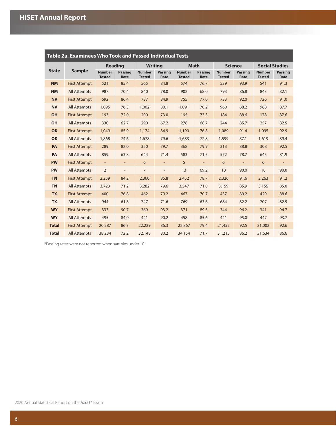| Table 2a. Examinees Who Took and Passed Individual Tests |                      |                                |                          |                                |                              |                                |                          |                                |                          |                                |                          |
|----------------------------------------------------------|----------------------|--------------------------------|--------------------------|--------------------------------|------------------------------|--------------------------------|--------------------------|--------------------------------|--------------------------|--------------------------------|--------------------------|
|                                                          |                      | <b>Reading</b>                 |                          |                                | <b>Writing</b>               |                                | <b>Math</b>              | <b>Science</b>                 |                          | <b>Social Studies</b>          |                          |
| <b>State</b>                                             | <b>Sample</b>        | <b>Number</b><br><b>Tested</b> | <b>Passing</b><br>Rate   | <b>Number</b><br><b>Tested</b> | <b>Passing</b><br>Rate       | <b>Number</b><br><b>Tested</b> | <b>Passing</b><br>Rate   | <b>Number</b><br><b>Tested</b> | <b>Passing</b><br>Rate   | <b>Number</b><br><b>Tested</b> | <b>Passing</b><br>Rate   |
| <b>NM</b>                                                | <b>First Attempt</b> | 521                            | 85.4                     | 565                            | 84.8                         | 574                            | 76.7                     | 539                            | 93.9                     | 541                            | 91.3                     |
| <b>NM</b>                                                | <b>All Attempts</b>  | 987                            | 70.4                     | 840                            | 78.0                         | 902                            | 68.0                     | 793                            | 86.8                     | 843                            | 82.1                     |
| <b>NV</b>                                                | <b>First Attempt</b> | 692                            | 86.4                     | 737                            | 84.9                         | 755                            | 77.0                     | 733                            | 92.0                     | 726                            | 91.0                     |
| <b>NV</b>                                                | <b>All Attempts</b>  | 1,095                          | 76.3                     | 1,002                          | 80.1                         | 1,091                          | 70.2                     | 960                            | 88.2                     | 988                            | 87.7                     |
| OH                                                       | <b>First Attempt</b> | 193                            | 72.0                     | 200                            | 73.0                         | 195                            | 73.3                     | 184                            | 88.6                     | 178                            | 87.6                     |
| OH                                                       | <b>All Attempts</b>  | 330                            | 62.7                     | 290                            | 67.2                         | 278                            | 68.7                     | 244                            | 85.7                     | 257                            | 82.5                     |
| <b>OK</b>                                                | <b>First Attempt</b> | 1,049                          | 85.9                     | 1,174                          | 84.9                         | 1,190                          | 76.8                     | 1,089                          | 91.4                     | 1,095                          | 92.9                     |
| <b>OK</b>                                                | <b>All Attempts</b>  | 1,868                          | 74.6                     | 1,678                          | 79.6                         | 1,683                          | 72.8                     | 1,599                          | 87.1                     | 1,619                          | 89.4                     |
| PA                                                       | <b>First Attempt</b> | 289                            | 82.0                     | 350                            | 79.7                         | 368                            | 79.9                     | 313                            | 88.8                     | 308                            | 92.5                     |
| PA                                                       | <b>All Attempts</b>  | 859                            | 63.8                     | 644                            | 71.4                         | 583                            | 71.5                     | 572                            | 78.7                     | 645                            | 81.9                     |
| <b>PW</b>                                                | <b>First Attempt</b> | $\overline{\phantom{a}}$       | $\overline{\phantom{a}}$ | 6                              | $\overline{\phantom{a}}$     | 5                              | $\overline{\phantom{a}}$ | 6                              | $\overline{\phantom{a}}$ | 6                              | $\overline{\phantom{a}}$ |
| <b>PW</b>                                                | All Attempts         | $\overline{2}$                 | $\qquad \qquad -$        | $\overline{7}$                 | $\qquad \qquad \blacksquare$ | 13                             | 69.2                     | 10                             | 90.0                     | 10                             | 90.0                     |
| <b>TN</b>                                                | <b>First Attempt</b> | 2,259                          | 84.2                     | 2,360                          | 85.8                         | 2,452                          | 78.7                     | 2,326                          | 91.6                     | 2,263                          | 91.2                     |
| <b>TN</b>                                                | <b>All Attempts</b>  | 3,723                          | 71.2                     | 3,282                          | 79.6                         | 3,547                          | 71.0                     | 3,159                          | 85.9                     | 3,155                          | 85.0                     |
| <b>TX</b>                                                | <b>First Attempt</b> | 400                            | 76.8                     | 462                            | 79.2                         | 467                            | 70.7                     | 437                            | 89.2                     | 429                            | 88.6                     |
| <b>TX</b>                                                | <b>All Attempts</b>  | 944                            | 61.8                     | 747                            | 71.6                         | 769                            | 63.6                     | 684                            | 82.2                     | 707                            | 82.9                     |
| <b>WY</b>                                                | <b>First Attempt</b> | 333                            | 90.7                     | 369                            | 93.2                         | 371                            | 89.5                     | 344                            | 96.2                     | 341                            | 94.7                     |
| <b>WY</b>                                                | <b>All Attempts</b>  | 495                            | 84.0                     | 441                            | 90.2                         | 458                            | 85.6                     | 441                            | 95.0                     | 447                            | 93.7                     |
| <b>Total</b>                                             | <b>First Attempt</b> | 20,287                         | 86.3                     | 22,229                         | 86.3                         | 22,867                         | 79.4                     | 21,452                         | 92.5                     | 21,002                         | 92.6                     |
| <b>Total</b>                                             | <b>All Attempts</b>  | 38,234                         | 72.2                     | 32,148                         | 80.2                         | 34,154                         | 71.7                     | 31,215                         | 86.2                     | 31,634                         | 86.6                     |

\*Passing rates were not reported when samples under 10.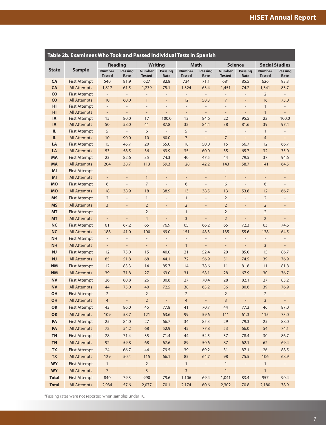<span id="page-9-0"></span>

| Table 2b. Examinees Who Took and Passed Individual Tests in Spanish |                                             |                                |                                                   |                                                          |                              |                                               |                                                          |                                                      |                                  |                                |                          |
|---------------------------------------------------------------------|---------------------------------------------|--------------------------------|---------------------------------------------------|----------------------------------------------------------|------------------------------|-----------------------------------------------|----------------------------------------------------------|------------------------------------------------------|----------------------------------|--------------------------------|--------------------------|
|                                                                     |                                             |                                | <b>Reading</b>                                    |                                                          | <b>Writing</b>               |                                               | Math                                                     | <b>Science</b>                                       |                                  | <b>Social Studies</b>          |                          |
| <b>State</b>                                                        | <b>Sample</b>                               | <b>Number</b><br><b>Tested</b> | <b>Passing</b><br>Rate                            | <b>Number</b><br><b>Tested</b>                           | <b>Passing</b><br>Rate       | <b>Number</b><br><b>Tested</b>                | <b>Passing</b><br>Rate                                   | <b>Number</b><br><b>Tested</b>                       | <b>Passing</b><br>Rate           | <b>Number</b><br><b>Tested</b> | <b>Passing</b><br>Rate   |
| CA                                                                  | <b>First Attempt</b>                        | 540                            | 81.9                                              | 627                                                      | 82.8                         | 734                                           | 71.1                                                     | 681                                                  | 85.5                             | 626                            | 93.3                     |
| CA                                                                  | <b>All Attempts</b>                         | 1,817                          | 61.5                                              | 1,239                                                    | 75.1                         | 1,324                                         | 63.4                                                     | 1,451                                                | 74.2                             | 1,341                          | 83.7                     |
| CO                                                                  | <b>First Attempt</b>                        | $\overline{\phantom{a}}$       | $\overline{\phantom{a}}$                          | $\overline{\phantom{0}}$                                 | $\qquad \qquad \blacksquare$ | $\overline{\phantom{0}}$                      | $\overline{\phantom{a}}$                                 | $\overline{\phantom{a}}$                             | $\qquad \qquad -$                | 2                              | $\overline{\phantom{a}}$ |
| CO                                                                  | <b>All Attempts</b>                         | 10                             | 60.0                                              | $\mathbf{1}$                                             | $\overline{\phantom{a}}$     | 12                                            | 58.3                                                     | $\overline{7}$                                       | $\qquad \qquad \blacksquare$     | 16                             | 75.0                     |
| HI<br>HI                                                            | <b>First Attempt</b><br><b>All Attempts</b> | $\overline{\phantom{a}}$       | $\qquad \qquad -$<br>$\qquad \qquad \blacksquare$ | $\overline{\phantom{m}}$<br>$\qquad \qquad \blacksquare$ | $\overline{a}$<br>-          | $\frac{1}{2}$<br>$\qquad \qquad \blacksquare$ | $\overline{\phantom{m}}$<br>$\qquad \qquad \blacksquare$ | $\overline{\phantom{a}}$<br>$\overline{\phantom{a}}$ | $\overline{a}$<br>$\overline{a}$ | $\mathbf{1}$<br>$\mathbf{1}$   | $\overline{\phantom{m}}$ |
| <b>IA</b>                                                           | <b>First Attempt</b>                        | $\overline{\phantom{a}}$<br>15 | 80.0                                              | 17                                                       | 100.0                        | 13                                            | 84.6                                                     | 22                                                   | 95.5                             | 22                             | 100.0                    |
| <b>IA</b>                                                           | <b>All Attempts</b>                         | 50                             | 58.0                                              | 41                                                       | 87.8                         | 32                                            | 84.4                                                     | 38                                                   | 81.6                             | 39                             | 97.4                     |
| IL.                                                                 | <b>First Attempt</b>                        | 5                              | $\overline{\phantom{a}}$                          | 6                                                        | $\overline{\phantom{0}}$     | 5                                             | $\overline{\phantom{m}}$                                 | $\mathbf{1}$                                         | $\overline{\phantom{m}}$         | $\mathbf{1}$                   |                          |
| IL.                                                                 | All Attempts                                | 10                             | 90.0                                              | 10                                                       | 60.0                         | $\overline{7}$                                | $\overline{\phantom{a}}$                                 | $\overline{7}$                                       | $\qquad \qquad -$                | $\overline{4}$                 | $\overline{\phantom{0}}$ |
| LA                                                                  | <b>First Attempt</b>                        | 15                             | 46.7                                              | 20                                                       | 65.0                         | 18                                            | 50.0                                                     | 15                                                   | 66.7                             | 12                             | 66.7                     |
| LA                                                                  | <b>All Attempts</b>                         | 53                             | 58.5                                              | 36                                                       | 63.9                         | 35                                            | 60.0                                                     | 35                                                   | 65.7                             | 32                             | 75.0                     |
| <b>MA</b>                                                           | <b>First Attempt</b>                        | 23                             | 82.6                                              | 35                                                       | 74.3                         | 40                                            | 47.5                                                     | 44                                                   | 79.5                             | 37                             | 94.6                     |
| <b>MA</b>                                                           | All Attempts                                | 204                            | 38.7                                              | 113                                                      | 59.3                         | 128                                           | 42.2                                                     | 143                                                  | 58.7                             | 141                            | 64.5                     |
| MI                                                                  | <b>First Attempt</b>                        | $\overline{\phantom{a}}$       | $\qquad \qquad \blacksquare$                      | $\qquad \qquad -$                                        | $\qquad \qquad -$            | $\qquad \qquad -$                             | $\qquad \qquad -$                                        | $\qquad \qquad \blacksquare$                         | $\qquad \qquad -$                | $\overline{\phantom{0}}$       |                          |
| MI                                                                  | <b>All Attempts</b>                         | $\overline{\phantom{a}}$       | $\overline{\phantom{a}}$                          | $\mathbf{1}$                                             | $\qquad \qquad \blacksquare$ | $\qquad \qquad \blacksquare$                  | $\overline{a}$                                           | $\mathbf{1}$                                         | $\overline{a}$                   | $\qquad \qquad \blacksquare$   |                          |
| <b>MO</b>                                                           | <b>First Attempt</b>                        | 6                              | $\overline{a}$                                    | $\overline{7}$                                           | L,                           | 6                                             | L,                                                       | 6                                                    | $\overline{a}$                   | 6                              |                          |
| <b>MO</b>                                                           | <b>All Attempts</b>                         | 18                             | 38.9                                              | 18                                                       | 38.9                         | 13                                            | 38.5                                                     | 13                                                   | 53.8                             | 12                             | 66.7                     |
| <b>MS</b>                                                           | <b>First Attempt</b>                        | $\overline{2}$                 | $\qquad \qquad -$                                 | $\mathbf{1}$                                             | $\qquad \qquad \blacksquare$ | $\mathbf{1}$                                  | $\overline{\phantom{m}}$                                 | $\overline{2}$                                       | $\overline{a}$                   | $\overline{2}$                 |                          |
| <b>MS</b>                                                           | <b>All Attempts</b>                         | 3                              | $\qquad \qquad \blacksquare$                      | $\overline{2}$                                           | $\qquad \qquad \blacksquare$ | $\overline{2}$                                | $\overline{a}$                                           | $\overline{2}$                                       | $\overline{a}$                   | $\overline{2}$                 | $\qquad \qquad -$        |
| <b>MT</b>                                                           | <b>First Attempt</b>                        | $\overline{\phantom{a}}$       | $\overline{\phantom{a}}$                          | $\overline{2}$                                           | $\qquad \qquad \blacksquare$ | $\mathbf{1}$                                  | $\overline{a}$                                           | $\overline{2}$                                       | $\overline{a}$                   | $\overline{2}$                 | $\overline{\phantom{m}}$ |
| <b>MT</b>                                                           | <b>All Attempts</b>                         | $\blacksquare$                 | $\overline{\phantom{a}}$                          | $\overline{4}$                                           | $\overline{a}$               | 3                                             | $\overline{a}$                                           | $\overline{2}$                                       | $\overline{a}$                   | $\overline{2}$                 | $\overline{\phantom{a}}$ |
| <b>NC</b>                                                           | <b>First Attempt</b>                        | 61                             | 67.2                                              | 65                                                       | 76.9                         | 65                                            | 66.2                                                     | 65                                                   | 72.3                             | 63                             | 74.6                     |
| <b>NC</b>                                                           | <b>All Attempts</b>                         | 188                            | 41.0                                              | 100                                                      | 69.0                         | 151                                           | 48.3                                                     | 135                                                  | 55.6                             | 138                            | 64.5                     |
| <b>NH</b>                                                           | <b>First Attempt</b>                        | $\overline{\phantom{a}}$       | $\qquad \qquad -$                                 | $\overline{\phantom{m}}$                                 | $\overline{\phantom{m}}$     | $\qquad \qquad -$                             | $\overline{a}$                                           | $\overline{\phantom{a}}$                             | $\overline{\phantom{m}}$         | $\qquad \qquad -$              |                          |
| <b>NH</b>                                                           | All Attempts                                | $\overline{\phantom{a}}$       | $\overline{\phantom{a}}$                          | $\blacksquare$                                           | $\Box$                       | 1                                             | $\blacksquare$                                           | $\overline{\phantom{a}}$                             | $\blacksquare$                   | 3                              | $\overline{\phantom{a}}$ |
| <b>NJ</b>                                                           | <b>First Attempt</b>                        | 12                             | 75.0                                              | 15                                                       | 40.0                         | 21                                            | 52.4                                                     | 20                                                   | 85.0                             | 15                             | 86.7                     |
| <b>NJ</b>                                                           | <b>All Attempts</b>                         | 85                             | 51.8                                              | 68                                                       | 44.1                         | 72                                            | 56.9                                                     | 51                                                   | 74.5                             | 39                             | 76.9                     |
| <b>NM</b>                                                           | <b>First Attempt</b>                        | 12                             | 83.3                                              | 14                                                       | 85.7                         | 14                                            | 78.6                                                     | 11                                                   | 81.8                             | 11                             | 81.8                     |
| <b>NM</b>                                                           | <b>All Attempts</b>                         | 39                             | 71.8                                              | 27                                                       | 63.0                         | 31                                            | 58.1                                                     | 28                                                   | 67.9                             | 30                             | 76.7                     |
| <b>NV</b>                                                           | <b>First Attempt</b>                        | 26                             | 80.8                                              | 26                                                       | 80.8                         | 27                                            | 70.4                                                     | 28                                                   | 82.1                             | 27                             | 85.2                     |
| <b>NV</b>                                                           | <b>All Attempts</b>                         | 44                             | 75.0                                              | 40                                                       | 72.5                         | 38                                            | 63.2                                                     | 36                                                   | 80.6                             | 39                             | 76.9                     |
| OH                                                                  | <b>First Attempt</b>                        | 2                              | $\overline{\phantom{a}}$                          | $\overline{2}$                                           | $\overline{\phantom{a}}$     | $\overline{2}$                                | $\qquad \qquad -$                                        | 2                                                    | $\overline{\phantom{m}}$         | 2                              | $\overline{\phantom{a}}$ |
| OH                                                                  | <b>All Attempts</b>                         | 4                              | $\overline{\phantom{a}}$                          | $\overline{2}$                                           |                              | $\overline{4}$                                | $\overline{\phantom{0}}$                                 | $\overline{\mathbf{3}}$                              | $\overline{\phantom{a}}$         | $\overline{3}$                 | ÷                        |
| OK                                                                  | <b>First Attempt</b>                        | 43                             | 86.0                                              | 45                                                       | 77.8                         | 41                                            | 70.7                                                     | 44                                                   | 77.3                             | 46                             | 87.0                     |
| OK                                                                  | <b>All Attempts</b>                         | 109                            | 58.7                                              | 121                                                      | 63.6                         | 99                                            | 59.6                                                     | 111                                                  | 61.3                             | 115                            | 73.0                     |
| PA                                                                  | <b>First Attempt</b>                        | 25                             | 84.0                                              | 27                                                       | 66.7                         | 34                                            | 85.3                                                     | 29                                                   | 79.3                             | 25                             | 88.0                     |
| PA                                                                  | <b>All Attempts</b>                         | 72                             | 54.2                                              | 68                                                       | 52.9                         | 45                                            | 77.8                                                     | 53                                                   | 66.0                             | 54                             | 74.1                     |
| <b>TN</b>                                                           | <b>First Attempt</b>                        | 28                             | 71.4                                              | 35                                                       | 71.4                         | 44                                            | 54.5                                                     | 37                                                   | 78.4                             | 30                             | 86.7                     |
| <b>TN</b>                                                           | <b>All Attempts</b>                         | 92                             | 59.8                                              | 68                                                       | 67.6                         | 89                                            | 50.6                                                     | 87                                                   | 62.1                             | 62                             | 69.4                     |
| <b>TX</b>                                                           | <b>First Attempt</b>                        | 24                             | 66.7                                              | 44                                                       | 79.5                         | 39                                            | 69.2                                                     | 31                                                   | 87.1                             | 26                             | 88.5                     |
| <b>TX</b>                                                           | <b>All Attempts</b>                         | 129                            | 50.4                                              | 115                                                      | 66.1                         | 85                                            | 64.7                                                     | 98                                                   | 75.5                             | 106                            | 68.9                     |
| <b>WY</b>                                                           | <b>First Attempt</b>                        | $\mathbf{1}$                   | $\overline{\phantom{a}}$                          | $\overline{2}$                                           | $\overline{\phantom{a}}$     | $\mathbf{1}$                                  | $\overline{\phantom{a}}$                                 | $\mathbf{1}$                                         | -                                | $\mathbf{1}$                   |                          |
| <b>WY</b>                                                           | <b>All Attempts</b>                         | $\overline{7}$                 | $\blacksquare$                                    | 3                                                        | $\Box$                       | 3                                             | $\overline{\phantom{a}}$                                 | $\mathbf{1}$                                         | $\overline{\phantom{a}}$         | $\mathbf{1}$                   | $\blacksquare$           |
| <b>Total</b>                                                        | <b>First Attempt</b>                        | 840                            | 79.3                                              | 990                                                      | 79.6                         | 1,106                                         | 69.4                                                     | 1,041                                                | 83.4                             | 957                            | 90.4                     |
| <b>Total</b>                                                        | <b>All Attempts</b>                         | 2,934                          | 57.6                                              | 2,077                                                    | 70.1                         | 2,174                                         | 60.6                                                     | 2,302                                                | 70.8                             | 2,180                          | 78.9                     |

\*Passing rates were not reported when samples under 10.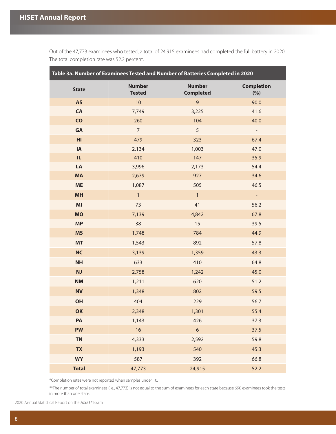<span id="page-10-0"></span>Out of the 47,773 examinees who tested, a total of 24,915 examinees had completed the full battery in 2020. The total completion rate was 52.2 percent.

| Table 3a. Number of Examinees Tested and Number of Batteries Completed in 2020 |                                |                                   |                          |  |  |  |  |
|--------------------------------------------------------------------------------|--------------------------------|-----------------------------------|--------------------------|--|--|--|--|
| <b>State</b>                                                                   | <b>Number</b><br><b>Tested</b> | <b>Number</b><br><b>Completed</b> | <b>Completion</b><br>(%) |  |  |  |  |
| <b>AS</b>                                                                      | 10                             | $\overline{9}$                    | 90.0                     |  |  |  |  |
| CA                                                                             | 7,749                          | 3,225                             | 41.6                     |  |  |  |  |
| $\overline{c}$                                                                 | 260                            | 104                               | 40.0                     |  |  |  |  |
| GA                                                                             | $\overline{7}$                 | 5                                 |                          |  |  |  |  |
| H <sub>l</sub>                                                                 | 479                            | 323                               | 67.4                     |  |  |  |  |
| IA                                                                             | 2,134                          | 1,003                             | 47.0                     |  |  |  |  |
| IL.                                                                            | 410                            | 147                               | 35.9                     |  |  |  |  |
| LA                                                                             | 3,996                          | 2,173                             | 54.4                     |  |  |  |  |
| <b>MA</b>                                                                      | 2,679                          | 927                               | 34.6                     |  |  |  |  |
| <b>ME</b>                                                                      | 1,087                          | 505                               | 46.5                     |  |  |  |  |
| <b>MH</b>                                                                      | $\mathbf{1}$                   | $\overline{1}$                    | $\blacksquare$           |  |  |  |  |
| M <sub>l</sub>                                                                 | 73                             | 41                                | 56.2                     |  |  |  |  |
| <b>MO</b>                                                                      | 7,139                          | 4,842                             | 67.8                     |  |  |  |  |
| <b>MP</b>                                                                      | 38                             | 15                                | 39.5                     |  |  |  |  |
| <b>MS</b>                                                                      | 1,748                          | 784                               | 44.9                     |  |  |  |  |
| <b>MT</b>                                                                      | 1,543                          | 892                               | 57.8                     |  |  |  |  |
| <b>NC</b>                                                                      | 3,139                          | 1,359                             | 43.3                     |  |  |  |  |
| <b>NH</b>                                                                      | 633                            | 410                               | 64.8                     |  |  |  |  |
| NJ                                                                             | 2,758                          | 1,242                             | 45.0                     |  |  |  |  |
| <b>NM</b>                                                                      | 1,211                          | 620                               | 51.2                     |  |  |  |  |
| <b>NV</b>                                                                      | 1,348                          | 802                               | 59.5                     |  |  |  |  |
| OH                                                                             | 404                            | 229                               | 56.7                     |  |  |  |  |
| OK                                                                             | 2,348                          | 1,301                             | 55.4                     |  |  |  |  |
| PA                                                                             | 1,143                          | 426                               | 37.3                     |  |  |  |  |
| <b>PW</b>                                                                      | 16                             | $\boldsymbol{6}$                  | 37.5                     |  |  |  |  |
| <b>TN</b>                                                                      | 4,333                          | 2,592                             | 59.8                     |  |  |  |  |
| <b>TX</b>                                                                      | 1,193                          | 540                               | 45.3                     |  |  |  |  |
| <b>WY</b>                                                                      | 587                            | 392                               | 66.8                     |  |  |  |  |
| <b>Total</b>                                                                   | 47,773                         | 24,915                            | 52.2                     |  |  |  |  |

\*Completion rates were not reported when samples under 10.

\*\*The number of total examinees (i.e., 47,773) is not equal to the sum of examinees for each state because 690 examinees took the tests in more than one state.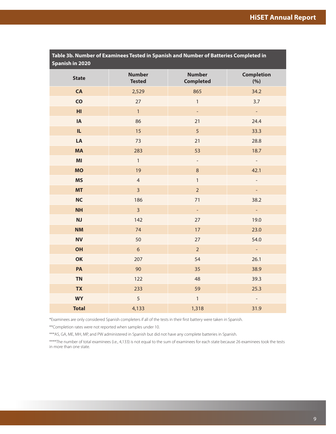<span id="page-11-0"></span>

| Table 3b. Number of Examinees Tested in Spanish and Number of Batteries Completed in<br>Spanish in 2020 |                                |                                   |                          |  |  |  |
|---------------------------------------------------------------------------------------------------------|--------------------------------|-----------------------------------|--------------------------|--|--|--|
| <b>State</b>                                                                                            | <b>Number</b><br><b>Tested</b> | <b>Number</b><br><b>Completed</b> | <b>Completion</b><br>(%) |  |  |  |
| CA                                                                                                      | 2,529                          | 865                               | 34.2                     |  |  |  |
| $\overline{c}$                                                                                          | 27                             | $\mathbf{1}$                      | 3.7                      |  |  |  |
| HI                                                                                                      | $\mathbf{1}$                   | $\blacksquare$                    | $\Box$                   |  |  |  |
| IA                                                                                                      | 86                             | 21                                | 24.4                     |  |  |  |
| IL.                                                                                                     | 15                             | 5                                 | 33.3                     |  |  |  |
| LA                                                                                                      | 73                             | 21                                | 28.8                     |  |  |  |
| <b>MA</b>                                                                                               | 283                            | 53                                | 18.7                     |  |  |  |
| MI                                                                                                      | $\mathbf{1}$                   | $\overline{\phantom{a}}$          |                          |  |  |  |
| <b>MO</b>                                                                                               | 19                             | $\,8\,$                           | 42.1                     |  |  |  |
| <b>MS</b>                                                                                               | $\overline{4}$                 | $\mathbf{1}$                      |                          |  |  |  |
| <b>MT</b>                                                                                               | $\overline{\mathbf{3}}$        | $\overline{2}$                    | ÷                        |  |  |  |
| <b>NC</b>                                                                                               | 186                            | 71                                | 38.2                     |  |  |  |
| <b>NH</b>                                                                                               | $\overline{3}$                 | $\blacksquare$                    | $\blacksquare$           |  |  |  |
| NJ                                                                                                      | 142                            | 27                                | 19.0                     |  |  |  |
| <b>NM</b>                                                                                               | 74                             | 17                                | 23.0                     |  |  |  |
| <b>NV</b>                                                                                               | 50                             | 27                                | 54.0                     |  |  |  |
| OH                                                                                                      | $6\,$                          | $\overline{2}$                    | $\mathbb{Z}^2$           |  |  |  |
| OK                                                                                                      | 207                            | 54                                | 26.1                     |  |  |  |
| PA                                                                                                      | 90                             | 35                                | 38.9                     |  |  |  |
| <b>TN</b>                                                                                               | 122                            | 48                                | 39.3                     |  |  |  |
| <b>TX</b>                                                                                               | 233                            | 59                                | 25.3                     |  |  |  |
| <b>WY</b>                                                                                               | 5                              | $\mathbbm{1}$                     |                          |  |  |  |
| <b>Total</b>                                                                                            | 4,133                          | 1,318                             | 31.9                     |  |  |  |

\*Examinees are only considered Spanish completers if all of the tests in their first battery were taken in Spanish.

\*\*Completion rates were not reported when samples under 10.

\*\*\*AS, GA, ME, MH, MP, and PW administered in Spanish but did not have any complete batteries in Spanish.

\*\*\*\*The number of total examinees (i.e., 4,133) is not equal to the sum of examinees for each state because 26 examinees took the tests in more than one state.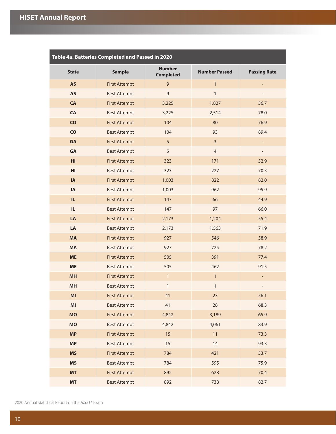<span id="page-12-0"></span>

| Table 4a. Batteries Completed and Passed in 2020 |                      |                                   |                      |                          |  |  |  |
|--------------------------------------------------|----------------------|-----------------------------------|----------------------|--------------------------|--|--|--|
| <b>State</b>                                     | <b>Sample</b>        | <b>Number</b><br><b>Completed</b> | <b>Number Passed</b> | <b>Passing Rate</b>      |  |  |  |
| <b>AS</b>                                        | <b>First Attempt</b> | 9                                 | $\mathbf{1}$         |                          |  |  |  |
| <b>AS</b>                                        | <b>Best Attempt</b>  | $\mathsf 9$                       | $\mathbf{1}$         |                          |  |  |  |
| CA                                               | <b>First Attempt</b> | 3,225                             | 1,827                | 56.7                     |  |  |  |
| CA                                               | <b>Best Attempt</b>  | 3,225                             | 2,514                | 78.0                     |  |  |  |
| $\overline{c}$                                   | <b>First Attempt</b> | 104                               | 80                   | 76.9                     |  |  |  |
| <b>CO</b>                                        | <b>Best Attempt</b>  | 104                               | 93                   | 89.4                     |  |  |  |
| GA                                               | <b>First Attempt</b> | 5                                 | $\overline{3}$       | $\overline{\phantom{a}}$ |  |  |  |
| GA                                               | <b>Best Attempt</b>  | 5                                 | $\overline{4}$       | $\overline{\phantom{a}}$ |  |  |  |
| H <sub>l</sub>                                   | <b>First Attempt</b> | 323                               | 171                  | 52.9                     |  |  |  |
| HI                                               | <b>Best Attempt</b>  | 323                               | 227                  | 70.3                     |  |  |  |
| IA                                               | <b>First Attempt</b> | 1,003                             | 822                  | 82.0                     |  |  |  |
| ${\sf IA}$                                       | <b>Best Attempt</b>  | 1,003                             | 962                  | 95.9                     |  |  |  |
| IL.                                              | <b>First Attempt</b> | 147                               | 66                   | 44.9                     |  |  |  |
| IL.                                              | <b>Best Attempt</b>  | 147                               | 97                   | 66.0                     |  |  |  |
| LA                                               | <b>First Attempt</b> | 2,173                             | 1,204                | 55.4                     |  |  |  |
| LA                                               | <b>Best Attempt</b>  | 2,173                             | 1,563                | 71.9                     |  |  |  |
| <b>MA</b>                                        | <b>First Attempt</b> | 927                               | 546                  | 58.9                     |  |  |  |
| <b>MA</b>                                        | <b>Best Attempt</b>  | 927                               | 725                  | 78.2                     |  |  |  |
| <b>ME</b>                                        | <b>First Attempt</b> | 505                               | 391                  | 77.4                     |  |  |  |
| <b>ME</b>                                        | <b>Best Attempt</b>  | 505                               | 462                  | 91.5                     |  |  |  |
| <b>MH</b>                                        | <b>First Attempt</b> | $\mathbf{1}$                      | $\mathbf{1}$         | $\overline{\phantom{a}}$ |  |  |  |
| MH                                               | <b>Best Attempt</b>  | $\mathbf{1}$                      | $\mathbf{1}$         |                          |  |  |  |
| MI                                               | <b>First Attempt</b> | 41                                | 23                   | 56.1                     |  |  |  |
| MI                                               | <b>Best Attempt</b>  | 41                                | 28                   | 68.3                     |  |  |  |
| <b>MO</b>                                        | <b>First Attempt</b> | 4,842                             | 3,189                | 65.9                     |  |  |  |
| <b>MO</b>                                        | <b>Best Attempt</b>  | 4,842                             | 4,061                | 83.9                     |  |  |  |
| <b>MP</b>                                        | <b>First Attempt</b> | 15                                | 11                   | 73.3                     |  |  |  |
| <b>MP</b>                                        | <b>Best Attempt</b>  | 15                                | 14                   | 93.3                     |  |  |  |
| <b>MS</b>                                        | <b>First Attempt</b> | 784                               | 421                  | 53.7                     |  |  |  |
| <b>MS</b>                                        | <b>Best Attempt</b>  | 784                               | 595                  | 75.9                     |  |  |  |
| <b>MT</b>                                        | <b>First Attempt</b> | 892                               | 628                  | 70.4                     |  |  |  |
| <b>MT</b>                                        | <b>Best Attempt</b>  | 892                               | 738                  | 82.7                     |  |  |  |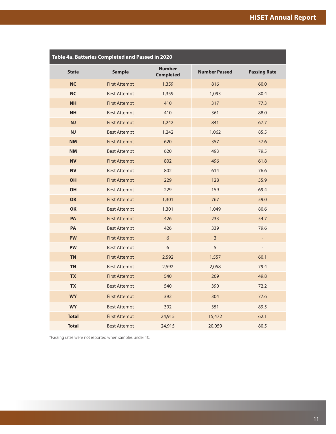| Table 4a. Batteries Completed and Passed in 2020 |                      |                                   |                      |                          |  |  |  |
|--------------------------------------------------|----------------------|-----------------------------------|----------------------|--------------------------|--|--|--|
| <b>State</b>                                     | <b>Sample</b>        | <b>Number</b><br><b>Completed</b> | <b>Number Passed</b> | <b>Passing Rate</b>      |  |  |  |
| <b>NC</b>                                        | <b>First Attempt</b> | 1,359                             | 816                  | 60.0                     |  |  |  |
| <b>NC</b>                                        | <b>Best Attempt</b>  | 1,359                             | 1,093                | 80.4                     |  |  |  |
| <b>NH</b>                                        | <b>First Attempt</b> | 410                               | 317                  | 77.3                     |  |  |  |
| <b>NH</b>                                        | <b>Best Attempt</b>  | 410                               | 361                  | 88.0                     |  |  |  |
| <b>NJ</b>                                        | <b>First Attempt</b> | 1,242                             | 841                  | 67.7                     |  |  |  |
| NJ                                               | <b>Best Attempt</b>  | 1,242                             | 1,062                | 85.5                     |  |  |  |
| <b>NM</b>                                        | <b>First Attempt</b> | 620                               | 357                  | 57.6                     |  |  |  |
| <b>NM</b>                                        | <b>Best Attempt</b>  | 620                               | 493                  | 79.5                     |  |  |  |
| <b>NV</b>                                        | <b>First Attempt</b> | 802                               | 496                  | 61.8                     |  |  |  |
| <b>NV</b>                                        | <b>Best Attempt</b>  | 802                               | 614                  | 76.6                     |  |  |  |
| OH                                               | <b>First Attempt</b> | 229                               | 128                  | 55.9                     |  |  |  |
| <b>OH</b>                                        | <b>Best Attempt</b>  | 229                               | 159                  | 69.4                     |  |  |  |
| OK                                               | <b>First Attempt</b> | 1,301                             | 767                  | 59.0                     |  |  |  |
| OK                                               | <b>Best Attempt</b>  | 1,301                             | 1,049                | 80.6                     |  |  |  |
| PA                                               | <b>First Attempt</b> | 426                               | 233                  | 54.7                     |  |  |  |
| PA                                               | <b>Best Attempt</b>  | 426                               | 339                  | 79.6                     |  |  |  |
| <b>PW</b>                                        | <b>First Attempt</b> | $\sqrt{6}$                        | $\overline{3}$       | $\overline{\phantom{a}}$ |  |  |  |
| <b>PW</b>                                        | <b>Best Attempt</b>  | $\sqrt{6}$                        | 5                    | $\overline{\phantom{a}}$ |  |  |  |
| <b>TN</b>                                        | <b>First Attempt</b> | 2,592                             | 1,557                | 60.1                     |  |  |  |
| <b>TN</b>                                        | <b>Best Attempt</b>  | 2,592                             | 2,058                | 79.4                     |  |  |  |
| <b>TX</b>                                        | <b>First Attempt</b> | 540                               | 269                  | 49.8                     |  |  |  |
| <b>TX</b>                                        | <b>Best Attempt</b>  | 540                               | 390                  | 72.2                     |  |  |  |
| <b>WY</b>                                        | <b>First Attempt</b> | 392                               | 304                  | 77.6                     |  |  |  |
| <b>WY</b>                                        | <b>Best Attempt</b>  | 392                               | 351                  | 89.5                     |  |  |  |
| <b>Total</b>                                     | <b>First Attempt</b> | 24,915                            | 15,472               | 62.1                     |  |  |  |
| <b>Total</b>                                     | <b>Best Attempt</b>  | 24,915                            | 20,059               | 80.5                     |  |  |  |

\*Passing rates were not reported when samples under 10.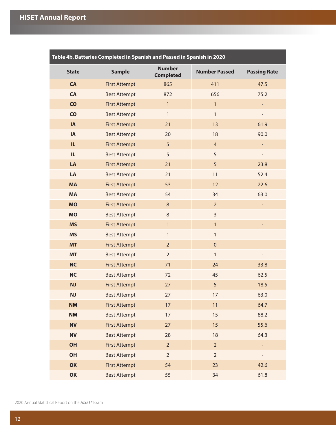<span id="page-14-0"></span>

| Table 4b. Batteries Completed in Spanish and Passed in Spanish in 2020 |                      |                                   |                      |                          |  |  |  |  |  |  |
|------------------------------------------------------------------------|----------------------|-----------------------------------|----------------------|--------------------------|--|--|--|--|--|--|
| <b>State</b>                                                           | <b>Sample</b>        | <b>Number</b><br><b>Completed</b> | <b>Number Passed</b> | <b>Passing Rate</b>      |  |  |  |  |  |  |
| <b>CA</b>                                                              | <b>First Attempt</b> | 865                               | 411                  | 47.5                     |  |  |  |  |  |  |
| <b>CA</b>                                                              | <b>Best Attempt</b>  | 872                               | 656                  | 75.2                     |  |  |  |  |  |  |
| $\overline{c}$                                                         | <b>First Attempt</b> | $\mathbf{1}$                      | $\mathbf{1}$         |                          |  |  |  |  |  |  |
| CO                                                                     | <b>Best Attempt</b>  | $\mathbf{1}$                      | $\mathbf{1}$         |                          |  |  |  |  |  |  |
| <b>IA</b>                                                              | <b>First Attempt</b> | 21                                | 13                   | 61.9                     |  |  |  |  |  |  |
| <b>IA</b>                                                              | <b>Best Attempt</b>  | 20                                | 18                   | 90.0                     |  |  |  |  |  |  |
| IL.                                                                    | <b>First Attempt</b> | 5                                 | $\overline{4}$       | $\overline{\phantom{a}}$ |  |  |  |  |  |  |
| IL.                                                                    | <b>Best Attempt</b>  | 5                                 | 5                    | $\overline{\phantom{a}}$ |  |  |  |  |  |  |
| LA                                                                     | <b>First Attempt</b> | 21                                | 5                    | 23.8                     |  |  |  |  |  |  |
| LA                                                                     | <b>Best Attempt</b>  | 21                                | 11                   | 52.4                     |  |  |  |  |  |  |
| <b>MA</b>                                                              | <b>First Attempt</b> | 53                                | 12                   | 22.6                     |  |  |  |  |  |  |
| <b>MA</b>                                                              | <b>Best Attempt</b>  | 54                                | 34                   | 63.0                     |  |  |  |  |  |  |
| <b>MO</b>                                                              | <b>First Attempt</b> | $\,8\,$                           | $\overline{2}$       | $\overline{\phantom{a}}$ |  |  |  |  |  |  |
| <b>MO</b>                                                              | <b>Best Attempt</b>  | $\,8\,$                           | 3                    | $\overline{\phantom{0}}$ |  |  |  |  |  |  |
| <b>MS</b>                                                              | <b>First Attempt</b> | $\mathbf{1}$                      | $\mathbf{1}$         | $\overline{a}$           |  |  |  |  |  |  |
| <b>MS</b>                                                              | <b>Best Attempt</b>  | $\mathbf{1}$                      | $\mathbf{1}$         |                          |  |  |  |  |  |  |
| <b>MT</b>                                                              | <b>First Attempt</b> | $\overline{2}$                    | $\pmb{0}$            |                          |  |  |  |  |  |  |
| <b>MT</b>                                                              | <b>Best Attempt</b>  | $\overline{2}$                    | $\mathbf{1}$         |                          |  |  |  |  |  |  |
| <b>NC</b>                                                              | <b>First Attempt</b> | 71                                | 24                   | 33.8                     |  |  |  |  |  |  |
| <b>NC</b>                                                              | <b>Best Attempt</b>  | 72                                | 45                   | 62.5                     |  |  |  |  |  |  |
| <b>NJ</b>                                                              | <b>First Attempt</b> | 27                                | 5                    | 18.5                     |  |  |  |  |  |  |
| <b>NJ</b>                                                              | <b>Best Attempt</b>  | 27                                | 17                   | 63.0                     |  |  |  |  |  |  |
| <b>NM</b>                                                              | <b>First Attempt</b> | 17                                | 11                   | 64.7                     |  |  |  |  |  |  |
| <b>NM</b>                                                              | <b>Best Attempt</b>  | 17                                | 15                   | 88.2                     |  |  |  |  |  |  |
| <b>NV</b>                                                              | <b>First Attempt</b> | 27                                | 15                   | 55.6                     |  |  |  |  |  |  |
| <b>NV</b>                                                              | <b>Best Attempt</b>  | 28                                | 18                   | 64.3                     |  |  |  |  |  |  |
| <b>OH</b>                                                              | <b>First Attempt</b> | $\overline{2}$                    | $\overline{2}$       | $\blacksquare$           |  |  |  |  |  |  |
| <b>OH</b>                                                              | <b>Best Attempt</b>  | $\overline{2}$                    | $\overline{2}$       | $\overline{\phantom{0}}$ |  |  |  |  |  |  |
| OK                                                                     | <b>First Attempt</b> | 54                                | 23                   | 42.6                     |  |  |  |  |  |  |
| OK                                                                     | <b>Best Attempt</b>  | 55                                | 34                   | 61.8                     |  |  |  |  |  |  |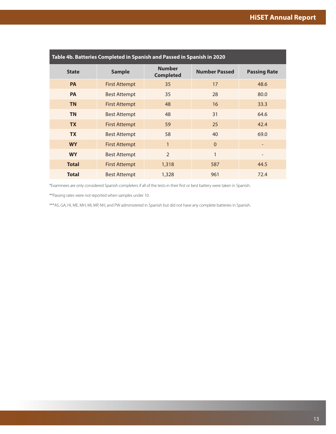| Table 4b. Batteries Completed in Spanish and Passed in Spanish in 2020 |                      |                                   |                      |                     |  |  |  |  |  |  |
|------------------------------------------------------------------------|----------------------|-----------------------------------|----------------------|---------------------|--|--|--|--|--|--|
| <b>State</b>                                                           | <b>Sample</b>        | <b>Number</b><br><b>Completed</b> | <b>Number Passed</b> | <b>Passing Rate</b> |  |  |  |  |  |  |
| <b>PA</b>                                                              | <b>First Attempt</b> | 35                                | 17                   | 48.6                |  |  |  |  |  |  |
| <b>PA</b>                                                              | <b>Best Attempt</b>  | 35                                | 28                   | 80.0                |  |  |  |  |  |  |
| <b>TN</b>                                                              | <b>First Attempt</b> | 48                                | 16                   | 33.3                |  |  |  |  |  |  |
| <b>TN</b>                                                              | <b>Best Attempt</b>  | 48                                | 31                   | 64.6                |  |  |  |  |  |  |
| <b>TX</b>                                                              | <b>First Attempt</b> | 59                                | 25                   | 42.4                |  |  |  |  |  |  |
| <b>TX</b>                                                              | <b>Best Attempt</b>  | 58                                | 40                   | 69.0                |  |  |  |  |  |  |
| <b>WY</b>                                                              | First Attempt        | $\mathbf{1}$                      | $\Omega$             |                     |  |  |  |  |  |  |
| <b>WY</b>                                                              | <b>Best Attempt</b>  | $\overline{2}$                    | 1                    |                     |  |  |  |  |  |  |
| <b>Total</b>                                                           | <b>First Attempt</b> | 1,318                             | 587                  | 44.5                |  |  |  |  |  |  |
| <b>Total</b>                                                           | <b>Best Attempt</b>  | 1,328                             | 961                  | 72.4                |  |  |  |  |  |  |

\*Examinees are only considered Spanish completers if all of the tests in their first or best battery were taken in Spanish.

\*\*Passing rates were not reported when samples under 10.

\*\*\*AS, GA, HI, ME, MH, MI, MP, NH, and PW administered in Spanish but did not have any complete batteries in Spanish.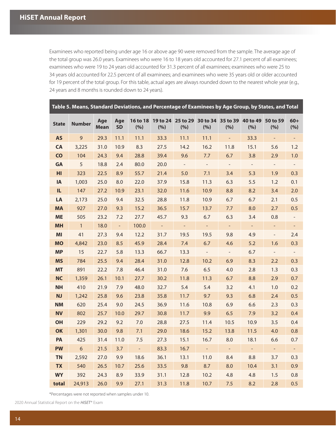<span id="page-16-0"></span>Examinees who reported being under age 16 or above age 90 were removed from the sample. The average age of the total group was 26.0 years. Examinees who were 16 to 18 years old accounted for 27.1 percent of all examinees; examinees who were 19 to 24 years old accounted for 31.3 percent of all examinees; examinees who were 25 to 34 years old accounted for 22.5 percent of all examinees; and examinees who were 35 years old or older accounted for 19 percent of the total group. For this table, actual ages are always rounded down to the nearest whole year (e.g., 24 years and 8 months is rounded down to 24 years).

| Table 5. Means, Standard Deviations, and Percentage of Examinees by Age Group, by States, and Total |               |                    |                  |                        |                      |        |                  |                          |                                                     |                          |                          |  |
|-----------------------------------------------------------------------------------------------------|---------------|--------------------|------------------|------------------------|----------------------|--------|------------------|--------------------------|-----------------------------------------------------|--------------------------|--------------------------|--|
| <b>State</b>                                                                                        | <b>Number</b> | Age<br><b>Mean</b> | Age<br><b>SD</b> | <b>16 to 18</b><br>(%) | (%)                  | (%)    | (%)              | (%)                      | 19 to 24 25 to 29 30 to 34 35 to 39 40 to 49<br>(%) | 50 to 59<br>(%)          | $60+$<br>(%)             |  |
| <b>AS</b>                                                                                           | 9             | 29.3               | 11.1             | 11.1                   | 33.3                 | 11.1   | 11.1             | $\omega_{\rm c}$         | 33.3                                                | $\equiv$                 | $\equiv$                 |  |
| <b>CA</b>                                                                                           | 3,225         | 31.0               | 10.9             | 8.3                    | 27.5                 | 14.2   | 16.2             | 11.8                     | 15.1                                                | 5.6                      | 1.2                      |  |
| CO                                                                                                  | 104           | 24.3               | 9.4              | 28.8                   | 39.4                 | 9.6    | 7.7              | 6.7                      | 3.8                                                 | 2.9                      | 1.0                      |  |
| GA                                                                                                  | 5             | 18.8               | 2.4              | 80.0                   | 20.0                 | $\sim$ | $\omega_{\rm c}$ | $\omega_{\rm c}$         | $\overline{\phantom{a}}$                            | $\sim$                   | $\blacksquare$           |  |
| HI                                                                                                  | 323           | 22.5               | 8.9              | 55.7                   | 21.4                 | 5.0    | 7.1              | 3.4                      | 5.3                                                 | 1.9                      | 0.3                      |  |
| IA                                                                                                  | 1,003         | 25.0               | 8.0              | 22.0                   | 37.9                 | 15.8   | 11.3             | 6.3                      | 5.5                                                 | 1.2                      | 0.1                      |  |
| IL.                                                                                                 | 147           | 27.2               | 10.9             | 23.1                   | 32.0                 | 11.6   | 10.9             | 8.8                      | 8.2                                                 | 3.4                      | 2.0                      |  |
| LA                                                                                                  | 2,173         | 25.0               | 9.4              | 32.5                   | 28.8                 | 11.8   | 10.9             | 6.7                      | 6.7                                                 | 2.1                      | 0.5                      |  |
| <b>MA</b>                                                                                           | 927           | 27.0               | 9.3              | 15.2                   | 36.5                 | 15.7   | 13.7             | 7.7                      | 8.0                                                 | 2.7                      | 0.5                      |  |
| <b>ME</b>                                                                                           | 505           | 23.2               | 7.2              | 27.7                   | 45.7                 | 9.3    | 6.7              | 6.3                      | 3.4                                                 | 0.8                      |                          |  |
| <b>MH</b>                                                                                           | $\mathbf{1}$  | 18.0               | $\equiv$         | 100.0                  | $\frac{1}{\sqrt{2}}$ | $\pm$  | $\pm$            | $\omega_{\parallel}$     | $\overline{\phantom{a}}$                            | ÷                        | $\overline{\phantom{a}}$ |  |
| MI                                                                                                  | 41            | 27.3               | 9.4              | 12.2                   | 31.7                 | 19.5   | 19.5             | 9.8                      | 4.9                                                 | $\blacksquare$           | 2.4                      |  |
| <b>MO</b>                                                                                           | 4,842         | 23.0               | 8.5              | 45.9                   | 28.4                 | 7.4    | 6.7              | 4.6                      | 5.2                                                 | 1.6                      | 0.3                      |  |
| <b>MP</b>                                                                                           | 15            | 22.7               | 5.8              | 13.3                   | 66.7                 | 13.3   | $\equiv$         | $\overline{\phantom{a}}$ | 6.7                                                 | $\overline{\phantom{a}}$ | $\overline{\phantom{a}}$ |  |
| <b>MS</b>                                                                                           | 784           | 25.5               | 9.4              | 28.4                   | 31.0                 | 12.8   | 10.2             | 6.9                      | 8.3                                                 | 2.2                      | 0.3                      |  |
| <b>MT</b>                                                                                           | 891           | 22.2               | 7.8              | 46.4                   | 31.0                 | 7.6    | 6.5              | 4.0                      | 2.8                                                 | 1.3                      | 0.3                      |  |
| <b>NC</b>                                                                                           | 1,359         | 26.1               | 10.1             | 27.7                   | 30.2                 | 11.8   | 11.3             | 6.7                      | 8.8                                                 | 2.9                      | 0.7                      |  |
| <b>NH</b>                                                                                           | 410           | 21.9               | 7.9              | 48.0                   | 32.7                 | 5.4    | 5.4              | 3.2                      | 4.1                                                 | 1.0                      | 0.2                      |  |
| NJ                                                                                                  | 1,242         | 25.8               | 9.6              | 23.8                   | 35.8                 | 11.7   | 9.7              | 9.3                      | 6.8                                                 | 2.4                      | 0.5                      |  |
| <b>NM</b>                                                                                           | 620           | 25.4               | 9.0              | 24.5                   | 36.9                 | 11.6   | 10.8             | 6.9                      | 6.6                                                 | 2.3                      | 0.3                      |  |
| <b>NV</b>                                                                                           | 802           | 25.7               | 10.0             | 29.7                   | 30.8                 | 11.7   | 9.9              | 6.5                      | 7.9                                                 | 3.2                      | 0.4                      |  |
| OH                                                                                                  | 229           | 29.2               | 9.2              | $7.0$                  | 28.8                 | 27.5   | 11.4             | 10.5                     | 10.9                                                | 3.5                      | 0.4                      |  |
| OK                                                                                                  | 1,301         | 30.0               | 9.8              | 7.1                    | 29.0                 | 18.6   | 15.2             | 13.8                     | 11.5                                                | 4.0                      | 0.8                      |  |
| PA                                                                                                  | 425           | 31.4               | 11.0             | 7.5                    | 27.3                 | 15.1   | 16.7             | 8.0                      | 18.1                                                | 6.6                      | 0.7                      |  |
| <b>PW</b>                                                                                           | 6             | 21.5               | 3.7              | $\omega$               | 83.3                 | 16.7   | $\omega_{\rm c}$ | ÷,                       | $\omega_{\rm c}$                                    | ÷,                       | $\mathbb{Z}^2$           |  |
| <b>TN</b>                                                                                           | 2,592         | 27.0               | 9.9              | 18.6                   | 36.1                 | 13.1   | 11.0             | 8.4                      | 8.8                                                 | 3.7                      | 0.3                      |  |
| <b>TX</b>                                                                                           | 540           | 26.5               | 10.7             | 25.6                   | 33.5                 | 9.8    | 8.7              | 8.0                      | 10.4                                                | 3.1                      | 0.9                      |  |
| <b>WY</b>                                                                                           | 392           | 24.3               | 8.9              | 33.9                   | 31.1                 | 12.8   | 10.2             | 4.8                      | 4.8                                                 | 1.5                      | 0.8                      |  |
| total                                                                                               | 24,913        | 26.0               | 9.9              | 27.1                   | 31.3                 | 11.8   | 10.7             | 7.5                      | 8.2                                                 | 2.8                      | 0.5                      |  |

\*Percentages were not reported when samples under 10.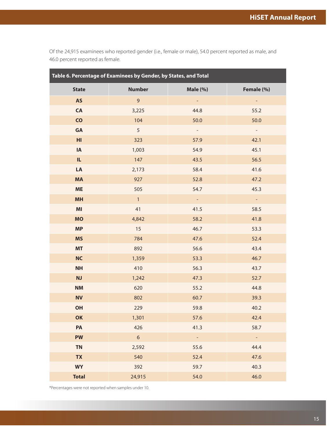<span id="page-17-0"></span>Of the 24,915 examinees who reported gender (i.e., female or male), 54.0 percent reported as male, and 46.0 percent reported as female.

| Table 6. Percentage of Examinees by Gender, by States, and Total |                 |                          |                |  |  |  |  |  |  |
|------------------------------------------------------------------|-----------------|--------------------------|----------------|--|--|--|--|--|--|
| <b>State</b>                                                     | <b>Number</b>   | Male (%)                 | Female (%)     |  |  |  |  |  |  |
| <b>AS</b>                                                        | $\overline{9}$  |                          | ۳.             |  |  |  |  |  |  |
| CA                                                               | 3,225           | 44.8                     | 55.2           |  |  |  |  |  |  |
| $\mathsf{CO}$                                                    | 104             | 50.0                     | 50.0           |  |  |  |  |  |  |
| GA                                                               | 5               | $\overline{\phantom{a}}$ | $\blacksquare$ |  |  |  |  |  |  |
| H <sub>II</sub>                                                  | 323             | 57.9                     | 42.1           |  |  |  |  |  |  |
| IA                                                               | 1,003           | 54.9                     | 45.1           |  |  |  |  |  |  |
| IL.                                                              | 147             | 43.5                     | 56.5           |  |  |  |  |  |  |
| LA                                                               | 2,173           | 58.4                     | 41.6           |  |  |  |  |  |  |
| <b>MA</b>                                                        | 927             | 52.8                     | 47.2           |  |  |  |  |  |  |
| <b>ME</b>                                                        | 505             | 54.7                     | 45.3           |  |  |  |  |  |  |
| <b>MH</b>                                                        | $\mathbf{1}$    | $\omega$                 | $\omega$       |  |  |  |  |  |  |
| MI                                                               | 41              | 41.5                     | 58.5           |  |  |  |  |  |  |
| <b>MO</b>                                                        | 4,842           | 58.2                     | 41.8           |  |  |  |  |  |  |
| <b>MP</b>                                                        | 15              | 46.7                     | 53.3           |  |  |  |  |  |  |
| <b>MS</b>                                                        | 784             | 47.6                     | 52.4           |  |  |  |  |  |  |
| <b>MT</b>                                                        | 892             | 56.6                     | 43.4           |  |  |  |  |  |  |
| <b>NC</b>                                                        | 1,359           | 53.3                     | 46.7           |  |  |  |  |  |  |
| <b>NH</b>                                                        | 410             | 56.3                     | 43.7           |  |  |  |  |  |  |
| <b>NJ</b>                                                        | 1,242           | 47.3                     | 52.7           |  |  |  |  |  |  |
| NM                                                               | 620             | 55.2                     | 44.8           |  |  |  |  |  |  |
| <b>NV</b>                                                        | 802             | 60.7                     | 39.3           |  |  |  |  |  |  |
| OH                                                               | 229             | 59.8                     | 40.2           |  |  |  |  |  |  |
| OK                                                               | 1,301           | 57.6                     | 42.4           |  |  |  |  |  |  |
| PA                                                               | 426             | 41.3                     | 58.7           |  |  |  |  |  |  |
| <b>PW</b>                                                        | $6\overline{6}$ | $\sim$                   | $\mathbb{Z}^2$ |  |  |  |  |  |  |
| <b>TN</b>                                                        | 2,592           | 55.6                     | 44.4           |  |  |  |  |  |  |
| <b>TX</b>                                                        | 540             | 52.4                     | 47.6           |  |  |  |  |  |  |
| <b>WY</b>                                                        | 392             | 59.7                     | 40.3           |  |  |  |  |  |  |
| <b>Total</b>                                                     | 24,915          | 54.0                     | 46.0           |  |  |  |  |  |  |

\*Percentages were not reported when samples under 10.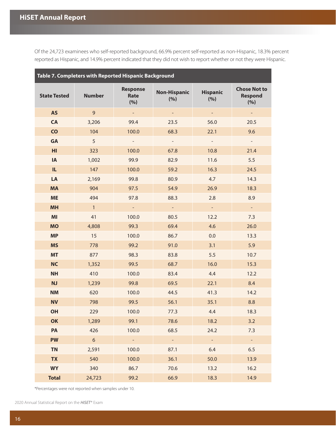<span id="page-18-0"></span>Of the 24,723 examinees who self-reported background, 66.9% percent self-reported as non-Hispanic, 18.3% percent reported as Hispanic, and 14.9% percent indicated that they did not wish to report whether or not they were Hispanic.

| Table 7. Completers with Reported Hispanic Background |                |                                |                            |                        |                                              |  |  |  |  |  |
|-------------------------------------------------------|----------------|--------------------------------|----------------------------|------------------------|----------------------------------------------|--|--|--|--|--|
| <b>State Tested</b>                                   | <b>Number</b>  | <b>Response</b><br>Rate<br>(%) | <b>Non-Hispanic</b><br>(%) | <b>Hispanic</b><br>(%) | <b>Chose Not to</b><br><b>Respond</b><br>(%) |  |  |  |  |  |
| <b>AS</b>                                             | 9              | $\omega_{\rm{eff}}$            | $\sim$                     | $\omega_{\rm c}$       | $\sim$                                       |  |  |  |  |  |
| <b>CA</b>                                             | 3,206          | 99.4                           | 23.5                       | 56.0                   | 20.5                                         |  |  |  |  |  |
| $\overline{c}$                                        | 104            | 100.0                          | 68.3                       | 22.1                   | 9.6                                          |  |  |  |  |  |
| <b>GA</b>                                             | 5              | $\equiv$                       | $\mathcal{L}^{\pm}$        | $\mathbb{L}^2$         | $\equiv$                                     |  |  |  |  |  |
| H <sub>l</sub>                                        | 323            | 100.0                          | 67.8                       | 10.8                   | 21.4                                         |  |  |  |  |  |
| IA                                                    | 1,002          | 99.9                           | 82.9                       | 11.6                   | 5.5                                          |  |  |  |  |  |
| IL.                                                   | 147            | 100.0                          | 59.2                       | 16.3                   | 24.5                                         |  |  |  |  |  |
| LA                                                    | 2,169          | 99.8                           | 80.9                       | 4.7                    | 14.3                                         |  |  |  |  |  |
| <b>MA</b>                                             | 904            | 97.5                           | 54.9                       | 26.9                   | 18.3                                         |  |  |  |  |  |
| <b>ME</b>                                             | 494            | 97.8                           | 88.3                       | 2.8                    | 8.9                                          |  |  |  |  |  |
| <b>MH</b>                                             | $\overline{1}$ | $\equiv$                       | $\equiv$                   | $\blacksquare$         | $\equiv$                                     |  |  |  |  |  |
| MI                                                    | 41             | 100.0                          | 80.5                       | 12.2                   | 7.3                                          |  |  |  |  |  |
| <b>MO</b>                                             | 4,808          | 99.3                           | 69.4                       | 4.6                    | 26.0                                         |  |  |  |  |  |
| <b>MP</b>                                             | 15             | 100.0                          | 86.7                       | 0.0                    | 13.3                                         |  |  |  |  |  |
| <b>MS</b>                                             | 778            | 99.2                           | 91.0                       | 3.1                    | 5.9                                          |  |  |  |  |  |
| <b>MT</b>                                             | 877            | 98.3                           | 83.8                       | 5.5                    | 10.7                                         |  |  |  |  |  |
| <b>NC</b>                                             | 1,352          | 99.5                           | 68.7                       | 16.0                   | 15.3                                         |  |  |  |  |  |
| <b>NH</b>                                             | 410            | 100.0                          | 83.4                       | 4.4                    | 12.2                                         |  |  |  |  |  |
| <b>NJ</b>                                             | 1,239          | 99.8                           | 69.5                       | 22.1                   | 8.4                                          |  |  |  |  |  |
| <b>NM</b>                                             | 620            | 100.0                          | 44.5                       | 41.3                   | 14.2                                         |  |  |  |  |  |
| <b>NV</b>                                             | 798            | 99.5                           | 56.1                       | 35.1                   | 8.8                                          |  |  |  |  |  |
| OH                                                    | 229            | 100.0                          | 77.3                       | 4.4                    | 18.3                                         |  |  |  |  |  |
| OK                                                    | 1,289          | 99.1                           | 78.6                       | 18.2                   | 3.2                                          |  |  |  |  |  |
| PA                                                    | 426            | 100.0                          | 68.5                       | 24.2                   | 7.3                                          |  |  |  |  |  |
| <b>PW</b>                                             | $6\phantom{a}$ | $\omega_{\rm c}$               | $\omega_{\rm c}$           | $\omega$               | $\mathbb{Z}^2$                               |  |  |  |  |  |
| <b>TN</b>                                             | 2,591          | 100.0                          | 87.1                       | 6.4                    | 6.5                                          |  |  |  |  |  |
| <b>TX</b>                                             | 540<br>100.0   |                                | 36.1                       | 50.0                   | 13.9                                         |  |  |  |  |  |
| <b>WY</b>                                             | 340            | 86.7                           | 70.6                       | 13.2                   | 16.2                                         |  |  |  |  |  |
| <b>Total</b>                                          | 24,723         | 99.2                           | 66.9                       | 18.3                   | 14.9                                         |  |  |  |  |  |

\*Percentages were not reported when samples under 10.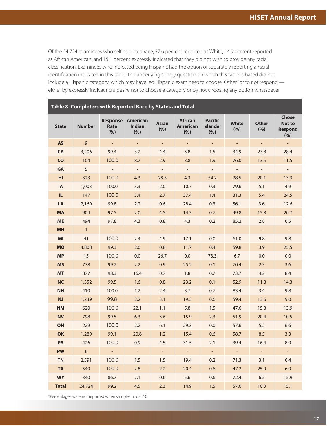<span id="page-19-0"></span>Of the 24,724 examinees who self-reported race, 57.6 percent reported as White, 14.9 percent reported as African American, and 15.1 percent expressly indicated that they did not wish to provide any racial classification. Examinees who indicated being Hispanic had the option of separately reporting a racial identification indicated in this table. The underlying survey question on which this table is based did not include a Hispanic category, which may have led Hispanic examinees to choose "Other" or to not respond either by expressly indicating a desire not to choose a category or by not choosing any option whatsoever.

| Table 8. Completers with Reported Race by States and Total |               |                                |                                  |                             |                                          |                                          |                          |                          |                                                 |  |  |  |
|------------------------------------------------------------|---------------|--------------------------------|----------------------------------|-----------------------------|------------------------------------------|------------------------------------------|--------------------------|--------------------------|-------------------------------------------------|--|--|--|
| <b>State</b>                                               | <b>Number</b> | <b>Response</b><br>Rate<br>(%) | <b>American</b><br>Indian<br>(%) | <b>Asian</b><br>(%)         | <b>African</b><br><b>American</b><br>(%) | <b>Pacific</b><br><b>Islander</b><br>(%) | White<br>(%)             | <b>Other</b><br>(%)      | <b>Chose</b><br>Not to<br><b>Respond</b><br>(%) |  |  |  |
| <b>AS</b>                                                  | 9             | $\mathcal{L}^{\pm}$            | $\Box$                           | $\blacksquare$              | $\overline{\phantom{a}}$                 | ÷,                                       | $\sim$                   | $\blacksquare$           | $\omega_{\rm c}$                                |  |  |  |
| <b>CA</b>                                                  | 3,206         | 99.4                           | 3.2                              | 4.4                         | 5.8                                      | 1.5                                      | 34.9                     | 27.8                     | 28.4                                            |  |  |  |
| <b>CO</b>                                                  | 104           | 100.0                          | 8.7                              | 2.9                         | 3.8                                      | 1.9                                      | 76.0                     | 13.5                     | 11.5                                            |  |  |  |
| GA                                                         | 5             | $\blacksquare$                 | $\overline{\phantom{a}}$         | $\overline{\phantom{a}}$    | $\overline{\phantom{a}}$                 | $\overline{\phantom{a}}$                 | $\overline{\phantom{a}}$ | $\overline{\phantom{a}}$ | $\sim$                                          |  |  |  |
| HI                                                         | 323           | 100.0                          | 4.3                              | 28.5                        | 4.3                                      | 54.2                                     | 28.5                     | 20.1                     | 13.3                                            |  |  |  |
| <b>IA</b>                                                  | 1,003         | 100.0                          | 3.3                              | 2.0                         | 10.7                                     | 0.3                                      | 79.6                     | 5.1                      | 4.9                                             |  |  |  |
| IL.                                                        | 147           | 100.0                          | 3.4                              | 2.7                         | 37.4                                     | 1.4                                      | 31.3                     | 5.4                      | 24.5                                            |  |  |  |
| LA                                                         | 2,169         | 99.8                           | 2.2                              | 0.6                         | 28.4                                     | 0.3                                      | 56.1                     | 3.6                      | 12.6                                            |  |  |  |
| <b>MA</b>                                                  | 904           | 97.5                           | 2.0                              | 4.5                         | 14.3                                     | 0.7                                      | 49.8                     | 15.8                     | 20.7                                            |  |  |  |
| <b>ME</b>                                                  | 494           | 97.8                           | 4.3                              | 0.8                         | 4.3                                      | 0.2                                      | 85.2                     | 2.8                      | 6.5                                             |  |  |  |
| <b>MH</b>                                                  | $\mathbf{1}$  | $\mathcal{L}^{\pm}$            | $\mathcal{L}_{\mathcal{A}}$      | $\sim$                      | $\mathcal{L}_{\mathcal{A}}$              | $\mathcal{L}_{\mathcal{A}}$              | $\omega_{\rm c}$         | $\omega_{\rm c}$         | $\omega_{\rm c}$                                |  |  |  |
| MI                                                         | 41            | 100.0                          | 2.4                              | 4.9                         | 17.1                                     | 0.0                                      | 61.0                     | 9.8                      | 9.8                                             |  |  |  |
| <b>MO</b>                                                  | 4,808         | 99.3                           | 2.0                              | 0.8                         | 11.7                                     | 0.4                                      | 59.8                     | 3.9                      | 25.5                                            |  |  |  |
| <b>MP</b>                                                  | 15            | 100.0                          | 0.0                              | 26.7                        | 0.0                                      | 73.3                                     | 6.7                      | 0.0                      | 0.0                                             |  |  |  |
| <b>MS</b>                                                  | 778           | 99.2                           | 2.2                              | 0.9                         | 25.2                                     | 0.1                                      | 70.4                     | 2.3                      | 3.6                                             |  |  |  |
| <b>MT</b>                                                  | 877           | 98.3                           | 16.4                             | 0.7                         | 1.8                                      | 0.7                                      | 73.7                     | 4.2                      | 8.4                                             |  |  |  |
| <b>NC</b>                                                  | 1,352         | 99.5                           | 1.6                              | 0.8                         | 23.2                                     | 0.1                                      | 52.9                     | 11.8                     | 14.3                                            |  |  |  |
| <b>NH</b>                                                  | 410           | 100.0                          | 1.2                              | 2.4                         | 3.7                                      | 0.7                                      | 83.4                     | 3.4                      | 9.8                                             |  |  |  |
| <b>NJ</b>                                                  | 1,239         | 99.8                           | 2.2                              | 3.1                         | 19.3                                     | 0.6                                      | 59.4                     | 13.6                     | 9.0                                             |  |  |  |
| <b>NM</b>                                                  | 620           | 100.0                          | 22.1                             | 1.1                         | 5.8                                      | 1.5                                      | 47.6                     | 15.8                     | 13.9                                            |  |  |  |
| <b>NV</b>                                                  | 798           | 99.5                           | 6.3                              | 3.6                         | 15.9                                     | 2.3                                      | 51.9                     | 20.4                     | 10.5                                            |  |  |  |
| OH                                                         | 229           | 100.0                          | 2.2                              | 6.1                         | 29.3                                     | 0.0                                      | 57.6                     | 5.2                      | 6.6                                             |  |  |  |
| OK                                                         | 1,289         | 99.1                           | 20.6                             | 1.2                         | 15.4                                     | 0.6                                      | 58.7                     | 8.5                      | 3.3                                             |  |  |  |
| PA                                                         | 426           | 100.0                          | 0.9                              | 4.5                         | 31.5                                     | 2.1                                      | 39.4                     | 16.4                     | 8.9                                             |  |  |  |
| <b>PW</b>                                                  | 6             | $\Box$                         | $\mathcal{L}^{\pm}$              | $\mathcal{L}_{\mathcal{A}}$ | $\mathcal{L}^{\pm}$                      | $\Box$                                   | $\mathbb{Z}^+$           | $\Box$                   | $\mathbb{Z}^{\mathbb{Z}}$                       |  |  |  |
| <b>TN</b>                                                  | 2,591         | 100.0                          | 1.5                              | 1.5                         | 19.4                                     | 0.2                                      | 71.3                     | 3.1                      | 6.4                                             |  |  |  |
| <b>TX</b>                                                  | 540           | 100.0                          | 2.8                              | 2.2                         | 20.4                                     | 0.6                                      | 47.2                     | 25.0                     | 6.9                                             |  |  |  |
| <b>WY</b>                                                  | 340           | 86.7                           | 7.1                              | 0.6                         | 5.6                                      | 0.6                                      | 72.4                     | 6.5                      | 15.9                                            |  |  |  |
| <b>Total</b>                                               | 24,724        | 99.2                           | 4.5                              | 2.3                         | 14.9                                     | 1.5                                      | 57.6                     | 10.3                     | 15.1                                            |  |  |  |

\*Percentages were not reported when samples under 10.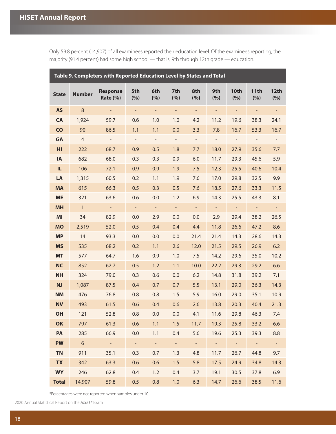| Table 9. Completers with Reported Education Level by States and Total |                |                                    |                          |                          |                          |                          |                          |                          |                          |                    |  |
|-----------------------------------------------------------------------|----------------|------------------------------------|--------------------------|--------------------------|--------------------------|--------------------------|--------------------------|--------------------------|--------------------------|--------------------|--|
| <b>State</b>                                                          | <b>Number</b>  | <b>Response</b><br><b>Rate (%)</b> | 5th<br>(%)               | 6th<br>(%)               | 7th<br>(%)               | 8th<br>(%)               | 9th<br>(%)               | 10th<br>(%)              | 11th<br>(%)              | <b>12th</b><br>(%) |  |
| <b>AS</b>                                                             | $\,8\,$        |                                    | $\overline{\phantom{a}}$ | ÷                        | $\overline{\phantom{0}}$ | $\overline{\phantom{a}}$ | $\overline{\phantom{a}}$ | $\overline{\phantom{a}}$ | $\overline{\phantom{0}}$ |                    |  |
| <b>CA</b>                                                             | 1,924          | 59.7                               | 0.6                      | 1.0                      | 1.0                      | 4.2                      | 11.2                     | 19.6                     | 38.3                     | 24.1               |  |
| CO                                                                    | 90             | 86.5                               | 1.1                      | 1.1                      | 0.0                      | 3.3                      | 7.8                      | 16.7                     | 53.3                     | 16.7               |  |
| <b>GA</b>                                                             | $\overline{4}$ | $\overline{\phantom{a}}$           | $\overline{\phantom{a}}$ | $\overline{\phantom{a}}$ | $\overline{\phantom{a}}$ | $\blacksquare$           | $\overline{\phantom{a}}$ | $\qquad \qquad -$        | $\overline{\phantom{a}}$ |                    |  |
| H <sub>l</sub>                                                        | 222            | 68.7                               | 0.9                      | 0.5                      | 1.8                      | 7.7                      | 18.0                     | 27.9                     | 35.6                     | 7.7                |  |
| <b>IA</b>                                                             | 682            | 68.0                               | 0.3                      | 0.3                      | 0.9                      | 6.0                      | 11.7                     | 29.3                     | 45.6                     | 5.9                |  |
| IL.                                                                   | 106            | 72.1                               | 0.9                      | 0.9                      | 1.9                      | 7.5                      | 12.3                     | 25.5                     | 40.6                     | 10.4               |  |
| LA                                                                    | 1,315          | 60.5                               | 0.2                      | 1.1                      | 1.9                      | 7.6                      | 17.0                     | 29.8                     | 32.5                     | 9.9                |  |
| <b>MA</b>                                                             | 615            | 66.3                               | 0.5                      | 0.3                      | 0.5                      | 7.6                      | 18.5                     | 27.6                     | 33.3                     | 11.5               |  |
| <b>ME</b>                                                             | 321            | 63.6                               | 0.6                      | 0.0                      | 1.2                      | 6.9                      | 14.3                     | 25.5                     | 43.3                     | 8.1                |  |
| <b>MH</b>                                                             | $\mathbf{1}$   | $\omega$                           | $\mathbb{Z}^d$           | $\blacksquare$           | ÷,                       | $\omega$                 | $\equiv$                 | $\mathbb{Z}^2$           | $\blacksquare$           | $\Box$             |  |
| MI                                                                    | 34             | 82.9                               | 0.0                      | 2.9                      | 0.0                      | 0.0                      | 2.9                      | 29.4                     | 38.2                     | 26.5               |  |
| <b>MO</b>                                                             | 2,519          | 52.0                               | 0.5                      | 0.4                      | 0.4                      | 4.4                      | 11.8                     | 26.6                     | 47.2                     | 8.6                |  |
| <b>MP</b>                                                             | 14             | 93.3                               | 0.0                      | 0.0                      | 0.0                      | 21.4                     | 21.4                     | 14.3                     | 28.6                     | 14.3               |  |
| <b>MS</b>                                                             | 535            | 68.2                               | 0.2                      | 1.1                      | 2.6                      | 12.0                     | 21.5                     | 29.5                     | 26.9                     | 6.2                |  |
| <b>MT</b>                                                             | 577            | 64.7                               | 1.6                      | 0.9                      | 1.0                      | 7.5                      | 14.2                     | 29.6                     | 35.0                     | 10.2               |  |
| <b>NC</b>                                                             | 852            | 62.7                               | 0.5                      | 1.2                      | 1.1                      | 10.0                     | 22.2                     | 29.3                     | 29.2                     | 6.6                |  |
| <b>NH</b>                                                             | 324            | 79.0                               | 0.3                      | 0.6                      | 0.0                      | 6.2                      | 14.8                     | 31.8                     | 39.2                     | 7.1                |  |
| <b>NJ</b>                                                             | 1,087          | 87.5                               | 0.4                      | 0.7                      | 0.7                      | 5.5                      | 13.1                     | 29.0                     | 36.3                     | 14.3               |  |
| <b>NM</b>                                                             | 476            | 76.8                               | 0.8                      | 0.8                      | 1.5                      | 5.9                      | 16.0                     | 29.0                     | 35.1                     | 10.9               |  |
| <b>NV</b>                                                             | 493            | 61.5                               | 0.6                      | 0.4                      | 0.6                      | 2.6                      | 13.8                     | 20.3                     | 40.4                     | 21.3               |  |
| OH                                                                    | 121            | 52.8                               | 0.8                      | 0.0                      | 0.0                      | 4.1                      | 11.6                     | 29.8                     | 46.3                     | 7.4                |  |
| OK                                                                    | 797            | 61.3                               | 0.6                      | 1.1                      | $\vert$ 1.5 $\vert$      |                          | $11.7$ 19.3              | 25.8                     | 33.2                     | 6.6                |  |
| PA                                                                    | 285            | 66.9                               | 0.0                      | 1.1                      | 0.4                      | 5.6                      | 19.6                     | 25.3                     | 39.3                     | 8.8                |  |
| <b>PW</b>                                                             | 6 <sup>1</sup> | $\sim 10$                          | $\sim$                   | $\omega_{\rm c}$         | $\omega_{\rm{eff}}$      | $\sim$ $-$               | $\sim 10^{-1}$           | $\sim$ $-$               | $\sim 10^{-1}$           | $\pm$              |  |
| <b>TN</b>                                                             | 911            | 35.1                               | 0.3                      | 0.7                      | 1.3                      | 4.8                      | 11.7                     | 26.7                     | 44.8                     | 9.7                |  |
| <b>TX</b>                                                             | 342            | 63.3                               | 0.6                      | 0.6                      | 1.5                      | 5.8                      | 17.5                     | 24.9                     | 34.8                     | 14.3               |  |
| <b>WY</b>                                                             | 246            | 62.8                               | 0.4                      | 1.2                      | 0.4                      | 3.7                      | 19.1                     | 30.5                     | 37.8                     | 6.9                |  |
| <b>Total</b>                                                          | 14,907         | 59.8                               | 0.5                      | 0.8                      | 1.0                      | 6.3                      | 14.7                     | 26.6                     | 38.5                     | 11.6               |  |

<span id="page-20-0"></span>Only 59.8 percent (14,907) of all examinees reported their education level. Of the examinees reporting, the majority (91.4 percent) had some high school — that is, 9th through 12th grade — education.

\*Percentages were not reported when samples under 10.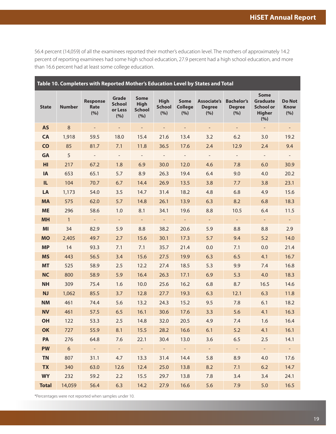<span id="page-21-0"></span>56.4 percent (14,059) of all the examinees reported their mother's education level. The mothers of approximately 14.2 percent of reporting examinees had some high school education, 27.9 percent had a high school education, and more than 16.6 percent had at least some college education.

| Table 10. Completers with Reported Mother's Education Level by States and Total |                 |                                |                                          |                                                     |                                     |                                      |                                             |                                           |                                                                            |                                     |  |
|---------------------------------------------------------------------------------|-----------------|--------------------------------|------------------------------------------|-----------------------------------------------------|-------------------------------------|--------------------------------------|---------------------------------------------|-------------------------------------------|----------------------------------------------------------------------------|-------------------------------------|--|
| <b>State</b>                                                                    | <b>Number</b>   | <b>Response</b><br>Rate<br>(%) | Grade<br><b>School</b><br>or Less<br>(%) | <b>Some</b><br><b>High</b><br><b>School</b><br>(% ) | <b>High</b><br><b>School</b><br>(%) | <b>Some</b><br><b>College</b><br>(%) | <b>Associate's</b><br><b>Degree</b><br>(% ) | <b>Bachelor's</b><br><b>Degree</b><br>(%) | <b>Some</b><br><b>Graduate</b><br><b>School or</b><br><b>Higher</b><br>(%) | <b>Do Not</b><br><b>Know</b><br>(%) |  |
| <b>AS</b>                                                                       | $\,8\,$         | $\overline{\phantom{a}}$       | $\equiv$                                 | $\blacksquare$                                      | $\overline{\phantom{a}}$            | $\equiv$                             | $\equiv$                                    | $\blacksquare$                            | $\overline{\phantom{a}}$                                                   | $\blacksquare$                      |  |
| <b>CA</b>                                                                       | 1,918           | 59.5                           | 18.0                                     | 15.4                                                | 21.6                                | 13.4                                 | 3.2                                         | 6.2                                       | 3.0                                                                        | 19.2                                |  |
| <b>CO</b>                                                                       | 85              | 81.7                           | 7.1                                      | 11.8                                                | 36.5                                | 17.6                                 | 2.4                                         | 12.9                                      | 2.4                                                                        | 9.4                                 |  |
| <b>GA</b>                                                                       | 5               | $\frac{1}{2}$                  | $\overline{\phantom{a}}$                 |                                                     | $\overline{\phantom{a}}$            | $\overline{\phantom{a}}$             | $\equiv$                                    | $\overline{\phantom{a}}$                  | $\overline{\phantom{a}}$                                                   | $\overline{\phantom{a}}$            |  |
| HI                                                                              | 217             | 67.2                           | 1.8                                      | 6.9                                                 | 30.0                                | 12.0                                 | 4.6                                         | 7.8                                       | 6.0                                                                        | 30.9                                |  |
| IA                                                                              | 653             | 65.1                           | 5.7                                      | 8.9                                                 | 26.3                                | 19.4                                 | 6.4                                         | 9.0                                       | 4.0                                                                        | 20.2                                |  |
| IL.                                                                             | 104             | 70.7                           | 6.7                                      | 14.4                                                | 26.9                                | 13.5                                 | 3.8                                         | 7.7                                       | 3.8                                                                        | 23.1                                |  |
| LA                                                                              | 1,173           | 54.0                           | 3.5                                      | 14.7                                                | 31.4                                | 18.2                                 | 4.8                                         | 6.8                                       | 4.9                                                                        | 15.6                                |  |
| <b>MA</b>                                                                       | 575             | 62.0                           | 5.7                                      | 14.8                                                | 26.1                                | 13.9                                 | 6.3                                         | 8.2                                       | 6.8                                                                        | 18.3                                |  |
| <b>ME</b>                                                                       | 296             | 58.6                           | 1.0                                      | 8.1                                                 | 34.1                                | 19.6                                 | 8.8                                         | 10.5                                      | 6.4                                                                        | 11.5                                |  |
| <b>MH</b>                                                                       | $\mathbf{1}$    | $\equiv$                       | $\equiv$                                 | $\blacksquare$                                      | $\equiv$                            | $\equiv$                             | $\equiv$                                    | $\equiv$                                  | $\blacksquare$                                                             | $\pm$                               |  |
| MI                                                                              | 34              | 82.9                           | 5.9                                      | 8.8                                                 | 38.2                                | 20.6                                 | 5.9                                         | 8.8                                       | 8.8                                                                        | 2.9                                 |  |
| <b>MO</b>                                                                       | 2,405           | 49.7                           | 2.7                                      | 15.6                                                | 30.1                                | 17.3                                 | 5.7                                         | 9.4                                       | 5.2                                                                        | 14.0                                |  |
| <b>MP</b>                                                                       | 14              | 93.3                           | 7.1                                      | 7.1                                                 | 35.7                                | 21.4                                 | 0.0                                         | 7.1                                       | 0.0                                                                        | 21.4                                |  |
| <b>MS</b>                                                                       | 443             | 56.5                           | 3.4                                      | 15.6                                                | 27.5                                | 19.9                                 | 6.3                                         | 6.5                                       | 4.1                                                                        | 16.7                                |  |
| <b>MT</b>                                                                       | 525             | 58.9                           | 2.5                                      | 12.2                                                | 27.4                                | 18.5                                 | 5.3                                         | 9.9                                       | 7.4                                                                        | 16.8                                |  |
| <b>NC</b>                                                                       | 800             | 58.9                           | 5.9                                      | 16.4                                                | 26.3                                | 17.1                                 | 6.9                                         | 5.3                                       | 4.0                                                                        | 18.3                                |  |
| <b>NH</b>                                                                       | 309             | 75.4                           | 1.6                                      | 10.0                                                | 25.6                                | 16.2                                 | 6.8                                         | 8.7                                       | 16.5                                                                       | 14.6                                |  |
| <b>NJ</b>                                                                       | 1,062           | 85.5                           | 3.7                                      | 12.8                                                | 27.7                                | 19.3                                 | 6.3                                         | 12.1                                      | 6.3                                                                        | 11.8                                |  |
| <b>NM</b>                                                                       | 461             | 74.4                           | 5.6                                      | 13.2                                                | 24.3                                | 15.2                                 | 9.5                                         | 7.8                                       | 6.1                                                                        | 18.2                                |  |
| <b>NV</b>                                                                       | 461             | 57.5                           | 6.5                                      | 16.1                                                | 30.6                                | 17.6                                 | 3.3                                         | 5.6                                       | 4.1                                                                        | 16.3                                |  |
| OH                                                                              | 122             | 53.3                           | 2.5                                      | 14.8                                                | 32.0                                | 20.5                                 | 4.9                                         | 7.4                                       | 1.6                                                                        | 16.4                                |  |
| OK                                                                              | 727             | 55.9                           | 8.1                                      | 15.5                                                | 28.2                                | 16.6                                 | 6.1                                         | 5.2                                       | 4.1                                                                        | 16.1                                |  |
| PA                                                                              | 276             | 64.8                           | 7.6                                      | 22.1                                                | 30.4                                | 13.0                                 | 3.6                                         | 6.5                                       | 2.5                                                                        | 14.1                                |  |
| <b>PW</b>                                                                       | $6\overline{6}$ | $\omega_{\rm c}$               | $\pm$                                    | $\pm$                                               | $\omega_{\rm c}$                    | $\omega_{\rm c}$                     | $\equiv$                                    | $\equiv$                                  | $\omega$                                                                   | $\pm$                               |  |
| <b>TN</b>                                                                       | 807             | 31.1                           | 4.7                                      | 13.3                                                | 31.4                                | 14.4                                 | 5.8                                         | 8.9                                       | 4.0                                                                        | 17.6                                |  |
| <b>TX</b>                                                                       | 340             | 63.0                           | 12.6                                     | 12.4                                                | 25.0                                | 13.8                                 | 8.2                                         | 7.1                                       | 6.2                                                                        | 14.7                                |  |
| <b>WY</b>                                                                       | 232             | 59.2                           | 2.2                                      | 15.5                                                | 29.7                                | 13.8                                 | 7.8                                         | 3.4                                       | 3.4                                                                        | 24.1                                |  |
| <b>Total</b>                                                                    | 14,059          | 56.4                           | 6.3                                      | 14.2                                                | 27.9                                | 16.6                                 | 5.6                                         | 7.9                                       | 5.0                                                                        | 16.5                                |  |

\*Percentages were not reported when samples under 10.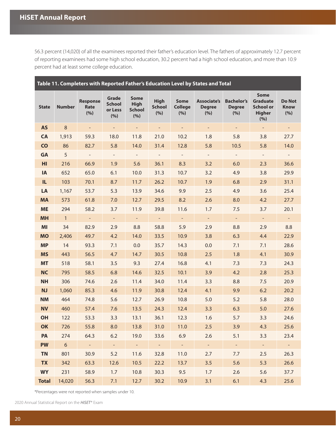<span id="page-22-0"></span>56.3 percent (14,020) of all the examinees reported their father's education level. The fathers of approximately 12.7 percent of reporting examinees had some high school education, 30.2 percent had a high school education, and more than 10.9 percent had at least some college education.

| Table 11. Completers with Reported Father's Education Level by States and Total |                |                                |                                          |                                                    |                                     |                                      |                                            |                                           |                                                                     |                                     |  |
|---------------------------------------------------------------------------------|----------------|--------------------------------|------------------------------------------|----------------------------------------------------|-------------------------------------|--------------------------------------|--------------------------------------------|-------------------------------------------|---------------------------------------------------------------------|-------------------------------------|--|
| <b>State</b>                                                                    | <b>Number</b>  | <b>Response</b><br>Rate<br>(%) | Grade<br><b>School</b><br>or Less<br>(%) | <b>Some</b><br><b>High</b><br><b>School</b><br>(%) | <b>High</b><br><b>School</b><br>(%) | <b>Some</b><br><b>College</b><br>(%) | <b>Associate's</b><br><b>Degree</b><br>(%) | <b>Bachelor's</b><br><b>Degree</b><br>(%) | <b>Some</b><br><b>Graduate</b><br><b>School or</b><br>Higher<br>(%) | <b>Do Not</b><br><b>Know</b><br>(%) |  |
| <b>AS</b>                                                                       | $\,8\,$        | $\equiv$                       | $\equiv$                                 | $\overline{\phantom{a}}$                           | $\equiv$                            | $\overline{\phantom{a}}$             | $\sim$                                     | ۰,                                        | $\equiv$                                                            | $\overline{\phantom{a}}$            |  |
| <b>CA</b>                                                                       | 1,913          | 59.3                           | 18.0                                     | 11.8                                               | 21.0                                | 10.2                                 | 1.8                                        | 5.8                                       | 3.8                                                                 | 27.7                                |  |
| <b>CO</b>                                                                       | 86             | 82.7                           | 5.8                                      | 14.0                                               | 31.4                                | 12.8                                 | 5.8                                        | 10.5                                      | 5.8                                                                 | 14.0                                |  |
| <b>GA</b>                                                                       | 5              | $\sim$                         | $\blacksquare$                           | $\overline{\phantom{a}}$                           | $\overline{\phantom{a}}$            | $\overline{\phantom{a}}$             | $\equiv$                                   | $\blacksquare$                            | $\overline{\phantom{a}}$                                            | $\sim$                              |  |
| HI                                                                              | 216            | 66.9                           | 1.9                                      | 5.6                                                | 36.1                                | 8.3                                  | 3.2                                        | 6.0                                       | 2.3                                                                 | 36.6                                |  |
| IA                                                                              | 652            | 65.0                           | 6.1                                      | 10.0                                               | 31.3                                | 10.7                                 | 3.2                                        | 4.9                                       | 3.8                                                                 | 29.9                                |  |
| IL.                                                                             | 103            | 70.1                           | 8.7                                      | 11.7                                               | 26.2                                | 10.7                                 | 1.9                                        | 6.8                                       | 2.9                                                                 | 31.1                                |  |
| LA                                                                              | 1,167          | 53.7                           | 5.3                                      | 13.9                                               | 34.6                                | 9.9                                  | 2.5                                        | 4.9                                       | 3.6                                                                 | 25.4                                |  |
| <b>MA</b>                                                                       | 573            | 61.8                           | 7.0                                      | 12.7                                               | 29.5                                | 8.2                                  | 2.6                                        | 8.0                                       | 4.2                                                                 | 27.7                                |  |
| <b>ME</b>                                                                       | 294            | 58.2                           | 3.7                                      | 11.9                                               | 39.8                                | 11.6                                 | 1.7                                        | 7.5                                       | 3.7                                                                 | 20.1                                |  |
| <b>MH</b>                                                                       | $\mathbf{1}$   | $\omega_{\rm c}$               | $\omega_{\rm c}$                         | $\sim$                                             | $\mathcal{L}_{\mathcal{A}}$         | $\omega$                             | $\omega$                                   | $\sim$                                    | $\omega_{\rm c}$                                                    | $\omega_{\rm c}$                    |  |
| MI                                                                              | 34             | 82.9                           | 2.9                                      | 8.8                                                | 58.8                                | 5.9                                  | 2.9                                        | 8.8                                       | 2.9                                                                 | 8.8                                 |  |
| <b>MO</b>                                                                       | 2,406          | 49.7                           | 4.2                                      | 14.0                                               | 33.5                                | 10.9                                 | 3.8                                        | 6.3                                       | 4.4                                                                 | 22.9                                |  |
| <b>MP</b>                                                                       | 14             | 93.3                           | 7.1                                      | 0.0                                                | 35.7                                | 14.3                                 | 0.0                                        | 7.1                                       | 7.1                                                                 | 28.6                                |  |
| <b>MS</b>                                                                       | 443            | 56.5                           | 4.7                                      | 14.7                                               | 30.5                                | 10.8                                 | 2.5                                        | 1.8                                       | 4.1                                                                 | 30.9                                |  |
| <b>MT</b>                                                                       | 518            | 58.1                           | 3.5                                      | 9.3                                                | 27.4                                | 16.8                                 | 4.1                                        | 7.3                                       | 7.3                                                                 | 24.3                                |  |
| <b>NC</b>                                                                       | 795            | 58.5                           | 6.8                                      | 14.6                                               | 32.5                                | 10.1                                 | 3.9                                        | 4.2                                       | 2.8                                                                 | 25.3                                |  |
| <b>NH</b>                                                                       | 306            | 74.6                           | 2.6                                      | 11.4                                               | 34.0                                | 11.4                                 | 3.3                                        | 8.8                                       | 7.5                                                                 | 20.9                                |  |
| <b>NJ</b>                                                                       | 1,060          | 85.3                           | 4.6                                      | 11.9                                               | 30.8                                | 12.4                                 | 4.1                                        | 9.9                                       | 6.2                                                                 | 20.2                                |  |
| <b>NM</b>                                                                       | 464            | 74.8                           | 5.6                                      | 12.7                                               | 26.9                                | 10.8                                 | 5.0                                        | 5.2                                       | 5.8                                                                 | 28.0                                |  |
| <b>NV</b>                                                                       | 460            | 57.4                           | 7.6                                      | 13.5                                               | 24.3                                | 12.4                                 | 3.3                                        | 6.3                                       | 5.0                                                                 | 27.6                                |  |
| OH                                                                              | 122            | 53.3                           | 3.3                                      | 13.1                                               | 36.1                                | 12.3                                 | 1.6                                        | 5.7                                       | 3.3                                                                 | 24.6                                |  |
| OK                                                                              | 726            | 55.8                           | 8.0                                      | 13.8                                               | 31.0                                | 11.0                                 | 2.5                                        | 3.9                                       | 4.3                                                                 | 25.6                                |  |
| <b>PA</b>                                                                       | 274            | 64.3                           | 6.2                                      | 19.0                                               | 33.6                                | 6.9                                  | 2.6                                        | 5.1                                       | 3.3                                                                 | 23.4                                |  |
| <b>PW</b>                                                                       | 6 <sup>6</sup> | $\sim 10^{-10}$                | $\sim$                                   | $\sim 10^{-1}$                                     | $\sim 10^{-1}$                      | $\sim 10^{-1}$                       | $\omega_{\rm c}$                           | $\sim$                                    | $\sim$ $-$                                                          | $\sim$ $\sim$                       |  |
| <b>TN</b>                                                                       | 801            | 30.9                           | 5.2                                      | 11.6                                               | 32.8                                | 11.0                                 | 2.7                                        | 7.7                                       | 2.5                                                                 | 26.3                                |  |
| <b>TX</b>                                                                       | 342            | 63.3                           | 12.6                                     | 10.5                                               | 22.2                                | 13.7                                 | 3.5                                        | 5.6                                       | 5.3                                                                 | 26.6                                |  |
| <b>WY</b>                                                                       | 231            | 58.9                           | 1.7                                      | 10.8                                               | 30.3                                | 9.5                                  | 1.7                                        | 2.6                                       | 5.6                                                                 | 37.7                                |  |
| <b>Total</b>                                                                    | 14,020         | 56.3                           | 7.1                                      | 12.7                                               | 30.2                                | 10.9                                 | 3.1                                        | 6.1                                       | 4.3                                                                 | 25.6                                |  |

\*Percentages were not reported when samples under 10.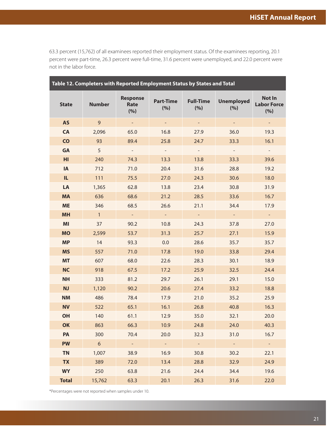<span id="page-23-0"></span>63.3 percent (15,762) of all examinees reported their employment status. Of the examinees reporting, 20.1 percent were part-time, 26.3 percent were full-time, 31.6 percent were unemployed, and 22.0 percent were not in the labor force.

| Table 12. Completers with Reported Employment Status by States and Total |                |                                |                         |                         |                          |                                            |  |  |  |  |  |
|--------------------------------------------------------------------------|----------------|--------------------------------|-------------------------|-------------------------|--------------------------|--------------------------------------------|--|--|--|--|--|
| <b>State</b>                                                             | <b>Number</b>  | <b>Response</b><br>Rate<br>(%) | <b>Part-Time</b><br>(%) | <b>Full-Time</b><br>(%) | <b>Unemployed</b><br>(%) | <b>Not In</b><br><b>Labor Force</b><br>(%) |  |  |  |  |  |
| <b>AS</b>                                                                | $\overline{9}$ | $\equiv$                       | $\equiv$                | $\blacksquare$          | ÷                        | $\equiv$                                   |  |  |  |  |  |
| <b>CA</b>                                                                | 2,096          | 65.0                           | 16.8                    | 27.9                    | 36.0                     | 19.3                                       |  |  |  |  |  |
| <b>CO</b>                                                                | 93             | 89.4                           | 25.8                    | 24.7                    | 33.3                     | 16.1                                       |  |  |  |  |  |
| GA                                                                       | 5              |                                |                         |                         |                          |                                            |  |  |  |  |  |
| HI                                                                       | 240            | 74.3                           | 13.3                    | 13.8                    | 33.3                     | 39.6                                       |  |  |  |  |  |
| IA                                                                       | 712            | 71.0                           | 20.4                    | 31.6                    | 28.8                     | 19.2                                       |  |  |  |  |  |
| IL.                                                                      | 111            | 75.5                           | 27.0                    | 24.3                    | 30.6                     | 18.0                                       |  |  |  |  |  |
| LA                                                                       | 1,365          | 62.8                           | 13.8                    | 23.4                    | 30.8                     | 31.9                                       |  |  |  |  |  |
| <b>MA</b>                                                                | 636            | 68.6                           | 21.2                    | 28.5                    | 33.6                     | 16.7                                       |  |  |  |  |  |
| <b>ME</b>                                                                | 346            | 68.5                           | 26.6                    | 21.1                    | 34.4                     | 17.9                                       |  |  |  |  |  |
| <b>MH</b>                                                                | $\mathbf{1}$   | $\equiv$                       | $\equiv$                | $\equiv$                | $\equiv$                 | $\pm$                                      |  |  |  |  |  |
| MI                                                                       | 37             | 90.2                           | 10.8                    | 24.3                    | 37.8                     | 27.0                                       |  |  |  |  |  |
| <b>MO</b>                                                                | 2,599          | 53.7                           | 31.3                    | 25.7                    | 27.1                     | 15.9                                       |  |  |  |  |  |
| <b>MP</b>                                                                | 14             | 93.3                           | 0.0                     | 28.6                    | 35.7                     | 35.7                                       |  |  |  |  |  |
| <b>MS</b>                                                                | 557            | 71.0                           | 17.8                    | 19.0                    | 33.8                     | 29.4                                       |  |  |  |  |  |
| <b>MT</b>                                                                | 607            | 68.0                           | 22.6                    | 28.3                    | 30.1                     | 18.9                                       |  |  |  |  |  |
| <b>NC</b>                                                                | 918            | 67.5                           | 17.2                    | 25.9                    | 32.5                     | 24.4                                       |  |  |  |  |  |
| <b>NH</b>                                                                | 333            | 81.2                           | 29.7                    | 26.1                    | 29.1                     | 15.0                                       |  |  |  |  |  |
| <b>NJ</b>                                                                | 1,120          | 90.2                           | 20.6                    | 27.4                    | 33.2                     | 18.8                                       |  |  |  |  |  |
| <b>NM</b>                                                                | 486            | 78.4                           | 17.9                    | 21.0                    | 35.2                     | 25.9                                       |  |  |  |  |  |
| <b>NV</b>                                                                | 522            | 65.1                           | 16.1                    | 26.8                    | 40.8                     | 16.3                                       |  |  |  |  |  |
| OH                                                                       | 140            | 61.1                           | 12.9                    | 35.0                    | 32.1                     | 20.0                                       |  |  |  |  |  |
| OK                                                                       | 863            | 66.3                           | 10.9                    | 24.8                    | 24.0                     | 40.3                                       |  |  |  |  |  |
| <b>PA</b>                                                                | 300            | 70.4                           | 20.0                    | 32.3                    | 31.0                     | 16.7                                       |  |  |  |  |  |
| <b>PW</b>                                                                | 6              | $\omega$                       | $\omega$                | $\mathbb{L}^+$          | $\omega$                 | $\omega$                                   |  |  |  |  |  |
| <b>TN</b>                                                                | 1,007          | 38.9                           | 16.9                    | 30.8                    | 30.2                     | 22.1                                       |  |  |  |  |  |
| <b>TX</b>                                                                | 389            | 72.0                           | 13.4                    | 28.8                    | 32.9                     | 24.9                                       |  |  |  |  |  |
| <b>WY</b>                                                                | 250            | 63.8                           | 21.6                    | 24.4                    | 34.4                     | 19.6                                       |  |  |  |  |  |
| <b>Total</b>                                                             | 15,762         | 63.3                           | 20.1                    | 26.3                    | 31.6                     | 22.0                                       |  |  |  |  |  |

\*Percentages were not reported when samples under 10.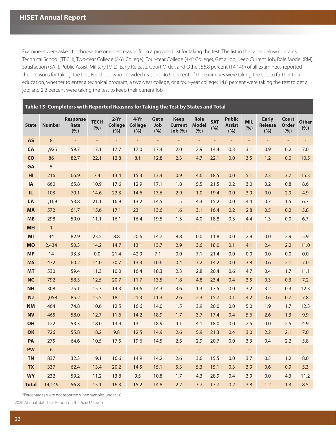<span id="page-24-0"></span>Examinees were asked to choose the one best reason from a provided list for taking the test. The list in the table below contains: Technical School (TECH), Two-Year College (2-Yr College), Four-Year College (4-Yr College), Get a Job, Keep Current Job, Role Model (RM), Satisfaction (SAT), Public Assist, Military (MIL), Early Release, Court Order, and Other. 56.8 percent (14,149) of all examinees reported their reasons for taking the test. For those who provided reasons ,46.6 percent of the examines were taking the test to further their education, whether to enter a technical program, a two-year college, or a four-year college; 14.8 percent were taking the test to get a job; and 2.2 percent were taking the test to keep their current job.

#### **Table 13. Completers with Reported Reasons for Taking the Test by States and Total**

| <b>State</b> | <b>Number</b> | <b>Response</b><br>Rate<br>(%) | <b>TECH</b><br>(%)       | $2-Yr$<br><b>College</b><br>(%) | 4-Yr<br><b>College</b><br>(%) | Get a<br>Job<br>(%) | <b>Keep</b><br><b>Current</b><br>Job(%) | <b>Role</b><br><b>Model</b><br>(%) | <b>SAT</b><br>(%)        | <b>Public</b><br><b>Assist</b><br>(%) | <b>MIL</b><br>(%)        | <b>Early</b><br><b>Release</b><br>(%) | Court<br><b>Order</b><br>(%) | Other<br>(%)             |
|--------------|---------------|--------------------------------|--------------------------|---------------------------------|-------------------------------|---------------------|-----------------------------------------|------------------------------------|--------------------------|---------------------------------------|--------------------------|---------------------------------------|------------------------------|--------------------------|
| <b>AS</b>    | 8             | $\equiv$                       | $\Box$                   | $\equiv$                        | ÷,                            | $\blacksquare$      | $\blacksquare$                          | $\blacksquare$                     | $\overline{a}$           | $\equiv$                              | $\overline{\phantom{a}}$ | $\Box$                                | $\equiv$                     | $\overline{\phantom{a}}$ |
| CA           | 1,925         | 59.7                           | 17.1                     | 17.7                            | 17.0                          | 17.4                | 2.0                                     | 2.9                                | 14.4                     | 0.3                                   | 3.1                      | 0.9                                   | 0.2                          | 7.0                      |
| <b>CO</b>    | 86            | 82.7                           | 22.1                     | 12.8                            | 8.1                           | 12.8                | 2.3                                     | 4.7                                | 22.1                     | 0.0                                   | 3.5                      | 1.2                                   | 0.0                          | 10.5                     |
| <b>GA</b>    | 5             | $\sim$                         | $\overline{\phantom{a}}$ | $\overline{\phantom{a}}$        | $\overline{\phantom{a}}$      | $\sim$              | $\overline{\phantom{a}}$                | $\overline{\phantom{a}}$           | $\overline{\phantom{a}}$ | $\overline{\phantom{a}}$              | $\overline{\phantom{a}}$ | $\overline{\phantom{a}}$              | $\blacksquare$               | $\equiv$                 |
| HI           | 216           | 66.9                           | 7.4                      | 13.4                            | 15.3                          | 13.4                | 0.9                                     | 4.6                                | 18.5                     | 0.0                                   | 5.1                      | 2.3                                   | 3.7                          | 15.3                     |
| <b>IA</b>    | 660           | 65.8                           | 10.9                     | 17.6                            | 12.9                          | 17.1                | 1.8                                     | 5.5                                | 21.5                     | 0.2                                   | 3.0                      | 0.2                                   | 0.8                          | 8.6                      |
| IL.          | 103           | 70.1                           | 14.6                     | 22.3                            | 14.6                          | 13.6                | 2.9                                     | 1.0                                | 19.4                     | 0.0                                   | 3.9                      | 0.0                                   | 2.9                          | 4.9                      |
| LA           | 1,169         | 53.8                           | 21.1                     | 16.9                            | 13.2                          | 14.5                | 1.5                                     | 4.3                                | 15.2                     | 0.0                                   | 4.4                      | 0.7                                   | 1.5                          | 6.7                      |
| <b>MA</b>    | 572           | 61.7                           | 15.6                     | 17.1                            | 23.1                          | 13.6                | 1.6                                     | 3.1                                | 16.4                     | 0.2                                   | 2.8                      | 0.5                                   | 0.2                          | 5.8                      |
| <b>ME</b>    | 298           | 59.0                           | 11.1                     | 16.1                            | 16.4                          | 19.5                | 1.3                                     | 4.0                                | 18.8                     | 0.3                                   | 4.4                      | 1.3                                   | 0.0                          | 6.7                      |
| <b>MH</b>    | $\mathbf{1}$  | $\blacksquare$                 | ÷,                       | $\qquad \qquad -$               | $\overline{\phantom{a}}$      | $\equiv$            | $\blacksquare$                          | $\blacksquare$                     |                          | ÷                                     | $\overline{\phantom{a}}$ | $\Box$                                | $\equiv$                     |                          |
| MI           | 34            | 82.9                           | 23.5                     | 8.8                             | 20.6                          | 14.7                | 8.8                                     | 0.0                                | 11.8                     | 0.0                                   | 2.9                      | 0.0                                   | 2.9                          | 5.9                      |
| <b>MO</b>    | 2,434         | 50.3                           | 14.2                     | 14.7                            | 13.1                          | 13.7                | 2.9                                     | 3.6                                | 18.0                     | 0.1                                   | 4.1                      | 2.4                                   | $2.2\phantom{0}$             | 11.0                     |
| <b>MP</b>    | 14            | 93.3                           | 0.0                      | 21.4                            | 42.9                          | 7.1                 | 0.0                                     | 7.1                                | 21.4                     | 0.0                                   | 0.0                      | 0.0                                   | 0.0                          | 0.0                      |
| <b>MS</b>    | 472           | 60.2                           | 14.0                     | 30.7                            | 13.3                          | 10.6                | 0.4                                     | 3.2                                | 14.2                     | 0.0                                   | 3.8                      | 0.6                                   | 2.1                          | 7.0                      |
| <b>MT</b>    | 530           | 59.4                           | 11.3                     | 10.0                            | 16.4                          | 18.3                | 2.3                                     | 2.8                                | 20.4                     | 0.6                                   | 4.7                      | 0.4                                   | 1.7                          | 11.1                     |
| <b>NC</b>    | 792           | 58.3                           | 12.5                     | 20.7                            | 11.7                          | 13.5                | 1.8                                     | 4.8                                | 23.4                     | 0.4                                   | 3.5                      | 0.3                                   | 0.3                          | 7.2                      |
| <b>NH</b>    | 308           | 75.1                           | 15.3                     | 14.3                            | 14.6                          | 14.3                | 3.6                                     | 1.3                                | 17.5                     | 0.0                                   | 3.2                      | 3.2                                   | 0.3                          | 12.3                     |
| <b>NJ</b>    | 1,058         | 85.2                           | 15.5                     | 18.1                            | 21.3                          | 11.3                | 2.6                                     | 2.3                                | 15.7                     | 0.1                                   | 4.2                      | 0.6                                   | 0.7                          | 7.8                      |
| <b>NM</b>    | 464           | 74.8                           | 10.6                     | 12.5                            | 16.6                          | 14.0                | 1.5                                     | 3.9                                | 20.0                     | 0.0                                   | 5.0                      | 1.9                                   | 1.7                          | 12.3                     |
| <b>NV</b>    | 465           | 58.0                           | 12.7                     | 11.6                            | 14.2                          | 18.9                | 1.7                                     | 3.7                                | 17.4                     | 0.4                                   | 5.6                      | 2.6                                   | 1.3                          | 9.9                      |
| <b>OH</b>    | 122           | 53.3                           | 18.0                     | 13.9                            | 13.1                          | 18.9                | 4.1                                     | 4.1                                | 18.0                     | 0.0                                   | 2.5                      | 0.0                                   | 2.5                          | 4.9                      |
| <b>OK</b>    | 726           | 55.8                           | 18.2                     | 9.8                             | 12.5                          | 14.9                | 2.6                                     | 5.9                                | 21.3                     | 0.4                                   | 3.0                      | 2.2                                   | 2.1                          | 7.0                      |
| PA           | 275           | 64.6                           | 10.5                     | 17.5                            | 19.6                          | 14.5                | 2.5                                     | 2.9                                | 20.7                     | 0.0                                   | 3.3                      | 0.4                                   | 2.2                          | 5.8                      |
| <b>PW</b>    | $6\,$         | $\pm$                          | $\equiv$                 | $\equiv$                        | $\equiv$                      | $\equiv$            | $\equiv$                                | $\blacksquare$                     | $\blacksquare$           | $\equiv$                              | $\equiv$                 | $\equiv$                              | $\equiv$                     | $\equiv$                 |
| <b>TN</b>    | 837           | 32.3                           | 19.1                     | 16.6                            | 14.9                          | 14.2                | 2.6                                     | 3.6                                | 15.5                     | 0.0                                   | 3.7                      | 0.5                                   | 1.2                          | 8.0                      |
| <b>TX</b>    | 337           | 62.4                           | 13.4                     | 20.2                            | 14.5                          | 15.1                | 5.3                                     | 5.3                                | 15.1                     | 0.3                                   | 3.9                      | 0.6                                   | 0.9                          | 5.3                      |
| <b>WY</b>    | 232           | 59.2                           | 11.2                     | 13.8                            | 9.5                           | 10.8                | 1.7                                     | 4.3                                | 28.9                     | 0.4                                   | 3.9                      | 0.0                                   | 4.3                          | 11.2                     |
| <b>Total</b> | 14,149        | 56.8                           | 15.1                     | 16.3                            | 15.2                          | 14.8                | 2.2                                     | 3.7                                | 17.7                     | 0.2                                   | 3.8                      | 1.2                                   | 1.3                          | 8.5                      |

\*Percentages were not reported when samples under 10.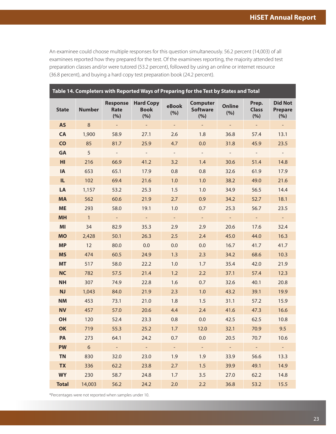<span id="page-25-0"></span>An examinee could choose multiple responses for this question simultaneously. 56.2 percent (14,003) of all examinees reported how they prepared for the test. Of the examinees reporting, the majority attended test preparation classes and/or were tutored (53.2 percent), followed by using an online or internet resource (36.8 percent), and buying a hard copy test preparation book (24.2 percent).

| Table 14. Completers with Reported Ways of Preparing for the Test by States and Total |                 |                                |                                        |                |                                           |                          |                              |                                         |  |  |  |  |
|---------------------------------------------------------------------------------------|-----------------|--------------------------------|----------------------------------------|----------------|-------------------------------------------|--------------------------|------------------------------|-----------------------------------------|--|--|--|--|
| <b>State</b>                                                                          | <b>Number</b>   | <b>Response</b><br>Rate<br>(%) | <b>Hard Copy</b><br><b>Book</b><br>(%) | eBook<br>(%)   | <b>Computer</b><br><b>Software</b><br>(%) | <b>Online</b><br>(%)     | Prep.<br><b>Class</b><br>(%) | <b>Did Not</b><br><b>Prepare</b><br>(%) |  |  |  |  |
| <b>AS</b>                                                                             | $\,8\,$         | $\overline{\phantom{a}}$       | $\omega_{\rm c}$                       | $\blacksquare$ | $\equiv$                                  | $\overline{\phantom{a}}$ | $\equiv$                     | ÷                                       |  |  |  |  |
| <b>CA</b>                                                                             | 1,900           | 58.9                           | 27.1                                   | 2.6            | 1.8                                       | 36.8                     | 57.4                         | 13.1                                    |  |  |  |  |
| $\overline{c}$                                                                        | 85              | 81.7                           | 25.9                                   | 4.7            | 0.0                                       | 31.8                     | 45.9                         | 23.5                                    |  |  |  |  |
| GA                                                                                    | 5               | $\mathcal{L}_{\mathcal{A}}$    | $\mathcal{L}_{\mathcal{A}}$            | $\equiv$       | $\equiv$                                  | $\overline{\phantom{a}}$ | $\overline{\phantom{a}}$     | $\omega_{\rm c}$                        |  |  |  |  |
| H <sub>II</sub>                                                                       | 216             | 66.9                           | 41.2                                   | 3.2            | 1.4                                       | 30.6                     | 51.4                         | 14.8                                    |  |  |  |  |
| IA                                                                                    | 653             | 65.1                           | 17.9                                   | 0.8            | 0.8                                       | 32.6                     | 61.9                         | 17.9                                    |  |  |  |  |
| IL.                                                                                   | 102             | 69.4                           | 21.6                                   | 1.0            | 1.0                                       | 38.2                     | 49.0                         | 21.6                                    |  |  |  |  |
| LA                                                                                    | 1,157           | 53.2                           | 25.3                                   | 1.5            | 1.0                                       | 34.9                     | 56.5                         | 14.4                                    |  |  |  |  |
| <b>MA</b>                                                                             | 562             | 60.6                           | 21.9                                   | 2.7            | 0.9                                       | 34.2                     | 52.7                         | 18.1                                    |  |  |  |  |
| <b>ME</b>                                                                             | 293             | 58.0                           | 19.1                                   | 1.0            | 0.7                                       | 25.3                     | 56.7                         | 23.5                                    |  |  |  |  |
| <b>MH</b>                                                                             | $\mathbf{1}$    | $\equiv$                       | $\pm$                                  | ۳.             | $\pm$                                     | $\equiv$                 | $\equiv$                     | $\sim$                                  |  |  |  |  |
| MI                                                                                    | 34              | 82.9                           | 35.3                                   | 2.9            | 2.9                                       | 20.6                     | 17.6                         | 32.4                                    |  |  |  |  |
| <b>MO</b>                                                                             | 2,428           | 50.1                           | 26.3                                   | 2.5            | 2.4                                       | 45.0                     | 44.0                         | 16.3                                    |  |  |  |  |
| <b>MP</b>                                                                             | 12              | 80.0                           | 0.0                                    | 0.0            | 0.0                                       | 16.7                     | 41.7                         | 41.7                                    |  |  |  |  |
| <b>MS</b>                                                                             | 474             | 60.5                           | 24.9                                   | 1.3            | 2.3                                       | 34.2                     | 68.6                         | 10.3                                    |  |  |  |  |
| <b>MT</b>                                                                             | 517             | 58.0                           | 22.2                                   | 1.0            | 1.7                                       | 35.4                     | 42.0                         | 21.9                                    |  |  |  |  |
| <b>NC</b>                                                                             | 782             | 57.5                           | 21.4                                   | 1.2            | 2.2                                       | 37.1                     | 57.4                         | 12.3                                    |  |  |  |  |
| <b>NH</b>                                                                             | 307             | 74.9                           | 22.8                                   | 1.6            | 0.7                                       | 32.6                     | 40.1                         | 20.8                                    |  |  |  |  |
| <b>NJ</b>                                                                             | 1,043           | 84.0                           | 21.9                                   | 2.3            | 1.0                                       | 43.2                     | 39.1                         | 19.9                                    |  |  |  |  |
| <b>NM</b>                                                                             | 453             | 73.1                           | 21.0                                   | 1.8            | 1.5                                       | 31.1                     | 57.2                         | 15.9                                    |  |  |  |  |
| <b>NV</b>                                                                             | 457             | 57.0                           | 20.6                                   | 4.4            | 2.4                                       | 41.6                     | 47.3                         | 16.6                                    |  |  |  |  |
| OH                                                                                    | 120             | 52.4                           | 23.3                                   | 0.8            | 0.0                                       | 42.5                     | 62.5                         | 10.8                                    |  |  |  |  |
| OK                                                                                    | 719             | 55.3                           | 25.2                                   | 1.7            | 12.0                                      | 32.1                     | 70.9                         | 9.5                                     |  |  |  |  |
| <b>PA</b>                                                                             | 273             | 64.1                           | 24.2                                   | 0.7            | 0.0                                       | 20.5                     | 70.7                         | 10.6                                    |  |  |  |  |
| <b>PW</b>                                                                             | $6\overline{6}$ | $\omega_{\rm c}$               | $\omega_{\rm c}$                       | ÷,             | $\omega$                                  | $\omega_{\rm c}$         | $\sim$                       | $\omega_{\rm c}$                        |  |  |  |  |
| <b>TN</b>                                                                             | 830             | 32.0                           | 23.0                                   | 1.9            | 1.9                                       | 33.9                     | 56.6                         | 13.3                                    |  |  |  |  |
| <b>TX</b>                                                                             | 336             | 62.2                           | 23.8                                   | 2.7            | 1.5                                       | 39.9                     | 49.1                         | 14.9                                    |  |  |  |  |
| <b>WY</b>                                                                             | 230             | 58.7                           | 24.8                                   | 1.7            | 3.5                                       | 27.0                     | 62.2                         | 14.8                                    |  |  |  |  |
| <b>Total</b>                                                                          | 14,003          | 56.2                           | 24.2                                   | 2.0            | 2.2                                       | 36.8                     | 53.2                         | 15.5                                    |  |  |  |  |

\*Percentages were not reported when samples under 10.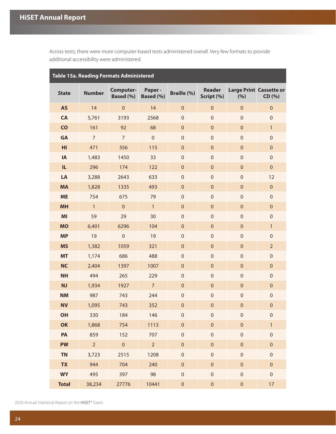<span id="page-26-0"></span>Across tests, there were more computer-based tests administered overall. Very few formats to provide additional accessibility were administered.

| Table 15a. Reading Formats Administered |                |                        |                     |                     |                             |                  |                                          |  |  |  |  |  |
|-----------------------------------------|----------------|------------------------|---------------------|---------------------|-----------------------------|------------------|------------------------------------------|--|--|--|--|--|
| <b>State</b>                            | <b>Number</b>  | Computer-<br>Based (%) | Paper-<br>Based (%) | <b>Braille (%)</b>  | <b>Reader</b><br>Script (%) | (%)              | <b>Large Print Cassette or</b><br>CD (%) |  |  |  |  |  |
| <b>AS</b>                               | 14             | $\mathbf 0$            | 14                  | $\pmb{0}$           | $\mathbf 0$                 | $\mathbf 0$      | $\pmb{0}$                                |  |  |  |  |  |
| CA                                      | 5,761          | 3193                   | 2568                | $\boldsymbol{0}$    | $\mathbf 0$                 | $\mathbf 0$      | $\mathbf 0$                              |  |  |  |  |  |
| CO                                      | 161            | 92                     | 68                  | $\pmb{0}$           | $\mathbf 0$                 | $\pmb{0}$        | $\mathbf{1}$                             |  |  |  |  |  |
| GA                                      | $\overline{7}$ | $\overline{7}$         | $\mathbf 0$         | $\boldsymbol{0}$    | $\mathbf 0$                 | $\mathbf 0$      | $\mathbf 0$                              |  |  |  |  |  |
| H <sub>II</sub>                         | 471            | 356                    | 115                 | $\pmb{0}$           | $\mathbf 0$                 | $\mathbf 0$      | $\pmb{0}$                                |  |  |  |  |  |
| IA                                      | 1,483          | 1450                   | 33                  | $\boldsymbol{0}$    | $\mathbf 0$                 | $\boldsymbol{0}$ | $\mathbf 0$                              |  |  |  |  |  |
| IL.                                     | 296            | 174                    | 122                 | $\pmb{0}$           | $\mathbf 0$                 | $\mathbf 0$      | $\pmb{0}$                                |  |  |  |  |  |
| LA                                      | 3,288          | 2643                   | 633                 | $\boldsymbol{0}$    | $\mathbf 0$                 | $\boldsymbol{0}$ | 12                                       |  |  |  |  |  |
| <b>MA</b>                               | 1,828          | 1335                   | 493                 | $\pmb{0}$           | $\mathbf 0$                 | $\mathbf 0$      | $\pmb{0}$                                |  |  |  |  |  |
| <b>ME</b>                               | 754            | 675                    | 79                  | $\boldsymbol{0}$    | $\mathbf 0$                 | $\boldsymbol{0}$ | $\mathbf 0$                              |  |  |  |  |  |
| <b>MH</b>                               | $\mathbf{1}$   | $\pmb{0}$              | $\mathbf{1}$        | $\pmb{0}$           | $\mathbf 0$                 | $\mathbf 0$      | $\pmb{0}$                                |  |  |  |  |  |
| MI                                      | 59             | 29                     | 30                  | $\mathbf 0$         | $\mathbf 0$                 | $\boldsymbol{0}$ | $\mathbf 0$                              |  |  |  |  |  |
| <b>MO</b>                               | 6,401          | 6296                   | 104                 | $\pmb{0}$           | $\mathbf 0$                 | $\mathbf 0$      | $\mathbf{1}$                             |  |  |  |  |  |
| <b>MP</b>                               | 19             | $\mathbf 0$            | 19                  | $\boldsymbol{0}$    | $\mathbf 0$                 | $\boldsymbol{0}$ | $\mathbf 0$                              |  |  |  |  |  |
| <b>MS</b>                               | 1,382          | 1059                   | 321                 | $\pmb{0}$           | $\mathbf 0$                 | $\mathbf 0$      | $\overline{2}$                           |  |  |  |  |  |
| <b>MT</b>                               | 1,174          | 686                    | 488                 | $\boldsymbol{0}$    | $\mathbf 0$                 | $\boldsymbol{0}$ | $\mathbf 0$                              |  |  |  |  |  |
| <b>NC</b>                               | 2,404          | 1397                   | 1007                | $\pmb{0}$           | $\mathbf 0$                 | $\mathbf 0$      | $\pmb{0}$                                |  |  |  |  |  |
| <b>NH</b>                               | 494            | 265                    | 229                 | $\boldsymbol{0}$    | $\mathbf 0$                 | $\boldsymbol{0}$ | $\mathbf 0$                              |  |  |  |  |  |
| <b>NJ</b>                               | 1,934          | 1927                   | $\overline{7}$      | $\pmb{0}$           | $\mathbf 0$                 | $\mathbf 0$      | $\pmb{0}$                                |  |  |  |  |  |
| <b>NM</b>                               | 987            | 743                    | 244                 | $\mathbf 0$         | $\mathbf 0$                 | $\boldsymbol{0}$ | $\mathbf 0$                              |  |  |  |  |  |
| <b>NV</b>                               | 1,095          | 743                    | 352                 | $\pmb{0}$           | $\mathbf 0$                 | $\mathbf 0$      | $\pmb{0}$                                |  |  |  |  |  |
| OH                                      | 330            | 184                    | 146                 | $\mathbf 0$         | $\mathbf 0$                 | $\mathbf 0$      | $\mathbf 0$                              |  |  |  |  |  |
| OK                                      | 1,868          | 754                    | 1113                | $\pmb{0}$           | $\mathbf 0$                 | $\pmb{0}$        | $\mathbf{1}$                             |  |  |  |  |  |
| PA                                      | 859            | 152                    | 707                 | $\mathsf{O}\xspace$ | $\mathbf 0$                 | $\mathbf 0$      | $\mathbf 0$                              |  |  |  |  |  |
| <b>PW</b>                               | $\overline{2}$ | $\pmb{0}$              | $\overline{2}$      | $\mathbf 0$         | $\mathbf 0$                 | $\pmb{0}$        | $\mathbf 0$                              |  |  |  |  |  |
| <b>TN</b>                               | 3,723          | 2515                   | 1208                | $\mathsf{O}\xspace$ | $\mathbf 0$                 | $\mathbf 0$      | $\mathbf 0$                              |  |  |  |  |  |
| <b>TX</b>                               | 944            | 704                    | 240                 | $\mathbf 0$         | $\mathbf 0$                 | $\pmb{0}$        | $\mathbf 0$                              |  |  |  |  |  |
| <b>WY</b>                               | 495            | 397                    | 98                  | $\mathbf 0$         | $\mathbf 0$                 | $\mathbf 0$      | $\mathbf 0$                              |  |  |  |  |  |
| <b>Total</b>                            | 38,234         | 27776                  | 10441               | $\pmb{0}$           | $\mathsf{O}\xspace$         | $\mathbf 0$      | 17                                       |  |  |  |  |  |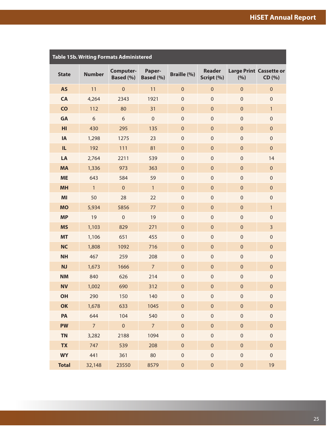<span id="page-27-0"></span>

|              |                | Table 15b. Writing Formats Administered |                     |                    |                             |                  |                                          |
|--------------|----------------|-----------------------------------------|---------------------|--------------------|-----------------------------|------------------|------------------------------------------|
| <b>State</b> | <b>Number</b>  | Computer-<br>Based (%)                  | Paper-<br>Based (%) | <b>Braille (%)</b> | <b>Reader</b><br>Script (%) | (%)              | <b>Large Print Cassette or</b><br>CD (%) |
| <b>AS</b>    | 11             | $\mathbf 0$                             | 11                  | $\mathbf 0$        | $\pmb{0}$                   | $\mathbf 0$      | $\pmb{0}$                                |
| CA           | 4,264          | 2343                                    | 1921                | $\mathbf 0$        | $\mathbf 0$                 | $\mathbf 0$      | $\mathbf 0$                              |
| CO           | 112            | 80                                      | 31                  | $\mathbf 0$        | $\pmb{0}$                   | $\mathbf 0$      | 1                                        |
| <b>GA</b>    | 6              | 6                                       | $\boldsymbol{0}$    | $\mathbf 0$        | $\boldsymbol{0}$            | $\boldsymbol{0}$ | $\mathbf 0$                              |
| HI           | 430            | 295                                     | 135                 | $\mathbf 0$        | $\pmb{0}$                   | $\mathbf 0$      | $\pmb{0}$                                |
| IA           | 1,298          | 1275                                    | 23                  | $\mathbf 0$        | $\boldsymbol{0}$            | $\boldsymbol{0}$ | $\mathbf 0$                              |
| IL.          | 192            | 111                                     | 81                  | $\mathbf 0$        | $\pmb{0}$                   | $\mathbf 0$      | $\pmb{0}$                                |
| LA           | 2,764          | 2211                                    | 539                 | $\mathbf 0$        | $\boldsymbol{0}$            | $\boldsymbol{0}$ | 14                                       |
| <b>MA</b>    | 1,336          | 973                                     | 363                 | $\mathbf 0$        | $\pmb{0}$                   | $\mathbf 0$      | $\pmb{0}$                                |
| <b>ME</b>    | 643            | 584                                     | 59                  | $\mathbf 0$        | $\boldsymbol{0}$            | $\boldsymbol{0}$ | $\mathbf 0$                              |
| <b>MH</b>    | $\mathbf{1}$   | $\mathbf 0$                             | $\mathbf{1}$        | $\mathbf 0$        | $\pmb{0}$                   | $\mathbf 0$      | $\pmb{0}$                                |
| MI           | 50             | 28                                      | 22                  | $\mathbf 0$        | $\boldsymbol{0}$            | $\boldsymbol{0}$ | $\mathbf 0$                              |
| <b>MO</b>    | 5,934          | 5856                                    | 77                  | $\mathbf 0$        | $\pmb{0}$                   | $\mathbf 0$      | 1                                        |
| <b>MP</b>    | 19             | $\mathbf 0$                             | 19                  | $\mathbf 0$        | $\boldsymbol{0}$            | $\boldsymbol{0}$ | $\mathbf 0$                              |
| <b>MS</b>    | 1,103          | 829                                     | 271                 | $\mathbf 0$        | $\pmb{0}$                   | $\mathbf 0$      | 3                                        |
| <b>MT</b>    | 1,106          | 651                                     | 455                 | $\mathbf 0$        | $\boldsymbol{0}$            | $\boldsymbol{0}$ | $\mathbf 0$                              |
| <b>NC</b>    | 1,808          | 1092                                    | 716                 | $\mathbf 0$        | $\pmb{0}$                   | $\mathbf 0$      | $\pmb{0}$                                |
| <b>NH</b>    | 467            | 259                                     | 208                 | $\mathbf 0$        | $\boldsymbol{0}$            | $\boldsymbol{0}$ | $\mathbf 0$                              |
| <b>NJ</b>    | 1,673          | 1666                                    | $\overline{7}$      | $\mathbf 0$        | $\pmb{0}$                   | $\mathbf 0$      | $\pmb{0}$                                |
| <b>NM</b>    | 840            | 626                                     | 214                 | $\mathbf 0$        | $\boldsymbol{0}$            | $\boldsymbol{0}$ | $\mathbf 0$                              |
| <b>NV</b>    | 1,002          | 690                                     | 312                 | $\pmb{0}$          | $\pmb{0}$                   | $\boldsymbol{0}$ | $\pmb{0}$                                |
| OH           | 290            | 150                                     | 140                 | $\pmb{0}$          | $\mathbf 0$                 | $\mathbf 0$      | $\boldsymbol{0}$                         |
| OK           | 1,678          | 633                                     | 1045                | $\pmb{0}$          | $\mathbf 0$                 | $\pmb{0}$        | $\pmb{0}$                                |
| PA           | 644            | 104                                     | 540                 | $\pmb{0}$          | $\mathbf 0$                 | $\mathbf 0$      | $\mathbf 0$                              |
| <b>PW</b>    | $\overline{7}$ | $\pmb{0}$                               | $\overline{7}$      | $\mathbf 0$        | $\mathbf 0$                 | $\pmb{0}$        | $\pmb{0}$                                |
| <b>TN</b>    | 3,282          | 2188                                    | 1094                | $\pmb{0}$          | $\boldsymbol{0}$            | $\mathbf 0$      | $\mathbf 0$                              |
| <b>TX</b>    | 747            | 539                                     | 208                 | $\pmb{0}$          | $\pmb{0}$                   | $\pmb{0}$        | $\pmb{0}$                                |
| <b>WY</b>    | 441            | 361                                     | 80                  | $\pmb{0}$          | $\boldsymbol{0}$            | $\mathbf 0$      | $\mathbf 0$                              |
| <b>Total</b> | 32,148         | 23550                                   | 8579                | $\mathbf 0$        | $\pmb{0}$                   | $\pmb{0}$        | 19                                       |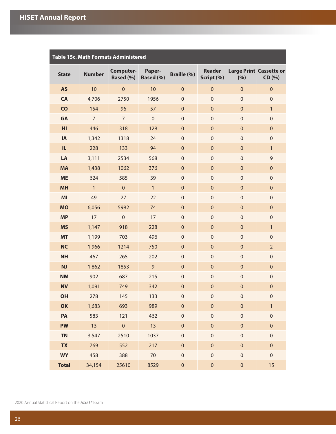<span id="page-28-0"></span>

|                | Table 15c. Math Formats Administered |                        |                     |                     |                             |                  |                                          |  |  |  |  |  |  |
|----------------|--------------------------------------|------------------------|---------------------|---------------------|-----------------------------|------------------|------------------------------------------|--|--|--|--|--|--|
| <b>State</b>   | <b>Number</b>                        | Computer-<br>Based (%) | Paper-<br>Based (%) | <b>Braille (%)</b>  | <b>Reader</b><br>Script (%) | (%)              | <b>Large Print Cassette or</b><br>CD (%) |  |  |  |  |  |  |
| <b>AS</b>      | 10                                   | $\pmb{0}$              | 10                  | $\pmb{0}$           | $\pmb{0}$                   | $\pmb{0}$        | $\pmb{0}$                                |  |  |  |  |  |  |
| <b>CA</b>      | 4,706                                | 2750                   | 1956                | $\boldsymbol{0}$    | $\boldsymbol{0}$            | $\boldsymbol{0}$ | $\mathbf 0$                              |  |  |  |  |  |  |
| $\mathsf{CO}$  | 154                                  | 96                     | 57                  | $\pmb{0}$           | $\pmb{0}$                   | $\pmb{0}$        | $\mathbf{1}$                             |  |  |  |  |  |  |
| <b>GA</b>      | $\overline{7}$                       | $\overline{7}$         | $\boldsymbol{0}$    | $\boldsymbol{0}$    | $\boldsymbol{0}$            | $\boldsymbol{0}$ | $\mathbf 0$                              |  |  |  |  |  |  |
| H <sub>l</sub> | 446                                  | 318                    | 128                 | $\pmb{0}$           | $\pmb{0}$                   | $\pmb{0}$        | $\pmb{0}$                                |  |  |  |  |  |  |
| IA             | 1,342                                | 1318                   | 24                  | $\boldsymbol{0}$    | $\boldsymbol{0}$            | $\boldsymbol{0}$ | $\boldsymbol{0}$                         |  |  |  |  |  |  |
| IL.            | 228                                  | 133                    | 94                  | $\pmb{0}$           | $\pmb{0}$                   | $\pmb{0}$        | $\mathbf{1}$                             |  |  |  |  |  |  |
| LA             | 3,111                                | 2534                   | 568                 | $\boldsymbol{0}$    | $\boldsymbol{0}$            | $\boldsymbol{0}$ | $\mathsf 9$                              |  |  |  |  |  |  |
| <b>MA</b>      | 1,438                                | 1062                   | 376                 | $\pmb{0}$           | $\pmb{0}$                   | $\pmb{0}$        | $\pmb{0}$                                |  |  |  |  |  |  |
| <b>ME</b>      | 624                                  | 585                    | 39                  | $\boldsymbol{0}$    | $\boldsymbol{0}$            | $\boldsymbol{0}$ | $\boldsymbol{0}$                         |  |  |  |  |  |  |
| <b>MH</b>      | $\mathbf{1}$                         | $\pmb{0}$              | $\mathbf{1}$        | $\pmb{0}$           | $\pmb{0}$                   | $\pmb{0}$        | $\pmb{0}$                                |  |  |  |  |  |  |
| MI             | 49                                   | 27                     | 22                  | $\boldsymbol{0}$    | $\boldsymbol{0}$            | $\boldsymbol{0}$ | $\boldsymbol{0}$                         |  |  |  |  |  |  |
| <b>MO</b>      | 6,056                                | 5982                   | 74                  | $\pmb{0}$           | $\pmb{0}$                   | $\pmb{0}$        | $\pmb{0}$                                |  |  |  |  |  |  |
| <b>MP</b>      | 17                                   | $\mathbf 0$            | 17                  | $\boldsymbol{0}$    | $\boldsymbol{0}$            | $\boldsymbol{0}$ | $\boldsymbol{0}$                         |  |  |  |  |  |  |
| <b>MS</b>      | 1,147                                | 918                    | 228                 | $\pmb{0}$           | $\pmb{0}$                   | $\pmb{0}$        | $\mathbf{1}$                             |  |  |  |  |  |  |
| <b>MT</b>      | 1,199                                | 703                    | 496                 | $\boldsymbol{0}$    | $\boldsymbol{0}$            | $\boldsymbol{0}$ | $\mathbf 0$                              |  |  |  |  |  |  |
| <b>NC</b>      | 1,966                                | 1214                   | 750                 | $\pmb{0}$           | $\pmb{0}$                   | $\pmb{0}$        | $\overline{2}$                           |  |  |  |  |  |  |
| <b>NH</b>      | 467                                  | 265                    | 202                 | $\boldsymbol{0}$    | $\boldsymbol{0}$            | $\boldsymbol{0}$ | $\boldsymbol{0}$                         |  |  |  |  |  |  |
| <b>NJ</b>      | 1,862                                | 1853                   | $\mathsf 9$         | $\pmb{0}$           | $\pmb{0}$                   | $\pmb{0}$        | $\pmb{0}$                                |  |  |  |  |  |  |
| <b>NM</b>      | 902                                  | 687                    | 215                 | $\boldsymbol{0}$    | $\boldsymbol{0}$            | $\boldsymbol{0}$ | $\boldsymbol{0}$                         |  |  |  |  |  |  |
| <b>NV</b>      | 1,091                                | 749                    | 342                 | $\mathbf 0$         | $\pmb{0}$                   | $\mathbf 0$      | $\mathbf 0$                              |  |  |  |  |  |  |
| OH             | 278                                  | 145                    | 133                 | $\Omega$            | $\overline{0}$              | $\Omega$         | $\Omega$                                 |  |  |  |  |  |  |
| OK             | 1,683                                | 693                    | 989                 | $\pmb{0}$           | $\pmb{0}$                   | $\pmb{0}$        | $\mathbf{1}$                             |  |  |  |  |  |  |
| PA             | 583                                  | 121                    | 462                 | $\mathsf{O}\xspace$ | $\mathbf 0$                 | $\pmb{0}$        | $\mathbf 0$                              |  |  |  |  |  |  |
| <b>PW</b>      | 13                                   | $\overline{0}$         | 13                  | $\pmb{0}$           | $\pmb{0}$                   | $\pmb{0}$        | $\pmb{0}$                                |  |  |  |  |  |  |
| <b>TN</b>      | 3,547                                | 2510                   | 1037                | $\mathbf 0$         | $\boldsymbol{0}$            | $\pmb{0}$        | $\mathsf{O}\xspace$                      |  |  |  |  |  |  |
| <b>TX</b>      | 769                                  | 552                    | 217                 | $\pmb{0}$           | $\pmb{0}$                   | $\pmb{0}$        | $\pmb{0}$                                |  |  |  |  |  |  |
| <b>WY</b>      | 458                                  | 388                    | 70                  | $\mathsf{O}\xspace$ | $\mathbf 0$                 | $\mathbf 0$      | $\mathbf 0$                              |  |  |  |  |  |  |
| <b>Total</b>   | 34,154                               | 25610                  | 8529                | $\pmb{0}$           | $\pmb{0}$                   | $\pmb{0}$        | 15                                       |  |  |  |  |  |  |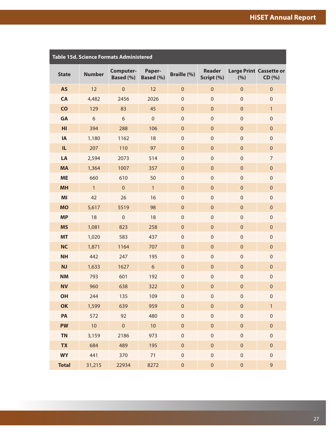<span id="page-29-0"></span>

| Table 15d. Science Formats Administered |               |                        |                     |                    |                             |             |                                          |  |  |  |  |
|-----------------------------------------|---------------|------------------------|---------------------|--------------------|-----------------------------|-------------|------------------------------------------|--|--|--|--|
| <b>State</b>                            | <b>Number</b> | Computer-<br>Based (%) | Paper-<br>Based (%) | <b>Braille (%)</b> | <b>Reader</b><br>Script (%) | (%)         | <b>Large Print Cassette or</b><br>CD (%) |  |  |  |  |
| <b>AS</b>                               | 12            | $\mathbf 0$            | 12                  | $\mathbf 0$        | $\boldsymbol{0}$            | $\mathbf 0$ | $\pmb{0}$                                |  |  |  |  |
| <b>CA</b>                               | 4,482         | 2456                   | 2026                | $\boldsymbol{0}$   | $\mathbf 0$                 | $\mathbf 0$ | $\mathbf 0$                              |  |  |  |  |
| CO                                      | 129           | 83                     | 45                  | $\pmb{0}$          | $\mathbf 0$                 | $\mathbf 0$ | 1                                        |  |  |  |  |
| <b>GA</b>                               | 6             | 6                      | $\mathbf 0$         | $\boldsymbol{0}$   | $\mathbf 0$                 | $\mathbf 0$ | $\mathbf 0$                              |  |  |  |  |
| HI                                      | 394           | 288                    | 106                 | $\pmb{0}$          | $\pmb{0}$                   | $\mathbf 0$ | $\pmb{0}$                                |  |  |  |  |
| IA                                      | 1,180         | 1162                   | 18                  | $\boldsymbol{0}$   | $\mathbf 0$                 | $\mathbf 0$ | $\mathbf 0$                              |  |  |  |  |
| IL.                                     | 207           | 110                    | 97                  | $\pmb{0}$          | $\pmb{0}$                   | $\mathbf 0$ | $\pmb{0}$                                |  |  |  |  |
| LA                                      | 2,594         | 2073                   | 514                 | $\mathbf 0$        | $\mathbf 0$                 | $\mathbf 0$ | $\overline{7}$                           |  |  |  |  |
| <b>MA</b>                               | 1,364         | 1007                   | 357                 | $\pmb{0}$          | $\mathbf{0}$                | $\mathbf 0$ | $\pmb{0}$                                |  |  |  |  |
| <b>ME</b>                               | 660           | 610                    | 50                  | $\boldsymbol{0}$   | $\mathbf 0$                 | $\mathbf 0$ | $\mathbf 0$                              |  |  |  |  |
| <b>MH</b>                               | $\mathbf{1}$  | $\pmb{0}$              | $\mathbf{1}$        | $\pmb{0}$          | $\mathbf 0$                 | $\mathbf 0$ | $\pmb{0}$                                |  |  |  |  |
| MI                                      | 42            | 26                     | 16                  | $\boldsymbol{0}$   | $\mathbf 0$                 | $\mathbf 0$ | $\mathbf 0$                              |  |  |  |  |
| <b>MO</b>                               | 5,617         | 5519                   | 98                  | $\pmb{0}$          | $\mathbf 0$                 | $\mathbf 0$ | $\pmb{0}$                                |  |  |  |  |
| <b>MP</b>                               | 18            | $\mathsf{O}\xspace$    | 18                  | $\boldsymbol{0}$   | $\mathbf 0$                 | $\mathbf 0$ | $\mathbf 0$                              |  |  |  |  |
| <b>MS</b>                               | 1,081         | 823                    | 258                 | $\pmb{0}$          | $\mathbf 0$                 | $\mathbf 0$ | $\pmb{0}$                                |  |  |  |  |
| <b>MT</b>                               | 1,020         | 583                    | 437                 | $\boldsymbol{0}$   | $\mathbf 0$                 | $\mathbf 0$ | $\mathbf 0$                              |  |  |  |  |
| <b>NC</b>                               | 1,871         | 1164                   | 707                 | $\pmb{0}$          | $\mathbf 0$                 | $\mathbf 0$ | $\pmb{0}$                                |  |  |  |  |
| <b>NH</b>                               | 442           | 247                    | 195                 | $\boldsymbol{0}$   | $\mathbf 0$                 | $\mathbf 0$ | $\mathbf 0$                              |  |  |  |  |
| <b>NJ</b>                               | 1,633         | 1627                   | $6\phantom{a}$      | $\pmb{0}$          | $\mathbf 0$                 | $\mathbf 0$ | $\pmb{0}$                                |  |  |  |  |
| <b>NM</b>                               | 793           | 601                    | 192                 | $\pmb{0}$          | $\boldsymbol{0}$            | $\mathbf 0$ | $\mathbf 0$                              |  |  |  |  |
| <b>NV</b>                               | 960           | 638                    | 322                 | $\pmb{0}$          | $\pmb{0}$                   | $\mathbf 0$ | $\pmb{0}$                                |  |  |  |  |
| <b>OH</b>                               | 244           | 135                    | 109                 | $\pmb{0}$          | $\mathbf 0$                 | $\mathbf 0$ | $\mathbf 0$                              |  |  |  |  |
| OK                                      | 1,599         | 639                    | 959                 | $\mathbf 0$        | $\mathbf 0$                 | $\mathbf 0$ | $\mathbf{1}$                             |  |  |  |  |
| PA                                      | 572           | 92                     | 480                 | $\mathbf 0$        | $\mathbf 0$                 | $\mathbf 0$ | $\mathbf 0$                              |  |  |  |  |
| <b>PW</b>                               | 10            | $\mathbf 0$            | 10                  | $\mathbf 0$        | $\mathbf 0$                 | $\mathbf 0$ | $\pmb{0}$                                |  |  |  |  |
| <b>TN</b>                               | 3,159         | 2186                   | 973                 | $\mathbf 0$        | $\mathbf 0$                 | $\mathbf 0$ | $\mathbf 0$                              |  |  |  |  |
| <b>TX</b>                               | 684           | 489                    | 195                 | $\mathbf 0$        | $\mathbf 0$                 | $\mathbf 0$ | $\pmb{0}$                                |  |  |  |  |
| <b>WY</b>                               | 441           | 370                    | 71                  | $\mathbf 0$        | $\mathbf 0$                 | $\mathbf 0$ | $\mathbf 0$                              |  |  |  |  |
| <b>Total</b>                            | 31,215        | 22934                  | 8272                | $\mathbf 0$        | $\mathbf 0$                 | $\pmb{0}$   | $\mathsf 9$                              |  |  |  |  |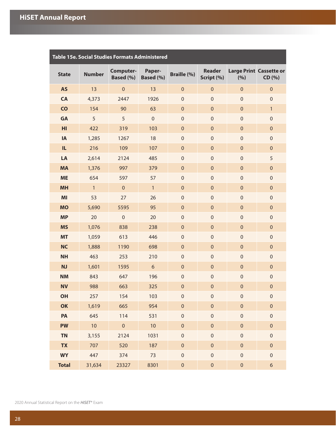<span id="page-30-0"></span>

| <b>Table 15e. Social Studies Formats Administered</b> |               |                        |                     |                    |                             |              |                                          |  |  |  |  |  |
|-------------------------------------------------------|---------------|------------------------|---------------------|--------------------|-----------------------------|--------------|------------------------------------------|--|--|--|--|--|
| <b>State</b>                                          | <b>Number</b> | Computer-<br>Based (%) | Paper-<br>Based (%) | <b>Braille (%)</b> | <b>Reader</b><br>Script (%) | (%)          | <b>Large Print Cassette or</b><br>CD (%) |  |  |  |  |  |
| <b>AS</b>                                             | 13            | $\pmb{0}$              | 13                  | $\mathbf 0$        | $\boldsymbol{0}$            | $\mathbf{0}$ | $\pmb{0}$                                |  |  |  |  |  |
| CA                                                    | 4,373         | 2447                   | 1926                | $\boldsymbol{0}$   | $\mathbf 0$                 | $\mathbf{0}$ | $\boldsymbol{0}$                         |  |  |  |  |  |
| CO                                                    | 154           | 90                     | 63                  | $\mathbf 0$        | $\mathbf 0$                 | $\mathbf{0}$ | $\mathbf{1}$                             |  |  |  |  |  |
| <b>GA</b>                                             | 5             | 5                      | $\mathbf 0$         | $\boldsymbol{0}$   | $\mathbf 0$                 | $\mathbf 0$  | $\mathbf 0$                              |  |  |  |  |  |
| HI                                                    | 422           | 319                    | 103                 | $\mathbf 0$        | $\mathbf 0$                 | $\mathbf{0}$ | $\pmb{0}$                                |  |  |  |  |  |
| IA                                                    | 1,285         | 1267                   | 18                  | $\boldsymbol{0}$   | $\mathbf 0$                 | $\mathbf 0$  | $\mathbf 0$                              |  |  |  |  |  |
| IL                                                    | 216           | 109                    | 107                 | $\mathbf 0$        | $\mathbf 0$                 | $\mathbf{0}$ | $\pmb{0}$                                |  |  |  |  |  |
| LA                                                    | 2,614         | 2124                   | 485                 | $\boldsymbol{0}$   | $\mathbf 0$                 | $\mathbf 0$  | 5                                        |  |  |  |  |  |
| <b>MA</b>                                             | 1,376         | 997                    | 379                 | $\mathbf 0$        | $\mathbf 0$                 | $\mathbf{0}$ | $\pmb{0}$                                |  |  |  |  |  |
| <b>ME</b>                                             | 654           | 597                    | 57                  | $\boldsymbol{0}$   | $\mathbf 0$                 | $\mathbf 0$  | $\mathbf 0$                              |  |  |  |  |  |
| <b>MH</b>                                             | $\mathbf{1}$  | $\pmb{0}$              | $\mathbf{1}$        | $\mathbf 0$        | $\mathbf 0$                 | $\mathbf{0}$ | $\pmb{0}$                                |  |  |  |  |  |
| MI                                                    | 53            | 27                     | 26                  | $\boldsymbol{0}$   | $\mathbf 0$                 | $\mathbf 0$  | $\mathbf 0$                              |  |  |  |  |  |
| <b>MO</b>                                             | 5,690         | 5595                   | 95                  | $\mathbf 0$        | $\mathbf 0$                 | $\mathbf{0}$ | $\pmb{0}$                                |  |  |  |  |  |
| <b>MP</b>                                             | 20            | $\mathbf 0$            | 20                  | $\boldsymbol{0}$   | $\mathbf 0$                 | $\mathbf 0$  | $\mathbf 0$                              |  |  |  |  |  |
| <b>MS</b>                                             | 1,076         | 838                    | 238                 | $\mathbf 0$        | $\mathbf 0$                 | $\mathbf{0}$ | $\pmb{0}$                                |  |  |  |  |  |
| <b>MT</b>                                             | 1,059         | 613                    | 446                 | $\boldsymbol{0}$   | $\mathbf 0$                 | $\mathbf 0$  | $\mathbf 0$                              |  |  |  |  |  |
| <b>NC</b>                                             | 1,888         | 1190                   | 698                 | $\mathbf 0$        | $\mathbf 0$                 | $\mathbf{0}$ | $\pmb{0}$                                |  |  |  |  |  |
| <b>NH</b>                                             | 463           | 253                    | 210                 | $\boldsymbol{0}$   | $\mathbf 0$                 | $\mathbf 0$  | $\mathbf 0$                              |  |  |  |  |  |
| <b>NJ</b>                                             | 1,601         | 1595                   | $\boldsymbol{6}$    | $\mathbf 0$        | $\mathbf 0$                 | $\mathbf{0}$ | $\pmb{0}$                                |  |  |  |  |  |
| <b>NM</b>                                             | 843           | 647                    | 196                 | $\boldsymbol{0}$   | $\boldsymbol{0}$            | $\mathbf 0$  | $\mathbf 0$                              |  |  |  |  |  |
| <b>NV</b>                                             | 988           | 663                    | 325                 | $\mathbf 0$        | $\mathbf 0$                 | $\mathbf 0$  | $\pmb{0}$                                |  |  |  |  |  |
| <b>OH</b>                                             | 257           | 154                    | 103                 | $\mathbf 0$        | $\mathbf 0$                 | $\mathbf 0$  | $\boldsymbol{0}$                         |  |  |  |  |  |
| OK                                                    | 1,619         | 665                    | 954                 | $\pmb{0}$          | $\mathbf 0$                 | $\mathbf 0$  | $\pmb{0}$                                |  |  |  |  |  |
| PA                                                    | 645           | 114                    | 531                 | $\mathbf 0$        | $\mathbf 0$                 | $\mathbf 0$  | $\mathbf 0$                              |  |  |  |  |  |
| <b>PW</b>                                             | 10            | $\pmb{0}$              | 10                  | $\pmb{0}$          | $\pmb{0}$                   | $\pmb{0}$    | $\pmb{0}$                                |  |  |  |  |  |
| <b>TN</b>                                             | 3,155         | 2124                   | 1031                | $\mathbf 0$        | $\boldsymbol{0}$            | $\mathbf 0$  | $\mathbf 0$                              |  |  |  |  |  |
| <b>TX</b>                                             | 707           | 520                    | 187                 | $\pmb{0}$          | $\pmb{0}$                   | $\pmb{0}$    | $\mathbf 0$                              |  |  |  |  |  |
| <b>WY</b>                                             | 447           | 374                    | 73                  | $\mathbf 0$        | $\boldsymbol{0}$            | $\mathbf 0$  | $\mathbf 0$                              |  |  |  |  |  |
| <b>Total</b>                                          | 31,634        | 23327                  | 8301                | $\pmb{0}$          | $\mathbf 0$                 | $\pmb{0}$    | $\boldsymbol{6}$                         |  |  |  |  |  |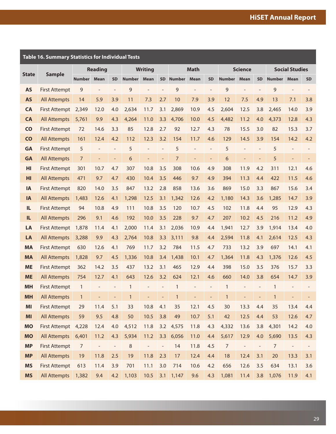<span id="page-31-0"></span>

|                | <b>Table 16. Summary Statistics for Individual Tests</b> |                |                          |                          |               |                          |                          |                |                          |                          |                  |                |                          |                |                       |           |
|----------------|----------------------------------------------------------|----------------|--------------------------|--------------------------|---------------|--------------------------|--------------------------|----------------|--------------------------|--------------------------|------------------|----------------|--------------------------|----------------|-----------------------|-----------|
|                |                                                          |                | <b>Reading</b>           |                          |               | <b>Writing</b>           |                          |                | <b>Math</b>              |                          |                  | <b>Science</b> |                          |                | <b>Social Studies</b> |           |
| <b>State</b>   | <b>Sample</b>                                            | <b>Number</b>  | Mean                     | <b>SD</b>                | <b>Number</b> | <b>Mean</b>              |                          | SD Number      | <b>Mean</b>              | <b>SD</b>                | <b>Number</b>    | <b>Mean</b>    | <b>SD</b>                | <b>Number</b>  | <b>Mean</b>           | <b>SD</b> |
| <b>AS</b>      | <b>First Attempt</b>                                     | 9              | $\overline{\phantom{a}}$ |                          | 9             | L,                       | $\overline{a}$           | 9              | $\overline{a}$           | $\overline{\phantom{a}}$ | $\mathsf 9$      | $\overline{a}$ | $\overline{\phantom{a}}$ | 9              |                       |           |
| <b>AS</b>      | <b>All Attempts</b>                                      | 14             | 5.9                      | 3.9                      | 11            | 7.3                      | 2.7                      | 10             | 7.9                      | 3.9                      | 12               | 7.5            | 4.9                      | 13             | 7.1                   | 3.8       |
| <b>CA</b>      | <b>First Attempt</b>                                     | 2,349          | 12.0                     | 4.0                      | 2,634         | 11.7                     | 3.1                      | 2,869          | 10.9                     | 4.5                      | 2,604            | 12.5           | 3.8                      | 2,465          | 14.0                  | 3.9       |
| <b>CA</b>      | <b>All Attempts</b>                                      | 5,761          | 9.9                      | 4.3                      | 4,264         | 11.0                     | 3.3                      | 4,706          | 10.0                     | 4.5                      | 4,482            | 11.2           | 4.0                      | 4,373          | 12.8                  | 4.3       |
| $\mathsf{CO}$  | <b>First Attempt</b>                                     | 72             | 14.6                     | 3.3                      | 85            | 12.8                     | 2.7                      | 92             | 12.7                     | 4.3                      | 78               | 15.5           | 3.0                      | 82             | 15.3                  | 3.7       |
| $\overline{c}$ | <b>All Attempts</b>                                      | 161            | 12.4                     | 4.2                      | 112           | 12.3                     | 3.2                      | 154            | 11.7                     | 4.6                      | 129              | 14.5           | 3.9                      | 154            | 14.2                  | 4.2       |
| GA             | <b>First Attempt</b>                                     | 5              |                          |                          | 5             | $\overline{\phantom{a}}$ | ÷,                       | 5              | $\overline{\phantom{a}}$ | $\overline{\phantom{a}}$ | 5                |                | $\overline{\phantom{a}}$ | 5              |                       |           |
| <b>GA</b>      | <b>All Attempts</b>                                      | $\overline{7}$ |                          | $\overline{\phantom{a}}$ | 6             | $\overline{a}$           | $\qquad \qquad -$        | $\overline{7}$ | ÷,                       | $\overline{\phantom{a}}$ | 6                |                | $\overline{a}$           | 5              |                       |           |
| HI             | <b>First Attempt</b>                                     | 301            | 10.7                     | 4.7                      | 307           | 10.8                     | 3.5                      | 308            | 10.6                     | 4.9                      | 308              | 11.9           | 4.2                      | 311            | 12.1                  | 4.6       |
| HI             | <b>All Attempts</b>                                      | 471            | 9.7                      | 4.7                      | 430           | 10.4                     | 3.5                      | 446            | 9.7                      | 4.9                      | 394              | 11.3           | 4.4                      | 422            | 11.5                  | 4.6       |
| IA             | <b>First Attempt</b>                                     | 820            | 14.0                     | 3.5                      | 847           | 13.2                     | 2.8                      | 858            | 13.6                     | 3.6                      | 869              | 15.0           | 3.3                      | 867            | 15.6                  | 3.4       |
| IA             | <b>All Attempts</b>                                      | 1,483          | 12.6                     | 4.1                      | 1,298         | 12.5                     | 3.1                      | 1,342          | 12.6                     | 4.2                      | 1,180            | 14.3           | 3.6                      | 1,285          | 14.7                  | 3.9       |
| IL.            | <b>First Attempt</b>                                     | 94             | 10.8                     | 4.9                      | 111           | 10.8                     | 3.5                      | 120            | 10.7                     | 4.5                      | 102              | 11.8           | 4.4                      | 95             | 12.9                  | 4.3       |
| IL             | <b>All Attempts</b>                                      | 296            | 9.1                      | 4.6                      | 192           | 10.0                     | 3.5                      | 228            | 9.7                      | 4.7                      | 207              | 10.2           | 4.5                      | 216            | 11.2                  | 4.9       |
| LA             | <b>First Attempt</b>                                     | 1,878          | 11.4                     | 4.1                      | 2,000         | 11.4                     | 3.1                      | 2,036          | 10.9                     | 4.4                      | 1,941            | 12.7           | 3.9                      | 1,914          | 13.4                  | 4.0       |
| LA             | <b>All Attempts</b>                                      | 3,288          | 9.9                      | 4.3                      | 2,764         | 10.8                     | 3.3                      | 3,111          | 9.8                      | 4.4                      | 2,594            | 11.8           | 4.1                      | 2,614          | 12.5                  | 4.3       |
| <b>MA</b>      | <b>First Attempt</b>                                     | 630            | 12.6                     | 4.1                      | 769           | 11.7                     | 3.2                      | 784            | 11.5                     | 4.7                      | 733              | 13.2           | 3.9                      | 697            | 14.1                  | 4.1       |
| <b>MA</b>      | <b>All Attempts</b>                                      | 1,828          | 9.7                      | 4.5                      | 1,336         | 10.8                     | 3.4                      | 1,438          | 10.1                     | 4.7                      | 1,364            | 11.8           | 4.3                      | 1,376          | 12.6                  | 4.5       |
| <b>ME</b>      | <b>First Attempt</b>                                     | 362            | 14.2                     | 3.5                      | 437           | 13.2                     | 3.1                      | 465            | 12.9                     | 4.4                      | 398              | 15.0           | 3.5                      | 376            | 15.7                  | 3.3       |
| <b>ME</b>      | <b>All Attempts</b>                                      | 754            | 12.7                     | 4.1                      | 643           | 12.6                     | 3.2                      | 624            | 12.1                     | 4.6                      | 660              | 14.0           | 3.8                      | 654            | 14.7                  | 3.9       |
| <b>MH</b>      | <b>First Attempt</b>                                     | $\mathbf{1}$   |                          |                          | $\mathbf{1}$  | $\overline{\phantom{a}}$ |                          | $\mathbf{1}$   | $\overline{\phantom{a}}$ | $\overline{a}$           | $\mathbf{1}$     |                | $\overline{\phantom{a}}$ | $\mathbf{1}$   |                       |           |
| <b>MH</b>      | <b>All Attempts</b>                                      | $\mathbf{1}$   |                          |                          | $\mathbf{1}$  |                          |                          | $\mathbf{1}$   |                          |                          | $\mathbf{1}$     |                |                          | $\mathbf{1}$   |                       |           |
| MI             | <b>First Attempt</b>                                     | 29             | 11.4                     | 5.1                      | 33            | 10.8                     | 4.1                      | 35             | 12.1                     | 4.5                      | 30               | 13.3           | 4.4                      | 35             | 13.4                  | 4.4       |
| MI             | <b>All Attempts</b>                                      | 59             | 9.5                      | 4.8                      | 50            | 10.5                     | 3.8                      | 49             | 10.7                     | 5.1                      | 42               | 12.5           | 4.4                      | 53             | 12.6                  | 4.7       |
| <b>MO</b>      | <b>First Attempt</b>                                     | 4,228          | 12.4                     | 4.0                      | 4,512         | 11.8                     |                          | 3.2 4,575      | 11.8                     | 4.3                      | 4,332            | 13.6           | 3.8                      | 4,301          | 14.2                  | 4.0       |
| <b>MO</b>      | <b>All Attempts</b>                                      | 6,401          | 11.2                     | 4.3                      | 5,934         | 11.2                     | 3.3                      | 6,056          | 11.0                     | 4.4                      | 5,617            | 12.9           | 4.0                      | 5,690          | 13.5                  | 4.3       |
| <b>MP</b>      | <b>First Attempt</b>                                     | $\overline{7}$ | $\blacksquare$           | $\overline{\phantom{a}}$ | $\,8\,$       | $\overline{\phantom{a}}$ | $\overline{\phantom{a}}$ | 14             | 11.8                     | 4.5                      | $\boldsymbol{7}$ | $\blacksquare$ | $\overline{\phantom{a}}$ | $\overline{7}$ |                       |           |
| <b>MP</b>      | <b>All Attempts</b>                                      | 19             | 11.8                     | 2.5                      | 19            | 11.8                     | 2.3                      | 17             | 12.4                     | 4.4                      | 18               | 12.4           | 3.1                      | 20             | 13.3                  | 3.1       |
| <b>MS</b>      | <b>First Attempt</b>                                     | 613            | 11.4                     | 3.9                      | 701           | 11.1                     | 3.0                      | 714            | 10.6                     | 4.2                      | 656              | 12.6           | 3.5                      | 634            | 13.1                  | 3.6       |
| <b>MS</b>      | <b>All Attempts</b>                                      | 1,382          | 9.4                      | 4.2                      | 1,103         | 10.5                     | 3.1                      | 1,147          | 9.6                      | 4.3                      | 1,081            | 11.4           | 3.8                      | 1,076          | 11.9                  | 4.1       |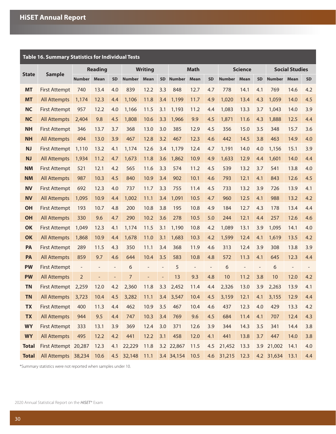|              | Table 16. Summary Statistics for Individual Tests |                   |                          |                          |               |                          |                          |            |             |                          |                |      |                          |                       |             |     |
|--------------|---------------------------------------------------|-------------------|--------------------------|--------------------------|---------------|--------------------------|--------------------------|------------|-------------|--------------------------|----------------|------|--------------------------|-----------------------|-------------|-----|
|              |                                                   |                   | <b>Reading</b>           |                          |               | <b>Writing</b>           |                          |            | <b>Math</b> |                          | <b>Science</b> |      |                          | <b>Social Studies</b> |             |     |
| <b>State</b> | <b>Sample</b>                                     | <b>Number</b>     | <b>Mean</b>              | <b>SD</b>                | <b>Number</b> | <b>Mean</b>              |                          | SD Number  | Mean        | <b>SD</b>                | <b>Number</b>  | Mean | <b>SD</b>                | <b>Number</b>         | <b>Mean</b> | SD  |
| <b>MT</b>    | <b>First Attempt</b>                              | 740               | 13.4                     | 4.0                      | 839           | 12.2                     | 3.3                      | 848        | 12.7        | 4.7                      | 778            | 14.1 | 4.1                      | 769                   | 14.6        | 4.2 |
| <b>MT</b>    | <b>All Attempts</b>                               | 1,174             | 12.3                     | 4.4                      | 1,106         | 11.8                     | 3.4                      | 1,199      | 11.7        | 4.9                      | 1,020          | 13.4 | 4.3                      | 1,059                 | 14.0        | 4.5 |
| <b>NC</b>    | <b>First Attempt</b>                              | 957               | 12.2                     | 4.0                      | 1,166         | 11.5                     | 3.1                      | 1,193      | 11.2        | 4.4                      | 1,083          | 13.3 | 3.7                      | 1,043                 | 14.0        | 3.9 |
| <b>NC</b>    | All Attempts                                      | 2,404             | 9.8                      | 4.5                      | 1,808         | 10.6                     | 3.3                      | 1,966      | 9.9         | 4.5                      | 1,871          | 11.6 | 4.3                      | 1,888                 | 12.5        | 4.4 |
| <b>NH</b>    | <b>First Attempt</b>                              | 346               | 13.7                     | 3.7                      | 368           | 13.0                     | 3.0                      | 385        | 12.9        | 4.5                      | 356            | 15.0 | 3.5                      | 348                   | 15.7        | 3.6 |
| <b>NH</b>    | <b>All Attempts</b>                               | 494               | 13.0                     | 3.9                      | 467           | 12.8                     | 3.2                      | 467        | 12.3        | 4.6                      | 442            | 14.5 | 3.8                      | 463                   | 14.9        | 4.0 |
| <b>NJ</b>    | <b>First Attempt</b>                              | 1,110             | 13.2                     | 4.1                      | 1,174         | 12.6                     | 3.4                      | 1,179      | 12.4        | 4.7                      | 1,191          | 14.0 | 4.0                      | 1,156                 | 15.1        | 3.9 |
| NJ           | <b>All Attempts</b>                               | 1,934             | 11.2                     | 4.7                      | 1,673         | 11.8                     | 3.6                      | 1,862      | 10.9        | 4.9                      | 1,633          | 12.9 | 4.4                      | 1,601                 | 14.0        | 4.4 |
| <b>NM</b>    | <b>First Attempt</b>                              | 521               | 12.1                     | 4.2                      | 565           | 11.6                     | 3.3                      | 574        | 11.2        | 4.5                      | 539            | 13.2 | 3.7                      | 541                   | 13.8        | 4.0 |
| <b>NM</b>    | <b>All Attempts</b>                               | 987               | 10.3                     | 4.5                      | 840           | 10.9                     | 3.4                      | 902        | 10.1        | 4.6                      | 793            | 12.1 | 4.1                      | 843                   | 12.6        | 4.5 |
| <b>NV</b>    | <b>First Attempt</b>                              | 692               | 12.3                     | 4.0                      | 737           | 11.7                     | 3.3                      | 755        | 11.4        | 4.5                      | 733            | 13.2 | 3.9                      | 726                   | 13.9        | 4.1 |
| <b>NV</b>    | <b>All Attempts</b>                               | 1,095             | 10.9                     | 4.4                      | 1,002         | 11.1                     | 3.4                      | 1,091      | 10.5        | 4.7                      | 960            | 12.5 | 4.1                      | 988                   | 13.2        | 4.2 |
| OH           | <b>First Attempt</b>                              | 193               | 10.7                     | 4.8                      | 200           | 10.8                     | 3.8                      | 195        | 10.8        | 4.9                      | 184            | 12.7 | 4.3                      | 178                   | 13.4        | 4.4 |
| OH           | <b>All Attempts</b>                               | 330               | 9.6                      | 4.7                      | 290           | 10.2                     | 3.6                      | 278        | 10.5        | 5.0                      | 244            | 12.1 | 4.4                      | 257                   | 12.6        | 4.6 |
| OK           | <b>First Attempt</b>                              | 1,049             | 12.3                     | 4.1                      | 1,174         | 11.5                     | 3.1                      | 1,190      | 10.8        | 4.2                      | 1,089          | 13.1 | 3.9                      | 1,095                 | 14.1        | 4.0 |
| OK           | <b>All Attempts</b>                               | 1,868             | 10.9                     | 4.4                      | 1,678         | 11.0                     | 3.1                      | 1,683      | 10.3        | 4.2                      | 1,599          | 12.4 | 4.1                      | 1,619                 | 13.5        | 4.2 |
| PA           | <b>First Attempt</b>                              | 289               | 11.5                     | 4.3                      | 350           | 11.1                     | 3.4                      | 368        | 11.9        | 4.6                      | 313            | 12.4 | 3.9                      | 308                   | 13.8        | 3.9 |
| PA           | <b>All Attempts</b>                               | 859               | 9.7                      | 4.6                      | 644           | 10.4                     | 3.5                      | 583        | 10.8        | 4.8                      | 572            | 11.3 | 4.1                      | 645                   | 12.3        | 4.4 |
| <b>PW</b>    | <b>First Attempt</b>                              | $\qquad \qquad -$ | $\overline{\phantom{m}}$ | $\overline{\phantom{a}}$ | 6             | $\overline{\phantom{0}}$ | $\overline{\phantom{a}}$ | 5          |             | $\overline{\phantom{m}}$ | 6              |      | $\overline{\phantom{a}}$ | 6                     |             |     |
| <b>PW</b>    | <b>All Attempts</b>                               | $\overline{2}$    | $\overline{\phantom{a}}$ | $\overline{\phantom{a}}$ | 7             | $\overline{\phantom{0}}$ | $\overline{\phantom{a}}$ | 13         | 9.3         | 4.8                      | 10             | 11.2 | 3.8                      | 10                    | 12.0        | 4.2 |
| <b>TN</b>    | <b>First Attempt</b>                              | 2,259             | 12.0                     | 4.2                      | 2,360         | 11.8                     | 3.3                      | 2,452      | 11.4        | 4.4                      | 2,326          | 13.0 | 3.9                      | 2,263                 | 13.9        | 4.1 |
| <b>TN</b>    | All Attempts 3,723                                |                   | 10.4                     | 4.5                      | 3,282         | 11.1                     |                          | 3.4 3,547  | 10.4        | 4.5                      | 3,159          | 12.1 | 4.1                      | 3,155                 | 12.9        | 4.4 |
| <b>TX</b>    | <b>First Attempt</b>                              | 400               | 11.3                     | 4.4                      | 462           | 10.9                     | 3.5                      | 467        | 10.4        | 4.6                      | 437            | 12.3 | 4.0                      | 429                   | 13.3        | 4.2 |
| <b>TX</b>    | <b>All Attempts</b>                               | 944               | 9.5                      | 4.4                      | 747           | 10.3                     | 3.4                      | 769        | 9.6         | 4.5                      | 684            | 11.4 | 4.1                      | 707                   | 12.4        | 4.3 |
| <b>WY</b>    | <b>First Attempt</b>                              | 333               | 13.1                     | 3.9                      | 369           | 12.4                     | 3.0                      | 371        | 12.6        | 3.9                      | 344            | 14.3 | 3.5                      | 341                   | 14.4        | 3.8 |
| <b>WY</b>    | <b>All Attempts</b>                               | 495               | 12.2                     | 4.2                      | 441           | 12.2                     | 3.1                      | 458        | 12.0        | 4.1                      | 441            | 13.8 | 3.7                      | 447                   | 14.0        | 3.8 |
| <b>Total</b> | First Attempt 20,287                              |                   | 12.3                     | 4.1                      | 22,229        | 11.8                     |                          | 3.2 22,867 | 11.5        | 4.5                      | 21,452         | 13.3 |                          | 3.9 21,002            | 14.1        | 4.0 |
| <b>Total</b> | All Attempts 38,234 10.6                          |                   |                          |                          | 4.5 32,148    | 11.1                     |                          | 3.4 34,154 | 10.5        | 4.6                      | 31,215         | 12.3 |                          | 4.2 31,634            | 13.1        | 4.4 |

\*Summary statistics were not reported when samples under 10.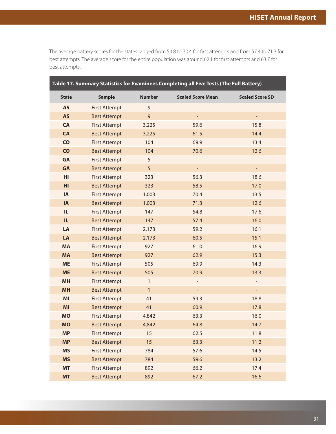<span id="page-33-0"></span>The average battery scores for the states ranged from 54.8 to 70.4 for first attempts and from 57.4 to 71.3 for best attempts. The average score for the entire population was around 62.1 for first attempts and 63.7 for best attempts.

|              |                      |               | Table 17. Summary Statistics for Examinees Completing all Five Tests (The Full Battery) |                        |
|--------------|----------------------|---------------|-----------------------------------------------------------------------------------------|------------------------|
| <b>State</b> | <b>Sample</b>        | <b>Number</b> | <b>Scaled Score Mean</b>                                                                | <b>Scaled Score SD</b> |
| <b>AS</b>    | <b>First Attempt</b> | 9             |                                                                                         |                        |
| <b>AS</b>    | <b>Best Attempt</b>  | 9             |                                                                                         |                        |
| <b>CA</b>    | <b>First Attempt</b> | 3,225         | 59.6                                                                                    | 15.8                   |
| <b>CA</b>    | <b>Best Attempt</b>  | 3,225         | 61.5                                                                                    | 14.4                   |
| CO           | <b>First Attempt</b> | 104           | 69.9                                                                                    | 13.4                   |
| <b>CO</b>    | <b>Best Attempt</b>  | 104           | 70.6                                                                                    | 12.6                   |
| <b>GA</b>    | <b>First Attempt</b> | 5             |                                                                                         |                        |
| <b>GA</b>    | <b>Best Attempt</b>  | 5             | $\blacksquare$                                                                          | ÷,                     |
| HI           | <b>First Attempt</b> | 323           | 56.3                                                                                    | 18.6                   |
| HI           | <b>Best Attempt</b>  | 323           | 58.5                                                                                    | 17.0                   |
| <b>IA</b>    | <b>First Attempt</b> | 1,003         | 70.4                                                                                    | 13.5                   |
| IA           | <b>Best Attempt</b>  | 1,003         | 71.3                                                                                    | 12.6                   |
| IL.          | <b>First Attempt</b> | 147           | 54.8                                                                                    | 17.6                   |
| IL.          | <b>Best Attempt</b>  | 147           | 57.4                                                                                    | 16.0                   |
| LA           | <b>First Attempt</b> | 2,173         | 59.2                                                                                    | 16.1                   |
| LA           | <b>Best Attempt</b>  | 2,173         | 60.5                                                                                    | 15.1                   |
| <b>MA</b>    | <b>First Attempt</b> | 927           | 61.0                                                                                    | 16.9                   |
| <b>MA</b>    | <b>Best Attempt</b>  | 927           | 62.9                                                                                    | 15.3                   |
| <b>ME</b>    | <b>First Attempt</b> | 505           | 69.9                                                                                    | 14.3                   |
| <b>ME</b>    | <b>Best Attempt</b>  | 505           | 70.9                                                                                    | 13.3                   |
| <b>MH</b>    | <b>First Attempt</b> | $\mathbf{1}$  |                                                                                         |                        |
| <b>MH</b>    | <b>Best Attempt</b>  | $\mathbf{1}$  | $\overline{\phantom{a}}$                                                                | ÷                      |
| MI           | <b>First Attempt</b> | 41            | 59.3                                                                                    | 18.8                   |
| MI           | <b>Best Attempt</b>  | 41            | 60.9                                                                                    | 17.8                   |
| <b>MO</b>    | <b>First Attempt</b> | 4,842         | 63.3                                                                                    | 16.0                   |
| <b>MO</b>    | <b>Best Attempt</b>  | 4,842         | 64.8                                                                                    | 14.7                   |
| <b>MP</b>    | <b>First Attempt</b> | 15            | 62.5                                                                                    | 11.8                   |
| <b>MP</b>    | <b>Best Attempt</b>  | 15            | 63.3                                                                                    | 11.2                   |
| <b>MS</b>    | <b>First Attempt</b> | 784           | 57.6                                                                                    | 14.5                   |
| <b>MS</b>    | <b>Best Attempt</b>  | 784           | 59.6                                                                                    | 13.2                   |
| <b>MT</b>    | <b>First Attempt</b> | 892           | 66.2                                                                                    | 17.4                   |
| <b>MT</b>    | <b>Best Attempt</b>  | 892           | 67.2                                                                                    | 16.6                   |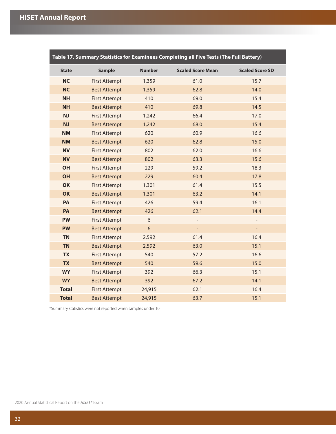|              |                      |                | Table 17. Summary Statistics for Examinees Completing all Five Tests (The Full Battery) |                          |
|--------------|----------------------|----------------|-----------------------------------------------------------------------------------------|--------------------------|
| <b>State</b> | <b>Sample</b>        | <b>Number</b>  | <b>Scaled Score Mean</b>                                                                | <b>Scaled Score SD</b>   |
| <b>NC</b>    | <b>First Attempt</b> | 1,359          | 61.0                                                                                    | 15.7                     |
| <b>NC</b>    | <b>Best Attempt</b>  | 1,359          | 62.8                                                                                    | 14.0                     |
| <b>NH</b>    | <b>First Attempt</b> | 410            | 69.0                                                                                    | 15.4                     |
| <b>NH</b>    | <b>Best Attempt</b>  | 410            | 69.8                                                                                    | 14.5                     |
| NJ           | <b>First Attempt</b> | 1,242          | 66.4                                                                                    | 17.0                     |
| <b>NJ</b>    | <b>Best Attempt</b>  | 1,242          | 68.0                                                                                    | 15.4                     |
| <b>NM</b>    | <b>First Attempt</b> | 620            | 60.9                                                                                    | 16.6                     |
| <b>NM</b>    | <b>Best Attempt</b>  | 620            | 62.8                                                                                    | 15.0                     |
| <b>NV</b>    | <b>First Attempt</b> | 802            | 62.0                                                                                    | 16.6                     |
| <b>NV</b>    | <b>Best Attempt</b>  | 802            | 63.3                                                                                    | 15.6                     |
| <b>OH</b>    | <b>First Attempt</b> | 229            | 59.2                                                                                    | 18.3                     |
| <b>OH</b>    | <b>Best Attempt</b>  | 229            | 60.4                                                                                    | 17.8                     |
| OK           | <b>First Attempt</b> | 1,301          | 61.4                                                                                    | 15.5                     |
| OK           | <b>Best Attempt</b>  | 1,301          | 63.2                                                                                    | 14.1                     |
| PA           | <b>First Attempt</b> | 426            | 59.4                                                                                    | 16.1                     |
| PA           | <b>Best Attempt</b>  | 426            | 62.1                                                                                    | 14.4                     |
| <b>PW</b>    | <b>First Attempt</b> | 6              | $\overline{\phantom{0}}$                                                                | $\overline{\phantom{0}}$ |
| <b>PW</b>    | <b>Best Attempt</b>  | $6\phantom{a}$ |                                                                                         |                          |
| <b>TN</b>    | <b>First Attempt</b> | 2,592          | 61.4                                                                                    | 16.4                     |
| <b>TN</b>    | <b>Best Attempt</b>  | 2,592          | 63.0                                                                                    | 15.1                     |
| <b>TX</b>    | <b>First Attempt</b> | 540            | 57.2                                                                                    | 16.6                     |
| <b>TX</b>    | <b>Best Attempt</b>  | 540            | 59.6                                                                                    | 15.0                     |
| <b>WY</b>    | <b>First Attempt</b> | 392            | 66.3                                                                                    | 15.1                     |
| <b>WY</b>    | <b>Best Attempt</b>  | 392            | 67.2                                                                                    | 14.1                     |
| <b>Total</b> | <b>First Attempt</b> | 24,915         | 62.1                                                                                    | 16.4                     |
| <b>Total</b> | <b>Best Attempt</b>  | 24,915         | 63.7                                                                                    | 15.1                     |

\*Summary statistics were not reported when samples under 10.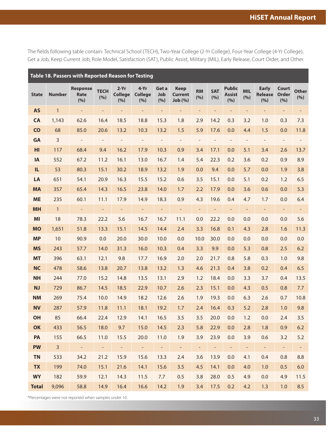<span id="page-35-0"></span>The fields following table contain: Technical School (TECH), Two-Year College (2-Yr College), Four-Year College (4-Yr College), Get a Job, Keep Current Job, Role Model, Satisfaction (SAT), Public Assist, Military (MIL), Early Release, Court Order, and Other.

| Table 18. Passers with Reported Reason for Testing |                |                                |                             |                                 |                                 |                     |                                         |                          |                          |                                       |                          |                                       |                                     |                          |
|----------------------------------------------------|----------------|--------------------------------|-----------------------------|---------------------------------|---------------------------------|---------------------|-----------------------------------------|--------------------------|--------------------------|---------------------------------------|--------------------------|---------------------------------------|-------------------------------------|--------------------------|
| <b>State</b>                                       | <b>Number</b>  | <b>Response</b><br>Rate<br>(%) | <b>TECH</b><br>(%)          | $2-Yr$<br><b>College</b><br>(%) | $4-Yr$<br><b>College</b><br>(%) | Get a<br>Job<br>(%) | <b>Keep</b><br><b>Current</b><br>Job(%) | <b>RM</b><br>(%)         | <b>SAT</b><br>(%)        | <b>Public</b><br><b>Assist</b><br>(%) | <b>MIL</b><br>(%)        | <b>Early</b><br><b>Release</b><br>(%) | <b>Court</b><br><b>Order</b><br>(%) | <b>Other</b><br>(%)      |
| <b>AS</b>                                          | $\mathbf{1}$   | $\overline{\phantom{a}}$       |                             |                                 |                                 | $\qquad \qquad -$   |                                         |                          |                          | $\overline{a}$                        |                          | $\overline{\phantom{0}}$              |                                     |                          |
| <b>CA</b>                                          | 1,143          | 62.6                           | 16.4                        | 18.5                            | 18.8                            | 15.3                | 1.8                                     | 2.9                      | 14.2                     | 0.3                                   | 3.2                      | 1.0                                   | 0.3                                 | 7.3                      |
| <b>CO</b>                                          | 68             | 85.0                           | 20.6                        | 13.2                            | 10.3                            | 13.2                | 1.5                                     | 5.9                      | 17.6                     | 0.0                                   | 4.4                      | 1.5                                   | 0.0                                 | 11.8                     |
| <b>GA</b>                                          | $\overline{3}$ | $\overline{\phantom{a}}$       | $\overline{\phantom{a}}$    | $\overline{\phantom{a}}$        | $\overline{a}$                  | $\overline{a}$      | $\overline{\phantom{a}}$                | $\overline{\phantom{a}}$ |                          | $\overline{a}$                        | $\overline{\phantom{a}}$ | $\qquad \qquad -$                     | $\overline{\phantom{a}}$            | $\overline{\phantom{a}}$ |
| HI                                                 | 117            | 68.4                           | 9.4                         | 16.2                            | 17.9                            | 10.3                | 0.9                                     | 3.4                      | 17.1                     | 0.0                                   | 5.1                      | 3.4                                   | 2.6                                 | 13.7                     |
| <b>IA</b>                                          | 552            | 67.2                           | 11.2                        | 16.1                            | 13.0                            | 16.7                | 1.4                                     | 5.4                      | 22.3                     | 0.2                                   | 3.6                      | 0.2                                   | 0.9                                 | 8.9                      |
| IL.                                                | 53             | 80.3                           | 15.1                        | 30.2                            | 18.9                            | 13.2                | 1.9                                     | 0.0                      | 9.4                      | 0.0                                   | 5.7                      | 0.0                                   | 1.9                                 | 3.8                      |
| LA                                                 | 651            | 54.1                           | 20.9                        | 16.3                            | 15.5                            | 15.2                | 0.6                                     | 3.5                      | 15.1                     | 0.0                                   | 5.1                      | 0.2                                   | 1.2                                 | 6.5                      |
| <b>MA</b>                                          | 357            | 65.4                           | 14.3                        | 16.5                            | 23.8                            | 14.0                | 1.7                                     | 2.2                      | 17.9                     | 0.0                                   | 3.6                      | 0.6                                   | 0.0                                 | 5.3                      |
| <b>ME</b>                                          | 235            | 60.1                           | 11.1                        | 17.9                            | 14.9                            | 18.3                | 0.9                                     | 4.3                      | 19.6                     | 0.4                                   | 4.7                      | 1.7                                   | 0.0                                 | 6.4                      |
| <b>MH</b>                                          | $\mathbf{1}$   | $\blacksquare$                 |                             | $\overline{\phantom{a}}$        | $\overline{\phantom{a}}$        |                     | $\equiv$                                | $\overline{\phantom{a}}$ | $\overline{\phantom{a}}$ | -                                     | $\overline{\phantom{a}}$ | $\overline{\phantom{a}}$              | $\overline{\phantom{a}}$            | $\blacksquare$           |
| MI                                                 | 18             | 78.3                           | 22.2                        | 5.6                             | 16.7                            | 16.7                | 11.1                                    | 0.0                      | 22.2                     | 0.0                                   | 0.0                      | 0.0                                   | 0.0                                 | 5.6                      |
| <b>MO</b>                                          | 1,651          | 51.8                           | 13.3                        | 15.1                            | 14.5                            | 14.4                | 2.4                                     | 3.3                      | 16.8                     | 0.1                                   | 4.3                      | 2.8                                   | 1.6                                 | 11.3                     |
| <b>MP</b>                                          | 10             | 90.9                           | 0.0                         | 20.0                            | 30.0                            | 10.0                | 0.0                                     | 10.0                     | 30.0                     | 0.0                                   | 0.0                      | 0.0                                   | 0.0                                 | 0.0                      |
| <b>MS</b>                                          | 243            | 57.7                           | 14.0                        | 31.3                            | 16.0                            | 10.3                | 0.4                                     | 3.3                      | 9.9                      | 0.0                                   | 5.3                      | 0.8                                   | 2.5                                 | 6.2                      |
| <b>MT</b>                                          | 396            | 63.1                           | 12.1                        | 9.8                             | 17.7                            | 16.9                | 2.0                                     | 2.0                      | 21.7                     | 0.8                                   | 5.8                      | 0.3                                   | 1.0                                 | 9.8                      |
| <b>NC</b>                                          | 478            | 58.6                           | 13.8                        | 20.7                            | 13.8                            | 13.2                | 1.3                                     | 4.6                      | 21.3                     | 0.4                                   | 3.8                      | 0.2                                   | 0.4                                 | 6.5                      |
| <b>NH</b>                                          | 244            | 77.0                           | 15.2                        | 14.8                            | 13.5                            | 13.1                | 2.9                                     | 1.2                      | 18.4                     | 0.0                                   | 3.3                      | 3.7                                   | 0.4                                 | 13.5                     |
| <b>NJ</b>                                          | 729            | 86.7                           | 14.5                        | 18.5                            | 22.9                            | 10.7                | 2.6                                     | 2.3                      | 15.1                     | 0.0                                   | 4.3                      | 0.5                                   | 0.8                                 | 7.7                      |
| <b>NM</b>                                          | 269            | 75.4                           | 10.0                        | 14.9                            | 18.2                            | 12.6                | 2.6                                     | 1.9                      | 19.3                     | 0.0                                   | 6.3                      | 2.6                                   | 0.7                                 | 10.8                     |
| <b>NV</b>                                          | 287            | 57.9                           | 11.8                        | 11.1                            | 18.1                            | 19.2                | 1.7                                     | 2.4                      | 16.4                     | 0.3                                   | 5.2                      | 2.8                                   | 1.0                                 | 9.8                      |
| OH                                                 | 85             | 66.4                           | 22.4                        | 12.9                            | 14.1                            | 16.5                | 3.5                                     | 3.5                      | 20.0                     | 0.0                                   | 1.2                      | 0.0                                   | 2.4                                 | 3.5                      |
| <b>OK</b>                                          | 433            | 56.5                           | 18.0                        | 9.7                             | 15.0                            | 14.5                | 2.3                                     | 5.8                      | 22.9                     | 0.0                                   | 2.8                      | 1.8                                   | 0.9                                 | 6.2                      |
| PA                                                 | 155            | 66.5                           | 11.0                        | 15.5                            | 20.0                            | 11.0                | 1.9                                     | 3.9                      | 23.9                     | 0.0                                   | 3.9                      | 0.6                                   | 3.2                                 | 5.2                      |
| <b>PW</b>                                          | 3 <sup>7</sup> | $\omega_{\rm c}$               | $\mathcal{L}_{\mathcal{A}}$ | $\blacksquare$                  | $\omega_{\rm c}$                | $\equiv$            | $\equiv$                                |                          |                          | $\overline{\phantom{a}}$              | $\overline{\phantom{a}}$ | $\blacksquare$                        | $\equiv$                            | $\equiv$                 |
| <b>TN</b>                                          | 533            | 34.2                           | 21.2                        | 15.9                            | 15.6                            | 13.3                | 2.4                                     | 3.6                      | 13.9                     | 0.0                                   | 4.1                      | 0.4                                   | 0.8                                 | 8.8                      |
| <b>TX</b>                                          | 199            | 74.0                           | 15.1                        | 21.6                            | 14.1                            | 15.6                | 3.5                                     | 4.5                      | 14.1                     | 0.0                                   | 4.0                      | 1.0                                   | 0.5                                 | 6.0                      |
| <b>WY</b>                                          | 182            | 59.9                           | 12.1                        | 14.3                            | 11.5                            | 7.7                 | 0.5                                     | 3.8                      | 28.0                     | 0.5                                   | 4.9                      | 0.0                                   | 4.9                                 | 11.5                     |
| <b>Total</b>                                       | 9,096          | 58.8                           | 14.9                        | 16.4                            | 16.6                            | 14.2                | 1.9                                     | 3.4                      | 17.5                     | 0.2                                   | 4.2                      | 1.3                                   | 1.0                                 | 8.5                      |

\*Percentages were not reported when samples under 10.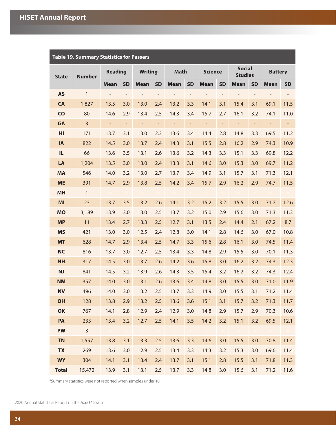<span id="page-36-0"></span>

| <b>Table 19. Summary Statistics for Passers</b> |                |                          |                          |                     |                          |                          |                          |                |                          |                                 |                          |                          |                          |
|-------------------------------------------------|----------------|--------------------------|--------------------------|---------------------|--------------------------|--------------------------|--------------------------|----------------|--------------------------|---------------------------------|--------------------------|--------------------------|--------------------------|
| <b>State</b>                                    | <b>Number</b>  | <b>Reading</b>           |                          | <b>Writing</b>      |                          | <b>Math</b>              |                          | <b>Science</b> |                          | <b>Social</b><br><b>Studies</b> |                          | <b>Battery</b>           |                          |
|                                                 |                | <b>Mean</b>              | <b>SD</b>                | <b>Mean</b>         | <b>SD</b>                | <b>Mean</b>              | <b>SD</b>                | <b>Mean</b>    | <b>SD</b>                | <b>Mean</b>                     | <b>SD</b>                | <b>Mean</b>              | <b>SD</b>                |
| <b>AS</b>                                       | $\mathbf{1}$   | $\overline{\phantom{a}}$ | $\qquad \qquad -$        | $\overline{a}$      | $\overline{\phantom{a}}$ |                          | $\overline{\phantom{a}}$ |                | $\overline{\phantom{a}}$ |                                 | $\qquad \qquad -$        |                          | $\overline{\phantom{0}}$ |
| <b>CA</b>                                       | 1,827          | 13.5                     | 3.0                      | 13.0                | 2.4                      | 13.2                     | 3.3                      | 14.1           | 3.1                      | 15.4                            | 3.1                      | 69.1                     | 11.5                     |
| CO                                              | 80             | 14.6                     | 2.9                      | 13.4                | 2.5                      | 14.3                     | 3.4                      | 15.7           | 2.7                      | 16.1                            | 3.2                      | 74.1                     | 11.0                     |
| <b>GA</b>                                       | $\overline{3}$ | $\blacksquare$           | $\overline{\phantom{a}}$ | $\qquad \qquad -$   | $\overline{\phantom{a}}$ | $\overline{\phantom{0}}$ | $\overline{\phantom{a}}$ | ÷              | $\overline{\phantom{a}}$ | $\overline{\phantom{0}}$        | $\overline{\phantom{a}}$ | $\overline{\phantom{a}}$ | ÷                        |
| HI                                              | 171            | 13.7                     | 3.1                      | 13.0                | 2.3                      | 13.6                     | 3.4                      | 14.4           | 2.8                      | 14.8                            | 3.3                      | 69.5                     | 11.2                     |
| IA                                              | 822            | 14.5                     | 3.0                      | 13.7                | 2.4                      | 14.3                     | 3.1                      | 15.5           | 2.8                      | 16.2                            | 2.9                      | 74.3                     | 10.9                     |
| IL                                              | 66             | 13.6                     | 3.5                      | 13.1                | 2.6                      | 13.6                     | 3.2                      | 14.3           | 3.3                      | 15.1                            | 3.3                      | 69.8                     | 12.2                     |
| LA                                              | 1,204          | 13.5                     | 3.0                      | 13.0                | 2.4                      | 13.3                     | 3.1                      | 14.6           | 3.0                      | 15.3                            | 3.0                      | 69.7                     | 11.2                     |
| <b>MA</b>                                       | 546            | 14.0                     | 3.2                      | 13.0                | 2.7                      | 13.7                     | 3.4                      | 14.9           | 3.1                      | 15.7                            | 3.1                      | 71.3                     | 12.1                     |
| <b>ME</b>                                       | 391            | 14.7                     | 2.9                      | 13.8                | 2.5                      | 14.2                     | 3.4                      | 15.7           | 2.9                      | 16.2                            | 2.9                      | 74.7                     | 11.5                     |
| <b>MH</b>                                       | $\mathbf{1}$   | $\overline{\phantom{a}}$ | $\qquad \qquad -$        | $\qquad \qquad -$   | $\overline{\phantom{a}}$ | $\qquad \qquad -$        | $\overline{\phantom{a}}$ | $\overline{a}$ | $\qquad \qquad -$        | $\overline{\phantom{a}}$        | $\qquad \qquad -$        | $\qquad \qquad -$        | $\overline{\phantom{0}}$ |
| MI                                              | 23             | 13.7                     | 3.5                      | 13.2                | 2.6                      | 14.1                     | 3.2                      | 15.2           | 3.2                      | 15.5                            | 3.0                      | 71.7                     | 12.6                     |
| <b>MO</b>                                       | 3,189          | 13.9                     | 3.0                      | 13.0                | 2.5                      | 13.7                     | 3.2                      | 15.0           | 2.9                      | 15.6                            | 3.0                      | 71.3                     | 11.3                     |
| <b>MP</b>                                       | 11             | 13.4                     | 2.7                      | 13.3                | 2.5                      | 12.7                     | 3.1                      | 13.5           | 2.4                      | 14.4                            | 2.1                      | 67.2                     | 8.7                      |
| <b>MS</b>                                       | 421            | 13.0                     | 3.0                      | 12.5                | 2.4                      | 12.8                     | 3.0                      | 14.1           | 2.8                      | 14.6                            | 3.0                      | 67.0                     | 10.8                     |
| <b>MT</b>                                       | 628            | 14.7                     | 2.9                      | 13.4                | 2.5                      | 14.7                     | 3.3                      | 15.6           | 2.8                      | 16.1                            | 3.0                      | 74.5                     | 11.4                     |
| <b>NC</b>                                       | 816            | 13.7                     | 3.0                      | 12.7                | 2.5                      | 13.4                     | 3.3                      | 14.8           | 2.9                      | 15.5                            | 3.0                      | 70.1                     | 11.3                     |
| <b>NH</b>                                       | 317            | 14.5                     | 3.0                      | 13.7                | 2.6                      | 14.2                     | 3.6                      | 15.8           | 3.0                      | 16.2                            | 3.2                      | 74.3                     | 12.3                     |
| <b>NJ</b>                                       | 841            | 14.5                     | 3.2                      | 13.9                | 2.6                      | 14.3                     | 3.5                      | 15.4           | 3.2                      | 16.2                            | 3.2                      | 74.3                     | 12.4                     |
| <b>NM</b>                                       | 357            | 14.0                     | 3.0                      | 13.1                | 2.6                      | 13.6                     | 3.4                      | 14.8           | 3.0                      | 15.5                            | 3.0                      | 71.0                     | 11.9                     |
| <b>NV</b>                                       | 496            | 14.0                     | 3.0                      | 13.2                | 2.5                      | 13.7                     | 3.3                      | 14.9           | 3.0                      | 15.5                            | 3.1                      | 71.2                     | 11.4                     |
| OH                                              | 128            | 13.8                     | 2.9                      | 13.2                | 2.5                      | 13.6                     | 3.6                      | 15.1           | 3.1                      | 15.7                            | 3.2                      | 71.3                     | 11.7                     |
| OK                                              | 767            | 14.1                     | 2.8                      | 12.9                | 2.4                      | 12.9                     | 3.0                      | 14.8           | 2.9                      | 15.7                            | 2.9                      | 70.3                     | 10.6                     |
| PA                                              | 233            | 13.4                     | 3.2                      | 12.7                | 2.5                      | 14.1                     | 3.5                      | 14.2           | 3.2                      | 15.1                            | 3.2                      | 69.5                     | 12.1                     |
| <b>PW</b>                                       | $\overline{3}$ | $\omega_{\rm c}$         | $\sim$                   | $\omega_{\rm{eff}}$ | $\sim$                   | $\omega_{\rm{eff}}$      | $\overline{\phantom{a}}$ | $\pm$          | $\sim$                   | $\sim$ $ \sim$                  | $\overline{\phantom{a}}$ | $\sim$ $-$               | $\sim$ $ \sim$           |
| <b>TN</b>                                       | 1,557          | 13.8                     | 3.1                      | 13.3                | 2.5                      | 13.6                     | 3.3                      | 14.6           | 3.0                      | 15.5                            | 3.0                      | 70.8                     | 11.4                     |
| <b>TX</b>                                       | 269            | 13.6                     | 3.0                      | 12.9                | 2.5                      | 13.4                     | 3.3                      | 14.3           | 3.2                      | 15.3                            | 3.0                      | 69.6                     | 11.4                     |
| <b>WY</b>                                       | 304            | 14.1                     | 3.1                      | 13.4                | 2.4                      | 13.7                     | 3.1                      | 15.1           | 2.8                      | 15.5                            | 3.1                      | 71.8                     | 11.3                     |
| <b>Total</b>                                    | 15,472         | 13.9                     | 3.1                      | 13.1                |                          | $2.5$ 13.7               | 3.3                      | 14.8           | 3.0                      | 15.6                            | 3.1                      | 71.2                     | 11.6                     |

\*Summary statistics were not reported when samples under 10.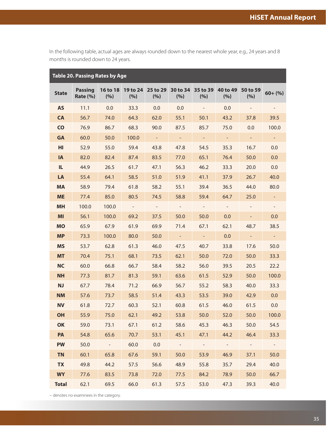<span id="page-37-0"></span>In the following table, actual ages are always rounded down to the nearest whole year, e.g., 24 years and 8 months is rounded down to 24 years.

|               | <b>Table 20. Passing Rates by Age</b> |                 |                  |                 |                 |                             |                 |                 |                          |
|---------------|---------------------------------------|-----------------|------------------|-----------------|-----------------|-----------------------------|-----------------|-----------------|--------------------------|
| <b>State</b>  | <b>Passing</b><br><b>Rate (%)</b>     | 16 to 18<br>(%) | 19 to 24<br>(%)  | 25 to 29<br>(%) | 30 to 34<br>(%) | 35 to 39<br>(%)             | 40 to 49<br>(%) | 50 to 59<br>(%) | $60 + (%)$               |
| <b>AS</b>     | 11.1                                  | 0.0             | 33.3             | 0.0             | 0.0             | $\overline{\phantom{a}}$    | 0.0             |                 |                          |
| <b>CA</b>     | 56.7                                  | 74.0            | 64.3             | 62.0            | 55.1            | 50.1                        | 43.2            | 37.8            | 39.5                     |
| $\mathsf{CO}$ | 76.9                                  | 86.7            | 68.3             | 90.0            | 87.5            | 85.7                        | 75.0            | 0.0             | 100.0                    |
| <b>GA</b>     | 60.0                                  | 50.0            | 100.0            |                 | $\equiv$        |                             | $\equiv$        |                 | $\blacksquare$           |
| HI            | 52.9                                  | 55.0            | 59.4             | 43.8            | 47.8            | 54.5                        | 35.3            | 16.7            | 0.0                      |
| <b>IA</b>     | 82.0                                  | 82.4            | 87.4             | 83.5            | 77.0            | 65.1                        | 76.4            | 50.0            | 0.0                      |
| IL.           | 44.9                                  | 26.5            | 61.7             | 47.1            | 56.3            | 46.2                        | 33.3            | 20.0            | 0.0                      |
| LA            | 55.4                                  | 64.1            | 58.5             | 51.0            | 51.9            | 41.1                        | 37.9            | 26.7            | 40.0                     |
| <b>MA</b>     | 58.9                                  | 79.4            | 61.8             | 58.2            | 55.1            | 39.4                        | 36.5            | 44.0            | 80.0                     |
| <b>ME</b>     | 77.4                                  | 85.0            | 80.5             | 74.5            | 58.8            | 59.4                        | 64.7            | 25.0            |                          |
| <b>MH</b>     | 100.0                                 | 100.0           | $\omega_{\rm c}$ | $\sim$          | $\sim$          | $\sim$ $-$                  | $\sim$          |                 | $\overline{\phantom{a}}$ |
| MI            | 56.1                                  | 100.0           | 69.2             | 37.5            | 50.0            | 50.0                        | 0.0             |                 | 0.0                      |
| <b>MO</b>     | 65.9                                  | 67.9            | 61.9             | 69.9            | 71.4            | 67.1                        | 62.1            | 48.7            | 38.5                     |
| <b>MP</b>     | 73.3                                  | 100.0           | 80.0             | 50.0            | $\equiv$        | $\mathcal{L}_{\mathcal{A}}$ | 0.0             | $\equiv$        | $\blacksquare$           |
| <b>MS</b>     | 53.7                                  | 62.8            | 61.3             | 46.0            | 47.5            | 40.7                        | 33.8            | 17.6            | 50.0                     |
| <b>MT</b>     | 70.4                                  | 75.1            | 68.1             | 73.5            | 62.1            | 50.0                        | 72.0            | 50.0            | 33.3                     |
| <b>NC</b>     | 60.0                                  | 66.8            | 66.7             | 58.4            | 58.2            | 56.0                        | 39.5            | 20.5            | 22.2                     |
| <b>NH</b>     | 77.3                                  | 81.7            | 81.3             | 59.1            | 63.6            | 61.5                        | 52.9            | 50.0            | 100.0                    |
| <b>NJ</b>     | 67.7                                  | 78.4            | 71.2             | 66.9            | 56.7            | 55.2                        | 58.3            | 40.0            | 33.3                     |
| <b>NM</b>     | 57.6                                  | 73.7            | 58.5             | 51.4            | 43.3            | 53.5                        | 39.0            | 42.9            | 0.0                      |
| <b>NV</b>     | 61.8                                  | 72.7            | 60.3             | 52.1            | 60.8            | 61.5                        | 46.0            | 61.5            | 0.0                      |
| OH            | 55.9                                  | 75.0            | 62.1             | 49.2            | 53.8            | 50.0                        | 52.0            | 50.0            | 100.0                    |
| OK            | 59.0                                  | 73.1            | 67.1             | 61.2            | 58.6            | 45.3                        | 46.3            | 50.0            | 54.5                     |
| PA            | 54.8                                  | 65.6            | 70.7             | 53.1            | 45.1            | 47.1                        | 44.2            | 46.4            | 33.3                     |
| <b>PW</b>     | 50.0                                  | $\sim 10^{-10}$ | 60.0             | 0.0             | $\sim$ $-$      | $\sim 10^{-10}$             | $\sim 10^{-10}$ | $\sim 10^{-10}$ | $\sim 10^{-1}$           |
| <b>TN</b>     | 60.1                                  | 65.8            | 67.6             | 59.1            | 50.0            | 53.9                        | 46.9            | 37.1            | 50.0                     |
| <b>TX</b>     | 49.8                                  | 44.2            | 57.5             | 56.6            | 48.9            | 55.8                        | 35.7            | 29.4            | 40.0                     |
| <b>WY</b>     | 77.6                                  | 83.5            | 73.8             | 72.0            | 77.5            | 84.2                        | 78.9            | 50.0            | 66.7                     |
| <b>Total</b>  | 62.1                                  | 69.5            | 66.0             | 61.3            | 57.5            | 53.0                        | 47.3            | 39.3            | 40.0                     |

− denotes no examinees in the category.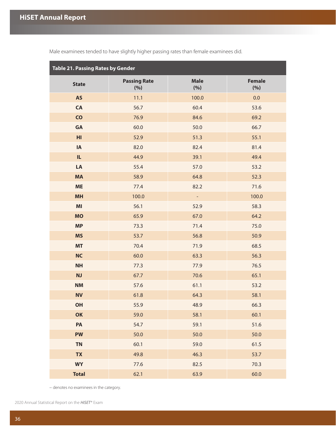| <b>Table 21. Passing Rates by Gender</b> |                            |                          |                      |  |  |  |  |  |
|------------------------------------------|----------------------------|--------------------------|----------------------|--|--|--|--|--|
| <b>State</b>                             | <b>Passing Rate</b><br>(%) | <b>Male</b><br>(%)       | <b>Female</b><br>(%) |  |  |  |  |  |
| <b>AS</b>                                | 11.1                       | 100.0                    | 0.0                  |  |  |  |  |  |
| CA                                       | 56.7                       | 60.4                     | 53.6                 |  |  |  |  |  |
| $\mathsf{CO}$                            | 76.9                       | 84.6                     | 69.2                 |  |  |  |  |  |
| GA                                       | 60.0                       | 50.0                     | 66.7                 |  |  |  |  |  |
| HI                                       | 52.9                       | 51.3                     | 55.1                 |  |  |  |  |  |
| IA                                       | 82.0                       | 82.4                     | 81.4                 |  |  |  |  |  |
| IL.                                      | 44.9                       | 39.1                     | 49.4                 |  |  |  |  |  |
| LA                                       | 55.4                       | 57.0                     | 53.2                 |  |  |  |  |  |
| <b>MA</b>                                | 58.9                       | 64.8                     | 52.3                 |  |  |  |  |  |
| <b>ME</b>                                | 77.4                       | 82.2                     | 71.6                 |  |  |  |  |  |
| <b>MH</b>                                | 100.0                      | $\overline{\phantom{a}}$ | 100.0                |  |  |  |  |  |
| M <sub>l</sub>                           | 56.1                       | 52.9                     | 58.3                 |  |  |  |  |  |
| <b>MO</b>                                | 65.9                       | 67.0                     | 64.2                 |  |  |  |  |  |
| <b>MP</b>                                | 73.3                       | 71.4                     | 75.0                 |  |  |  |  |  |
| <b>MS</b>                                | 53.7                       | 56.8                     | 50.9                 |  |  |  |  |  |
| <b>MT</b>                                | 70.4                       | 71.9                     | 68.5                 |  |  |  |  |  |
| <b>NC</b>                                | 60.0                       | 63.3                     | 56.3                 |  |  |  |  |  |
| <b>NH</b>                                | 77.3                       | 77.9                     | 76.5                 |  |  |  |  |  |
| NJ                                       | 67.7                       | 70.6                     | 65.1                 |  |  |  |  |  |
| <b>NM</b>                                | 57.6                       | 61.1                     | 53.2                 |  |  |  |  |  |
| <b>NV</b>                                | 61.8                       | 64.3                     | 58.1                 |  |  |  |  |  |
| <b>OH</b>                                | 55.9                       | 48.9                     | 66.3                 |  |  |  |  |  |
| OK                                       | 59.0                       | 58.1                     | 60.1                 |  |  |  |  |  |
| PA                                       | 54.7                       | 59.1                     | 51.6                 |  |  |  |  |  |
| <b>PW</b>                                | 50.0                       | 50.0                     | 50.0                 |  |  |  |  |  |
| <b>TN</b>                                | 60.1                       | 59.0                     | 61.5                 |  |  |  |  |  |
| <b>TX</b>                                | 49.8                       | 46.3                     | 53.7                 |  |  |  |  |  |
| <b>WY</b>                                | 77.6                       | 82.5                     | 70.3                 |  |  |  |  |  |
| <b>Total</b>                             | 62.1                       | 63.9                     | 60.0                 |  |  |  |  |  |

<span id="page-38-0"></span>Male examinees tended to have slightly higher passing rates than female examinees did.

− denotes no examinees in the category.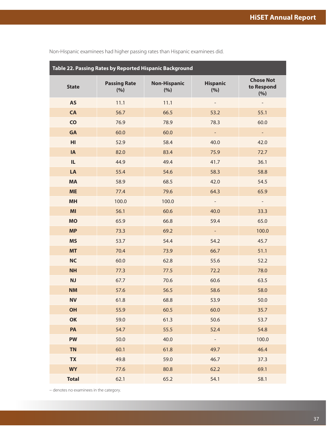| Table 22. Passing Rates by Reported Hispanic Background |                            |                            |                          |                                       |  |  |  |  |  |
|---------------------------------------------------------|----------------------------|----------------------------|--------------------------|---------------------------------------|--|--|--|--|--|
| <b>State</b>                                            | <b>Passing Rate</b><br>(%) | <b>Non-Hispanic</b><br>(%) | <b>Hispanic</b><br>(%)   | <b>Chose Not</b><br>to Respond<br>(%) |  |  |  |  |  |
| <b>AS</b>                                               | 11.1                       | 11.1                       | $\overline{\phantom{0}}$ |                                       |  |  |  |  |  |
| <b>CA</b>                                               | 56.7                       | 66.5                       | 53.2                     | 55.1                                  |  |  |  |  |  |
| $\overline{c}$                                          | 76.9                       | 78.9                       | 78.3                     | 60.0                                  |  |  |  |  |  |
| <b>GA</b>                                               | 60.0                       | 60.0                       | ÷,                       | $\blacksquare$                        |  |  |  |  |  |
| H <sub>l</sub>                                          | 52.9                       | 58.4                       | 40.0                     | 42.0                                  |  |  |  |  |  |
| IA                                                      | 82.0                       | 83.4                       | 75.9                     | 72.7                                  |  |  |  |  |  |
| IL                                                      | 44.9                       | 49.4                       | 41.7                     | 36.1                                  |  |  |  |  |  |
| LA                                                      | 55.4                       | 54.6                       | 58.3                     | 58.8                                  |  |  |  |  |  |
| <b>MA</b>                                               | 58.9                       | 68.5                       | 42.0                     | 54.5                                  |  |  |  |  |  |
| <b>ME</b>                                               | 77.4                       | 79.6                       | 64.3                     | 65.9                                  |  |  |  |  |  |
| <b>MH</b>                                               | 100.0                      | 100.0                      | $\overline{\phantom{a}}$ | $\overline{\phantom{a}}$              |  |  |  |  |  |
| MI                                                      | 56.1                       | 60.6                       | 40.0                     | 33.3                                  |  |  |  |  |  |
| <b>MO</b>                                               | 65.9                       | 66.8                       | 59.4                     | 65.0                                  |  |  |  |  |  |
| <b>MP</b>                                               | 73.3                       | 69.2                       | ÷                        | 100.0                                 |  |  |  |  |  |
| <b>MS</b>                                               | 53.7                       | 54.4                       | 54.2                     | 45.7                                  |  |  |  |  |  |
| <b>MT</b>                                               | 70.4                       | 73.9                       | 66.7                     | 51.1                                  |  |  |  |  |  |
| <b>NC</b>                                               | 60.0                       | 62.8                       | 55.6                     | 52.2                                  |  |  |  |  |  |
| <b>NH</b>                                               | 77.3                       | 77.5                       | 72.2                     | 78.0                                  |  |  |  |  |  |
| <b>NJ</b>                                               | 67.7                       | 70.6                       | 60.6                     | 63.5                                  |  |  |  |  |  |
| <b>NM</b>                                               | 57.6                       | 56.5                       | 58.6                     | 58.0                                  |  |  |  |  |  |
| <b>NV</b>                                               | 61.8                       | 68.8                       | 53.9                     | 50.0                                  |  |  |  |  |  |
| OH                                                      | 55.9                       | 60.5                       | 60.0                     | 35.7                                  |  |  |  |  |  |
| OK                                                      | 59.0                       | 61.3                       | 50.6                     | 53.7                                  |  |  |  |  |  |
| PA                                                      | 54.7                       | 55.5                       | 52.4                     | 54.8                                  |  |  |  |  |  |
| <b>PW</b>                                               | 50.0                       | 40.0                       | $\overline{\phantom{0}}$ | 100.0                                 |  |  |  |  |  |
| <b>TN</b>                                               | 60.1                       | 61.8                       | 49.7                     | 46.4                                  |  |  |  |  |  |
| <b>TX</b>                                               | 49.8                       | 59.0                       | 46.7                     | 37.3                                  |  |  |  |  |  |
| <b>WY</b>                                               | 77.6                       | 80.8                       | 62.2                     | 69.1                                  |  |  |  |  |  |
| <b>Total</b>                                            | 62.1                       | 65.2                       | 54.1                     | 58.1                                  |  |  |  |  |  |

<span id="page-39-0"></span>Non-Hispanic examinees had higher passing rates than Hispanic examinees did.

− denotes no examinees in the category.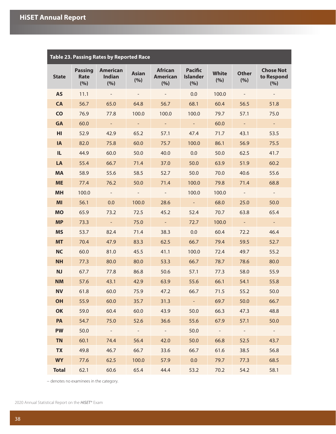<span id="page-40-0"></span>

| <b>Table 23. Passing Rates by Reported Race</b> |                               |                                         |                     |                                          |                                                                 |                       |                          |                                       |  |  |
|-------------------------------------------------|-------------------------------|-----------------------------------------|---------------------|------------------------------------------|-----------------------------------------------------------------|-----------------------|--------------------------|---------------------------------------|--|--|
| <b>State</b>                                    | <b>Passing</b><br>Rate<br>(%) | <b>American</b><br><b>Indian</b><br>(%) | <b>Asian</b><br>(%) | <b>African</b><br><b>American</b><br>(%) | <b>Pacific</b><br><b>White</b><br><b>Islander</b><br>(%)<br>(%) |                       | <b>Other</b><br>(%)      | <b>Chose Not</b><br>to Respond<br>(%) |  |  |
| <b>AS</b>                                       | 11.1                          | $\sim$                                  |                     |                                          | 0.0                                                             | 100.0                 | $\overline{\phantom{a}}$ | $\overline{\phantom{a}}$              |  |  |
| <b>CA</b>                                       | 56.7                          | 65.0                                    | 64.8                | 56.7                                     | 68.1                                                            | 60.4                  | 56.5                     | 51.8                                  |  |  |
| <b>CO</b>                                       | 76.9                          | 77.8                                    | 100.0               | 100.0                                    | 100.0                                                           | 79.7                  | 57.1                     | 75.0                                  |  |  |
| <b>GA</b>                                       | 60.0                          | $\sim$                                  | $\sim$              | $\omega_{\rm{eff}}$                      | $\sim$ $^{-1}$                                                  |                       | $\sim$                   | $\sim$                                |  |  |
| HI                                              | 52.9                          | 42.9                                    | 65.2                | 57.1                                     | 47.4                                                            | 71.7<br>43.1          |                          | 53.5                                  |  |  |
| <b>IA</b>                                       | 82.0                          | 75.8                                    | 60.0                | 75.7                                     | 100.0                                                           | 86.1                  | 56.9                     | 75.5                                  |  |  |
| IL.                                             | 44.9                          | 60.0                                    | 50.0                | 40.0                                     | 0.0                                                             | 50.0                  | 62.5                     | 41.7                                  |  |  |
| LA                                              | 55.4                          | 66.7                                    | 71.4                | 37.0                                     | 50.0                                                            | 63.9<br>51.9          |                          | 60.2                                  |  |  |
| <b>MA</b>                                       | 58.9                          | 55.6                                    | 58.5                | 52.7                                     | 50.0<br>70.0                                                    |                       | 40.6                     | 55.6                                  |  |  |
| <b>ME</b>                                       | 77.4                          | 76.2                                    | 50.0                | 71.4                                     | 100.0                                                           | 79.8                  | 71.4                     | 68.8                                  |  |  |
| <b>MH</b>                                       | 100.0                         | $\sim$                                  |                     | $\sim$                                   | 100.0                                                           | 100.0                 | $\sim$                   | $\sim$                                |  |  |
| MI                                              | 56.1                          | 0.0                                     | 100.0               | 28.6                                     | $\sim$ $^{-1}$                                                  | 68.0                  | 25.0                     | 50.0                                  |  |  |
| <b>MO</b>                                       | 65.9                          | 73.2                                    | 72.5                | 45.2                                     | 52.4                                                            | 70.7                  | 63.8                     | 65.4                                  |  |  |
| <b>MP</b>                                       | 73.3                          | $\sim$ $^{-1}$                          | 75.0                | $\omega_{\rm{eff}}$                      | 72.7                                                            | 100.0                 | $\sim$ .                 | $\sim$                                |  |  |
| <b>MS</b>                                       | 53.7                          | 82.4                                    | 71.4                | 38.3                                     | 0.0                                                             | 60.4                  | 72.2                     | 46.4                                  |  |  |
| <b>MT</b>                                       | 70.4                          | 47.9                                    | 83.3                | 62.5                                     | 66.7                                                            | 79.4                  | 59.5                     | 52.7                                  |  |  |
| <b>NC</b>                                       | 60.0                          | 81.0                                    | 45.5                | 41.1                                     | 100.0                                                           | 72.4                  | 49.7                     | 55.2                                  |  |  |
| <b>NH</b>                                       | 77.3                          | 80.0                                    | 80.0                | 53.3                                     | 66.7                                                            | 78.7                  | 78.6                     | 80.0                                  |  |  |
| <b>NJ</b>                                       | 67.7                          | 77.8                                    | 86.8                | 50.6                                     | 57.1                                                            | 77.3                  | 58.0                     | 55.9                                  |  |  |
| <b>NM</b>                                       | 57.6                          | 43.1                                    | 42.9                | 63.9                                     | 55.6                                                            | 66.1                  | 54.1                     | 55.8                                  |  |  |
| <b>NV</b>                                       | 61.8                          | 60.0                                    | 75.9                | 47.2                                     | 66.7                                                            | 71.5                  | 55.2                     | 50.0                                  |  |  |
| <b>OH</b>                                       | 55.9                          | 60.0                                    | 35.7                | 31.3                                     | $\sim 100$                                                      | 69.7                  | 50.0                     | 66.7                                  |  |  |
| OK                                              | 59.0                          | 60.4                                    | 60.0                | 43.9                                     | 50.0                                                            | 66.3                  | 47.3                     | 48.8                                  |  |  |
| <b>PA</b>                                       | 54.7                          | 75.0                                    | 52.6                | 36.6                                     | 55.6                                                            | 67.9                  | 57.1                     | 50.0                                  |  |  |
| <b>PW</b>                                       | 50.0                          | $\sim$ $ \sim$                          | $\sim 10^{-10}$     | $\sim$ $ \sim$                           | 50.0                                                            | $\alpha$ and $\alpha$ | $\sim$ $-$               | $\sim 10^{-1}$                        |  |  |
| <b>TN</b>                                       | 60.1                          | 74.4                                    | 56.4                | 42.0                                     | 50.0                                                            | 66.8                  | 52.5                     | 43.7                                  |  |  |
| <b>TX</b>                                       | 49.8                          | 46.7                                    | 66.7                | 33.6                                     | 66.7                                                            | 61.6                  | 38.5                     | 56.8                                  |  |  |
| <b>WY</b>                                       | 77.6                          | 62.5                                    | 100.0               | 57.9                                     | 0.0                                                             | 79.7                  | 77.3                     | 68.5                                  |  |  |
| <b>Total</b>                                    | 62.1                          | 60.6                                    | 65.4                | 44.4                                     | 53.2                                                            | 70.2                  | 54.2                     | 58.1                                  |  |  |

− denotes no examinees in the category.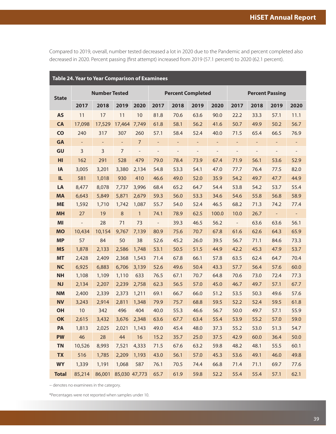<span id="page-41-0"></span>Compared to 2019, overall, number tested decreased a lot in 2020 due to the Pandemic and percent completed also decreased in 2020. Percent passing (first attempt) increased from 2019 (57.1 percent) to 2020 (62.1 percent).

| Table 24. Year to Year Comparison of Examinees |                      |                      |                |                          |                          |                          |                   |                          |                          |                          |                          |                          |
|------------------------------------------------|----------------------|----------------------|----------------|--------------------------|--------------------------|--------------------------|-------------------|--------------------------|--------------------------|--------------------------|--------------------------|--------------------------|
| <b>State</b>                                   | <b>Number Tested</b> |                      |                |                          | <b>Percent Completed</b> |                          |                   |                          | <b>Percent Passing</b>   |                          |                          |                          |
|                                                | 2017                 | 2018                 | 2019           | 2020                     | 2017                     | 2018                     | 2019              | 2020                     | 2017                     | 2018                     | 2019                     | 2020                     |
| <b>AS</b>                                      | 11                   | 17                   | 11             | $10$                     | 81.8                     | 70.6                     | 63.6              | 90.0                     | 22.2                     | 33.3                     | 57.1                     | 11.1                     |
| <b>CA</b>                                      | 17,098               | 17,529               | 17,464         | 7,749                    | 61.8                     | 58.1                     | 56.2              | 41.6                     | 50.7                     | 49.9                     | 50.2                     | 56.7                     |
| $\mathsf{CO}$                                  | 240                  | 317                  | 307            | 260                      | 57.1                     | 58.4                     | 52.4              | 40.0                     | 71.5                     | 65.4                     | 66.5                     | 76.9                     |
| <b>GA</b>                                      | $\equiv$             | $\blacksquare$       | $\blacksquare$ | $\overline{7}$           | ÷,                       | $\blacksquare$           | $\blacksquare$    | $\overline{\phantom{a}}$ | $\overline{\phantom{0}}$ | $\overline{\phantom{a}}$ | $\overline{\phantom{a}}$ | Ξ                        |
| GU                                             | 3                    | $\overline{3}$       | $\overline{7}$ | $\overline{\phantom{a}}$ | $\qquad \qquad -$        | $\overline{\phantom{m}}$ | $\qquad \qquad -$ | $\overline{\phantom{0}}$ | $\overline{\phantom{0}}$ | $\qquad \qquad -$        | $\overline{\phantom{a}}$ | $\overline{\phantom{a}}$ |
| HI                                             | 162                  | 291                  | 528            | 479                      | 79.0                     | 78.4                     | 73.9              | 67.4                     | 71.9                     | 56.1                     | 53.6                     | 52.9                     |
| IA                                             | 3,005                | 3,201                | 3,380          | 2,134                    | 54.8                     | 53.3                     | 54.1              | 47.0                     | 77.7                     | 76.4                     | 77.5                     | 82.0                     |
| IL.                                            | 581                  | 1,018                | 930            | 410                      | 46.6                     | 49.0                     | 52.0              | 35.9                     | 54.2                     | 49.7                     | 47.7                     | 44.9                     |
| LA                                             | 8,477                | 8,078                | 7,737          | 3,996                    | 68.4                     | 65.2                     | 64.7              | 54.4                     | 53.8                     | 54.2                     | 53.7                     | 55.4                     |
| <b>MA</b>                                      | 6,643                | 5,849                | 5,871          | 2,679                    | 59.3                     | 56.0                     | 53.3              | 34.6                     | 54.6                     | 55.8                     | 56.8                     | 58.9                     |
| <b>ME</b>                                      | 1,592                | 1,710                | 1,742          | 1,087                    | 55.7                     | 54.0                     | 52.4              | 46.5                     | 68.2                     | 71.3                     | 74.2                     | 77.4                     |
| <b>MH</b>                                      | 27                   | 19                   | $\,8\,$        | $\mathbf{1}$             | 74.1                     | 78.9                     | 62.5              | 100.0                    | 10.0                     | 26.7                     | $\blacksquare$           | $\overline{\phantom{a}}$ |
| MI                                             | $\Box$               | 28                   | 71             | 73                       | $\overline{\phantom{a}}$ | 39.3                     | 46.5              | 56.2                     | $\overline{\phantom{a}}$ | 63.6                     | 63.6                     | 56.1                     |
| <b>MO</b>                                      | 10,434               | 10,154               | 9,767          | 7,139                    | 80.9                     | 75.6                     | 70.7              | 67.8                     | 61.6                     | 62.6                     | 64.3                     | 65.9                     |
| <b>MP</b>                                      | 57                   | 84                   | 50             | 38                       | 52.6                     | 45.2                     | 26.0              | 39.5                     | 56.7                     | 71.1                     | 84.6                     | 73.3                     |
| <b>MS</b>                                      | 1,878                | 2,133                | 2,586          | 1,748                    | 53.1                     | 50.5                     | 51.5              | 44.9                     | 42.2                     | 45.3                     | 47.9                     | 53.7                     |
| <b>MT</b>                                      | 2,428                | 2,409                | 2,368          | 1,543                    | 71.4                     | 67.8                     | 66.1              | 57.8                     | 63.5                     | 62.4                     | 64.7                     | 70.4                     |
| <b>NC</b>                                      | 6,925                | 6,883                | 6,706          | 3,139                    | 52.6                     | 49.6                     | 50.4              | 43.3                     | 57.7                     | 56.4                     | 57.6                     | 60.0                     |
| <b>NH</b>                                      | 1,108                | 1,109                | 1,110          | 633                      | 76.5                     | 67.1                     | 70.7              | 64.8                     | 70.6                     | 73.0                     | 72.4                     | 77.3                     |
| <b>NJ</b>                                      | 2,134                | 2,207                | 2,239          | 2,758                    | 62.3                     | 56.5                     | 57.0              | 45.0                     | 46.7                     | 49.7                     | 57.1                     | 67.7                     |
| <b>NM</b>                                      | 2,400                | 2,339                | 2,373          | 1,211                    | 69.1                     | 66.7                     | 66.0              | 51.2                     | 53.5                     | 50.3                     | 49.6                     | 57.6                     |
| <b>NV</b>                                      | 3,243                | 2,914                | 2,811          | 1,348                    | 79.9                     | 75.7                     | 68.8              | 59.5                     | 52.2                     | 52.4                     | 59.5                     | 61.8                     |
| OH                                             | $10$                 | 342                  | 496            | 404                      | 40.0                     | 55.3                     | 46.6              | 56.7                     | 50.0                     | 49.7                     | 57.1                     | 55.9                     |
| OK                                             | 2,615                | 3,432                | 3,676          | 2,348                    | 63.6                     | 67.7                     | 63.4              | 55.4                     | 53.9                     | 55.2                     | 57.0                     | 59.0                     |
| PA                                             | 1,813                | 2,025                | 2,021          | 1,143                    | 49.0                     | 45.4                     | 48.0              | 37.3                     | 55.2                     | 53.0                     | 51.3                     | 54.7                     |
| <b>PW</b>                                      | 46                   | 28                   | 44             | 16                       | 15.2                     | 35.7                     | 25.0              | 37.5                     | 42.9                     | 60.0                     | 36.4                     | 50.0                     |
| <b>TN</b>                                      | 10,526               | 8,993                | 7,521          | 4,333                    | 71.5                     | 67.6                     | 63.2              | 59.8                     | 48.2                     | 48.1                     | 55.5                     | 60.1                     |
| <b>TX</b>                                      | 516                  | 1,785                | 2,209          | 1,193                    | 43.0                     | 56.1                     | 57.0              | 45.3                     | 53.6                     | 49.1                     | 46.0                     | 49.8                     |
| <b>WY</b>                                      | 1,339                | 1,191                | 1,068          | 587                      | 76.1                     | 70.5                     | 74.4              | 66.8                     | 71.4                     | 71.1                     | 69.7                     | 77.6                     |
| <b>Total</b>                                   | 85,214               | 86,001 85,030 47,773 |                |                          | 65.7                     | 61.9                     | 59.8              | 52.2                     | 55.4                     | 55.4                     | 57.1                     | 62.1                     |

− denotes no examinees in the category.

\*Percentages were not reported when samples under 10.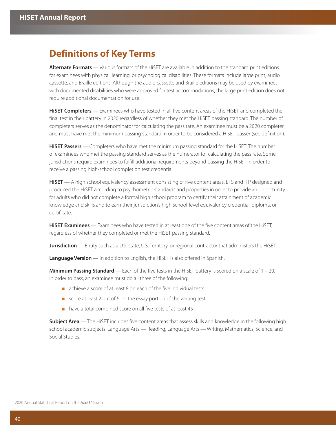## <span id="page-42-0"></span>**Definitions of Key Terms**

**Alternate Formats** — Various formats of the HiSET are available in addition to the standard print editions for examinees with physical, learning, or psychological disabilities. These formats include large print, audio cassette, and Braille editions. Although the audio cassette and Braille editions may be used by examinees with documented disabilities who were approved for test accommodations, the large print edition does not require additional documentation for use.

**HiSET Completers** — Examinees who have tested in all five content areas of the HiSET and completed the final test in their battery in 2020 regardless of whether they met the HiSET passing standard. The number of completers serves as the denominator for calculating the pass rate. An examinee must be a 2020 completer and must have met the minimum passing standard in order to be considered a HiSET passer (see definition).

**HiSET Passers** — Completers who have met the minimum passing standard for the HiSET. The number of examinees who met the passing standard serves as the numerator for calculating the pass rate. Some jurisdictions require examinees to fulfill additional requirements beyond passing the HiSET in order to receive a passing high-school completion test credential.

**HiSET** — A high school equivalency assessment consisting of five content areas. ETS and ITP designed and produced the HiSET according to psychometric standards and properties in order to provide an opportunity for adults who did not complete a formal high school program to certify their attainment of academic knowledge and skills and to earn their jurisdiction's high school-level equivalency credential, diploma, or certificate.

**HiSET Examinees** — Examinees who have tested in at least one of the five content areas of the HiSET, regardless of whether they completed or met the HiSET passing standard.

**Jurisdiction** — Entity such as a U.S. state, U.S. Territory, or regional contractor that administers the HiSET.

**Language Version** — In addition to English, the HiSET is also offered in Spanish.

**Minimum Passing Standard** — Each of the five tests in the HiSET battery is scored on a scale of 1 – 20. In order to pass, an examinee must do all three of the following:

- achieve a score of at least 8 on each of the five individual tests
- score at least 2 out of 6 on the essay portion of the writing test
- have a total combined score on all five tests of at least 45

**Subject Area** — The HiSET includes five content areas that assess skills and knowledge in the following high school academic subjects: Language Arts — Reading, Language Arts — Writing, Mathematics, Science, and Social Studies.